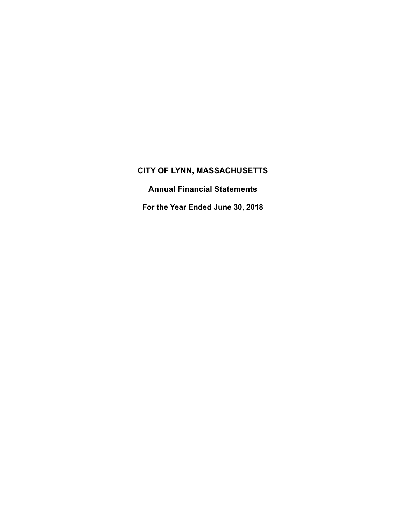**Annual Financial Statements** 

**For the Year Ended June 30, 2018**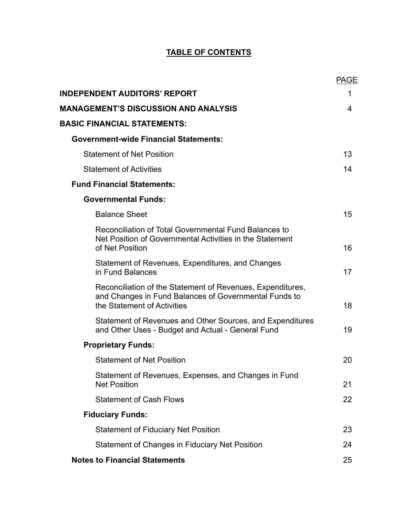# **TABLE OF CONTENTS**

|                                                                                                                                                    | <b>PAGE</b> |
|----------------------------------------------------------------------------------------------------------------------------------------------------|-------------|
| <b>INDEPENDENT AUDITORS' REPORT</b>                                                                                                                | 1           |
| <b>MANAGEMENT'S DISCUSSION AND ANALYSIS</b>                                                                                                        | 4           |
| <b>BASIC FINANCIAL STATEMENTS:</b>                                                                                                                 |             |
| <b>Government-wide Financial Statements:</b>                                                                                                       |             |
| <b>Statement of Net Position</b>                                                                                                                   | 13          |
| <b>Statement of Activities</b>                                                                                                                     | 14          |
| <b>Fund Financial Statements:</b>                                                                                                                  |             |
| <b>Governmental Funds:</b>                                                                                                                         |             |
| <b>Balance Sheet</b>                                                                                                                               | 15          |
| Reconciliation of Total Governmental Fund Balances to<br>Net Position of Governmental Activities in the Statement<br>of Net Position               | 16          |
| Statement of Revenues, Expenditures, and Changes<br>in Fund Balances                                                                               | 17          |
| Reconciliation of the Statement of Revenues, Expenditures,<br>and Changes in Fund Balances of Governmental Funds to<br>the Statement of Activities | 18          |
| Statement of Revenues and Other Sources, and Expenditures<br>and Other Uses - Budget and Actual - General Fund                                     | 19          |
| <b>Proprietary Funds:</b>                                                                                                                          |             |
| <b>Statement of Net Position</b>                                                                                                                   | 20          |
| Statement of Revenues, Expenses, and Changes in Fund<br><b>Net Position</b>                                                                        | 21          |
| <b>Statement of Cash Flows</b>                                                                                                                     | 22          |
| <b>Fiduciary Funds:</b>                                                                                                                            |             |
| <b>Statement of Fiduciary Net Position</b>                                                                                                         | 23          |
| Statement of Changes in Fiduciary Net Position                                                                                                     | 24          |
| <b>Notes to Financial Statements</b>                                                                                                               | 25          |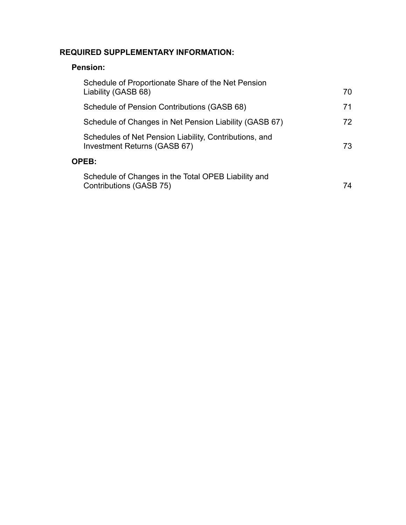# **REQUIRED SUPPLEMENTARY INFORMATION:**

# **Pension:**

| Schedule of Proportionate Share of the Net Pension<br>Liability (GASB 68)              | 70  |
|----------------------------------------------------------------------------------------|-----|
| Schedule of Pension Contributions (GASB 68)                                            | 71  |
| Schedule of Changes in Net Pension Liability (GASB 67)                                 | 72. |
| Schedules of Net Pension Liability, Contributions, and<br>Investment Returns (GASB 67) | 73  |
| <b>OPEB:</b>                                                                           |     |
| Schedule of Changes in the Total OPEB Liability and<br>Contributions (GASB 75)         | 74  |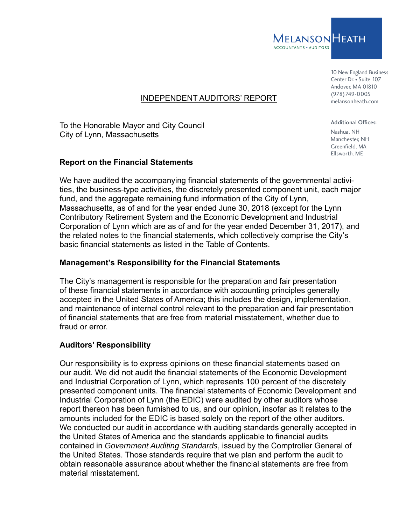

10 New England Business Center Dr. • Suite 107 Andover, MA 01810 (978)749-0005 melansonheath.com

### INDEPENDENT AUDITORS' REPORT

To the Honorable Mayor and City Council City of Lynn, Massachusetts

#### **Report on the Financial Statements**

We have audited the accompanying financial statements of the governmental activities, the business-type activities, the discretely presented component unit, each major fund, and the aggregate remaining fund information of the City of Lynn, Massachusetts, as of and for the year ended June 30, 2018 (except for the Lynn Contributory Retirement System and the Economic Development and Industrial Corporation of Lynn which are as of and for the year ended December 31, 2017), and the related notes to the financial statements, which collectively comprise the City's basic financial statements as listed in the Table of Contents.

### **Management's Responsibility for the Financial Statements**

The City's management is responsible for the preparation and fair presentation of these financial statements in accordance with accounting principles generally accepted in the United States of America; this includes the design, implementation, and maintenance of internal control relevant to the preparation and fair presentation of financial statements that are free from material misstatement, whether due to fraud or error.

### **Auditors' Responsibility**

Our responsibility is to express opinions on these financial statements based on our audit. We did not audit the financial statements of the Economic Development and Industrial Corporation of Lynn, which represents 100 percent of the discretely presented component units. The financial statements of Economic Development and Industrial Corporation of Lynn (the EDIC) were audited by other auditors whose report thereon has been furnished to us, and our opinion, insofar as it relates to the amounts included for the EDIC is based solely on the report of the other auditors. We conducted our audit in accordance with auditing standards generally accepted in the United States of America and the standards applicable to financial audits contained in *Government Auditing Standards*, issued by the Comptroller General of the United States. Those standards require that we plan and perform the audit to obtain reasonable assurance about whether the financial statements are free from material misstatement.

Additional Offices: Nashua, NH Manchester, NH Greenfield, MA Ellsworth, ME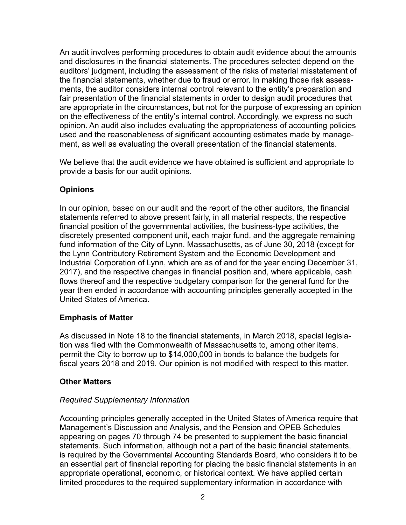An audit involves performing procedures to obtain audit evidence about the amounts and disclosures in the financial statements. The procedures selected depend on the auditors' judgment, including the assessment of the risks of material misstatement of the financial statements, whether due to fraud or error. In making those risk assessments, the auditor considers internal control relevant to the entity's preparation and fair presentation of the financial statements in order to design audit procedures that are appropriate in the circumstances, but not for the purpose of expressing an opinion on the effectiveness of the entity's internal control. Accordingly, we express no such opinion. An audit also includes evaluating the appropriateness of accounting policies used and the reasonableness of significant accounting estimates made by management, as well as evaluating the overall presentation of the financial statements.

We believe that the audit evidence we have obtained is sufficient and appropriate to provide a basis for our audit opinions.

# **Opinions**

In our opinion, based on our audit and the report of the other auditors, the financial statements referred to above present fairly, in all material respects, the respective financial position of the governmental activities, the business-type activities, the discretely presented component unit, each major fund, and the aggregate remaining fund information of the City of Lynn, Massachusetts, as of June 30, 2018 (except for the Lynn Contributory Retirement System and the Economic Development and Industrial Corporation of Lynn, which are as of and for the year ending December 31, 2017), and the respective changes in financial position and, where applicable, cash flows thereof and the respective budgetary comparison for the general fund for the year then ended in accordance with accounting principles generally accepted in the United States of America.

## **Emphasis of Matter**

As discussed in Note 18 to the financial statements, in March 2018, special legislation was filed with the Commonwealth of Massachusetts to, among other items, permit the City to borrow up to \$14,000,000 in bonds to balance the budgets for fiscal years 2018 and 2019. Our opinion is not modified with respect to this matter.

## **Other Matters**

## *Required Supplementary Information*

Accounting principles generally accepted in the United States of America require that Management's Discussion and Analysis, and the Pension and OPEB Schedules appearing on pages 70 through 74 be presented to supplement the basic financial statements. Such information, although not a part of the basic financial statements, is required by the Governmental Accounting Standards Board, who considers it to be an essential part of financial reporting for placing the basic financial statements in an appropriate operational, economic, or historical context. We have applied certain limited procedures to the required supplementary information in accordance with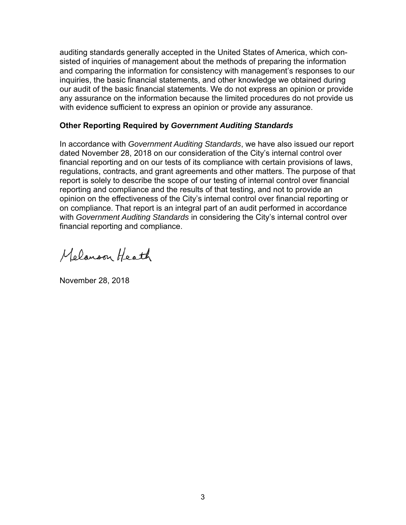auditing standards generally accepted in the United States of America, which consisted of inquiries of management about the methods of preparing the information and comparing the information for consistency with management's responses to our inquiries, the basic financial statements, and other knowledge we obtained during our audit of the basic financial statements. We do not express an opinion or provide any assurance on the information because the limited procedures do not provide us with evidence sufficient to express an opinion or provide any assurance.

### **Other Reporting Required by** *Government Auditing Standards*

In accordance with *Government Auditing Standards*, we have also issued our report dated November 28, 2018 on our consideration of the City's internal control over financial reporting and on our tests of its compliance with certain provisions of laws, regulations, contracts, and grant agreements and other matters. The purpose of that report is solely to describe the scope of our testing of internal control over financial reporting and compliance and the results of that testing, and not to provide an opinion on the effectiveness of the City's internal control over financial reporting or on compliance. That report is an integral part of an audit performed in accordance with *Government Auditing Standards* in considering the City's internal control over financial reporting and compliance.

Melanoon Heath

November 28, 2018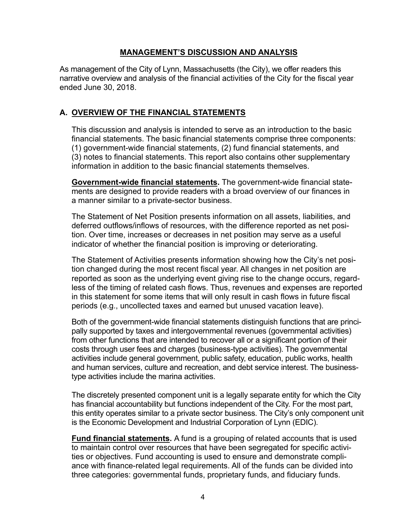#### **MANAGEMENT'S DISCUSSION AND ANALYSIS**

As management of the City of Lynn, Massachusetts (the City), we offer readers this narrative overview and analysis of the financial activities of the City for the fiscal year ended June 30, 2018.

### **A. OVERVIEW OF THE FINANCIAL STATEMENTS**

This discussion and analysis is intended to serve as an introduction to the basic financial statements. The basic financial statements comprise three components: (1) government-wide financial statements, (2) fund financial statements, and (3) notes to financial statements. This report also contains other supplementary information in addition to the basic financial statements themselves.

**Government-wide financial statements.** The government-wide financial statements are designed to provide readers with a broad overview of our finances in a manner similar to a private-sector business.

The Statement of Net Position presents information on all assets, liabilities, and deferred outflows/inflows of resources, with the difference reported as net position. Over time, increases or decreases in net position may serve as a useful indicator of whether the financial position is improving or deteriorating.

The Statement of Activities presents information showing how the City's net position changed during the most recent fiscal year. All changes in net position are reported as soon as the underlying event giving rise to the change occurs, regardless of the timing of related cash flows. Thus, revenues and expenses are reported in this statement for some items that will only result in cash flows in future fiscal periods (e.g., uncollected taxes and earned but unused vacation leave).

Both of the government-wide financial statements distinguish functions that are principally supported by taxes and intergovernmental revenues (governmental activities) from other functions that are intended to recover all or a significant portion of their costs through user fees and charges (business-type activities). The governmental activities include general government, public safety, education, public works, health and human services, culture and recreation, and debt service interest. The businesstype activities include the marina activities.

The discretely presented component unit is a legally separate entity for which the City has financial accountability but functions independent of the City. For the most part, this entity operates similar to a private sector business. The City's only component unit is the Economic Development and Industrial Corporation of Lynn (EDIC).

**Fund financial statements.** A fund is a grouping of related accounts that is used to maintain control over resources that have been segregated for specific activities or objectives. Fund accounting is used to ensure and demonstrate compliance with finance-related legal requirements. All of the funds can be divided into three categories: governmental funds, proprietary funds, and fiduciary funds.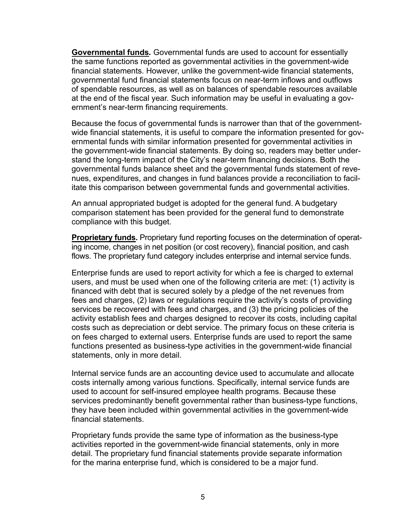**Governmental funds***.* Governmental funds are used to account for essentially the same functions reported as governmental activities in the government-wide financial statements. However, unlike the government-wide financial statements, governmental fund financial statements focus on near-term inflows and outflows of spendable resources, as well as on balances of spendable resources available at the end of the fiscal year. Such information may be useful in evaluating a government's near-term financing requirements.

Because the focus of governmental funds is narrower than that of the governmentwide financial statements, it is useful to compare the information presented for governmental funds with similar information presented for governmental activities in the government-wide financial statements. By doing so, readers may better understand the long-term impact of the City's near-term financing decisions. Both the governmental funds balance sheet and the governmental funds statement of revenues, expenditures, and changes in fund balances provide a reconciliation to facilitate this comparison between governmental funds and governmental activities.

An annual appropriated budget is adopted for the general fund. A budgetary comparison statement has been provided for the general fund to demonstrate compliance with this budget.

**Proprietary funds.** Proprietary fund reporting focuses on the determination of operating income, changes in net position (or cost recovery), financial position, and cash flows. The proprietary fund category includes enterprise and internal service funds.

Enterprise funds are used to report activity for which a fee is charged to external users, and must be used when one of the following criteria are met: (1) activity is financed with debt that is secured solely by a pledge of the net revenues from fees and charges, (2) laws or regulations require the activity's costs of providing services be recovered with fees and charges, and (3) the pricing policies of the activity establish fees and charges designed to recover its costs, including capital costs such as depreciation or debt service. The primary focus on these criteria is on fees charged to external users. Enterprise funds are used to report the same functions presented as business-type activities in the government-wide financial statements, only in more detail.

Internal service funds are an accounting device used to accumulate and allocate costs internally among various functions. Specifically, internal service funds are used to account for self-insured employee health programs. Because these services predominantly benefit governmental rather than business-type functions, they have been included within governmental activities in the government-wide financial statements.

Proprietary funds provide the same type of information as the business-type activities reported in the government-wide financial statements, only in more detail. The proprietary fund financial statements provide separate information for the marina enterprise fund, which is considered to be a major fund.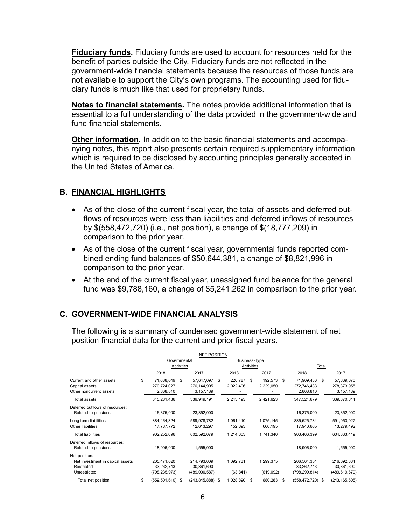**Fiduciary funds.** Fiduciary funds are used to account for resources held for the benefit of parties outside the City. Fiduciary funds are not reflected in the government-wide financial statements because the resources of those funds are not available to support the City's own programs. The accounting used for fiduciary funds is much like that used for proprietary funds.

**Notes to financial statements.** The notes provide additional information that is essential to a full understanding of the data provided in the government-wide and fund financial statements.

**Other information.** In addition to the basic financial statements and accompanying notes, this report also presents certain required supplementary information which is required to be disclosed by accounting principles generally accepted in the United States of America.

## **B. FINANCIAL HIGHLIGHTS**

- As of the close of the current fiscal year, the total of assets and deferred outflows of resources were less than liabilities and deferred inflows of resources by \$(558,472,720) (i.e., net position), a change of \$(18,777,209) in comparison to the prior year.
- As of the close of the current fiscal year, governmental funds reported combined ending fund balances of \$50,644,381, a change of \$8,821,996 in comparison to the prior year.
- At the end of the current fiscal year, unassigned fund balance for the general fund was \$9,788,160, a change of \$5,241,262 in comparison to the prior year.

# **C. GOVERNMENT-WIDE FINANCIAL ANALYSIS**

The following is a summary of condensed government-wide statement of net position financial data for the current and prior fiscal years.

|                                                                                 |    |                                              |     | <b>NET POSITION</b>                        |      |                        |    |                        |      |                                              |      |                                            |
|---------------------------------------------------------------------------------|----|----------------------------------------------|-----|--------------------------------------------|------|------------------------|----|------------------------|------|----------------------------------------------|------|--------------------------------------------|
|                                                                                 |    | Governmental                                 |     |                                            |      | Business-Type          |    |                        |      |                                              |      |                                            |
|                                                                                 |    | Activities<br>2017<br>2018                   |     |                                            |      | Activities             |    | Total                  |      |                                              |      |                                            |
|                                                                                 |    |                                              |     |                                            |      | 2018                   |    | 2017                   | 2018 |                                              |      | 2017                                       |
| Current and other assets<br>Capital assets<br>Other noncurrent assets           | \$ | 71,688,649<br>270,724,027<br>2,868,810       | \$  | 57,647,097<br>276, 144, 905<br>3, 157, 189 | \$.  | 220.787<br>2,022,406   | \$ | 192,573<br>2,229,050   | \$   | 71,909,436<br>272,746,433<br>2,868,810       | - \$ | 57,839,670<br>278,373,955<br>3, 157, 189   |
| Total assets                                                                    |    | 345,281,486                                  |     | 336,949,191                                |      | 2,243,193              |    | 2,421,623              |      | 347,524,679                                  |      | 339,370,814                                |
| Deferred outflows of resources:<br>Related to pensions                          |    | 16,375,000                                   |     | 23,352,000                                 |      |                        |    |                        |      | 16,375,000                                   |      | 23,352,000                                 |
| Long-term liabilities<br>Other liabilities                                      |    | 884,464,324<br>17,787,772                    |     | 589,978,782<br>12,613,297                  |      | 1,061,410<br>152,893   |    | 1,075,145<br>666,195   |      | 885, 525, 734<br>17,940,665                  |      | 591,053,927<br>13,279,492                  |
| <b>Total liabilities</b>                                                        |    | 902,252,096                                  |     | 602,592,079                                |      | 1,214,303              |    | 1,741,340              |      | 903,466,399                                  |      | 604,333,419                                |
| Deferred inflows of resources:<br>Related to pensions                           |    | 18,906,000                                   |     | 1,555,000                                  |      |                        |    |                        |      | 18,906,000                                   |      | 1,555,000                                  |
| Net position:<br>Net investment in capital assets<br>Restricted<br>Unrestricted |    | 205,471,620<br>33, 262, 743<br>(798,235,973) |     | 214,793,009<br>30,361,690<br>(489,000,587) |      | 1,092,731<br>(63, 841) |    | 1,299,375<br>(619,092) |      | 206,564,351<br>33, 262, 743<br>(798,299,814) |      | 216,092,384<br>30,361,690<br>(489,619,679) |
| Total net position                                                              | S  | (559, 501, 610)                              | - 5 | (243,845,888)                              | - \$ | 1,028,890              | S  | 680,283                | \$.  | (558, 472, 720)                              |      | (243, 165, 605)                            |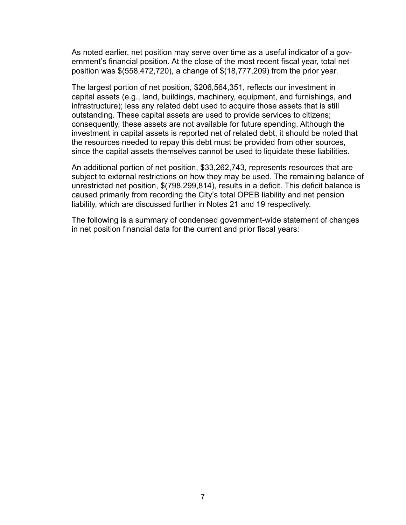As noted earlier, net position may serve over time as a useful indicator of a government's financial position. At the close of the most recent fiscal year, total net position was \$(558,472,720), a change of \$(18,777,209) from the prior year.

The largest portion of net position, \$206,564,351, reflects our investment in capital assets (e.g., land, buildings, machinery, equipment, and furnishings, and infrastructure); less any related debt used to acquire those assets that is still outstanding. These capital assets are used to provide services to citizens; consequently, these assets are not available for future spending. Although the investment in capital assets is reported net of related debt, it should be noted that the resources needed to repay this debt must be provided from other sources, since the capital assets themselves cannot be used to liquidate these liabilities.

An additional portion of net position, \$33,262,743, represents resources that are subject to external restrictions on how they may be used. The remaining balance of unrestricted net position, \$(798,299,814), results in a deficit. This deficit balance is caused primarily from recording the City's total OPEB liability and net pension liability, which are discussed further in Notes 21 and 19 respectively.

The following is a summary of condensed government-wide statement of changes in net position financial data for the current and prior fiscal years: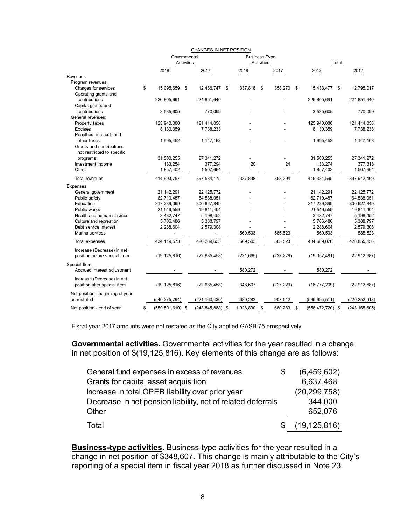|                                   | CHANGES IN NET POSITION |                      |            |                      |    |                      |    |            |    |                      |       |                 |
|-----------------------------------|-------------------------|----------------------|------------|----------------------|----|----------------------|----|------------|----|----------------------|-------|-----------------|
|                                   |                         | Governmental         |            |                      |    | <b>Business-Type</b> |    |            |    |                      |       |                 |
|                                   |                         |                      | Activities |                      |    | Activities           |    |            |    |                      | Total |                 |
|                                   |                         | 2018                 |            | 2017                 |    | 2018                 |    | 2017       |    | 2018                 |       | 2017            |
| Revenues                          |                         |                      |            |                      |    |                      |    |            |    |                      |       |                 |
| Program revenues:                 |                         |                      |            |                      |    |                      |    |            |    |                      |       |                 |
| Charges for services              | \$                      | 15,095,659           | \$         | 12,436,747           | \$ | 337,818              | \$ | 358,270    | \$ | 15,433,477           | - \$  | 12,795,017      |
| Operating grants and              |                         |                      |            |                      |    |                      |    |            |    |                      |       |                 |
| contributions                     |                         | 226,805,691          |            | 224,851,640          |    |                      |    |            |    | 226,805,691          |       | 224,851,640     |
| Capital grants and                |                         |                      |            |                      |    |                      |    |            |    |                      |       |                 |
| contributions                     |                         | 3,535,605            |            | 770,099              |    |                      |    |            |    | 3,535,605            |       | 770,099         |
| General revenues:                 |                         |                      |            |                      |    |                      |    |            |    |                      |       |                 |
| Property taxes                    |                         | 125,940,080          |            | 121,414,058          |    |                      |    |            |    | 125.940.080          |       | 121,414,058     |
| <b>Excises</b>                    |                         | 8,130,359            |            | 7,738,233            |    |                      |    |            |    | 8,130,359            |       | 7,738,233       |
| Penalties, interest, and          |                         |                      |            |                      |    |                      |    |            |    |                      |       |                 |
| other taxes                       |                         | 1,995,452            |            | 1, 147, 168          |    |                      |    |            |    | 1,995,452            |       | 1, 147, 168     |
| Grants and contributions          |                         |                      |            |                      |    |                      |    |            |    |                      |       |                 |
| not restricted to specific        |                         |                      |            |                      |    |                      |    |            |    |                      |       |                 |
| programs                          |                         | 31,500,255           |            | 27,341,272           |    |                      |    |            |    | 31,500,255           |       | 27,341,272      |
| Investment income                 |                         | 133,254              |            | 377,294              |    | 20                   |    | 24         |    | 133,274              |       | 377,318         |
| Other                             |                         | 1,857,402            |            | 1,507,664            |    |                      |    |            |    | 1,857,402            |       | 1,507,664       |
| <b>Total revenues</b>             |                         | 414,993,757          |            | 397,584,175          |    | 337,838              |    | 358,294    |    | 415,331,595          |       | 397,942,469     |
| Expenses                          |                         |                      |            |                      |    |                      |    |            |    |                      |       |                 |
| General government                |                         | 21, 142, 291         |            | 22, 125, 772         |    |                      |    |            |    | 21, 142, 291         |       | 22, 125, 772    |
| Public safety                     |                         | 62,710,487           |            | 64,538,051           |    |                      |    |            |    | 62,710,487           |       | 64,538,051      |
| Education                         |                         | 317,289,399          |            | 300,627,849          |    |                      |    |            |    | 317,289,399          |       | 300,627,849     |
| Public works                      |                         | 21,549,559           |            | 19,811,404           |    |                      |    |            |    | 21,549,559           |       | 19,811,404      |
| Health and human services         |                         | 3,432,747            |            | 5,198,452            |    |                      |    |            |    | 3,432,747            |       | 5,198,452       |
| Culture and recreation            |                         | 5,706,486            |            | 5,388,797            |    |                      |    |            |    | 5,706,486            |       | 5,388,797       |
| Debt service interest             |                         | 2,288,604            |            | 2,579,308            |    |                      |    |            |    | 2,288,604            |       | 2,579,308       |
| Marina services                   |                         |                      |            |                      |    | 569.503              |    | 585.523    |    | 569,503              |       | 585,523         |
| Total expenses                    |                         | 434, 119, 573        |            | 420,269,633          |    | 569,503              |    | 585,523    |    | 434,689,076          |       | 420,855,156     |
|                                   |                         |                      |            |                      |    |                      |    |            |    |                      |       |                 |
| Increase (Decrease) in net        |                         |                      |            |                      |    |                      |    |            |    |                      |       |                 |
| position before special item      |                         | (19, 125, 816)       |            | (22, 685, 458)       |    | (231, 665)           |    | (227, 229) |    | (19, 357, 481)       |       | (22, 912, 687)  |
| Special Item                      |                         |                      |            |                      |    |                      |    |            |    |                      |       |                 |
| Accrued interest adjustment       |                         |                      |            |                      |    | 580,272              |    |            |    | 580,272              |       |                 |
| Increase (Decrease) in net        |                         |                      |            |                      |    |                      |    |            |    |                      |       |                 |
| position after special item       |                         | (19, 125, 816)       |            | (22,685,458)         |    | 348,607              |    | (227, 229) |    | (18, 777, 209)       |       | (22, 912, 687)  |
| Net position - beginning of year, |                         |                      |            |                      |    |                      |    |            |    |                      |       |                 |
| as restated                       |                         | (540, 375, 794)      |            | (221, 160, 430)      |    | 680,283              |    | 907,512    |    | (539, 695, 511)      |       | (220, 252, 918) |
|                                   |                         |                      |            |                      |    |                      |    |            |    |                      |       |                 |
| Net position - end of year        | \$                      | $(559, 501, 610)$ \$ |            | $(243, 845, 888)$ \$ |    | 1,028,890            | \$ | 680,283    | \$ | $(558, 472, 720)$ \$ |       | (243, 165, 605) |

#### CHANGES IN NET POSITION

Fiscal year 2017 amounts were not restated as the City applied GASB 75 prospectively.

**Governmental activities.** Governmental activities for the year resulted in a change in net position of  $\frac{1}{2}$ (19,125,816). Key elements of this change are as follows:

| General fund expenses in excess of revenues                 | (6,459,602)    |
|-------------------------------------------------------------|----------------|
| Grants for capital asset acquisition                        | 6,637,468      |
| Increase in total OPEB liability over prior year            | (20, 299, 758) |
| Decrease in net pension liability, net of related deferrals | 344,000        |
| Other                                                       | 652,076        |
| Total                                                       | (19, 125, 816) |

**Business-type activities.** Business-type activities for the year resulted in a change in net position of \$348,607. This change is mainly attributable to the City's reporting of a special item in fiscal year 2018 as further discussed in Note 23.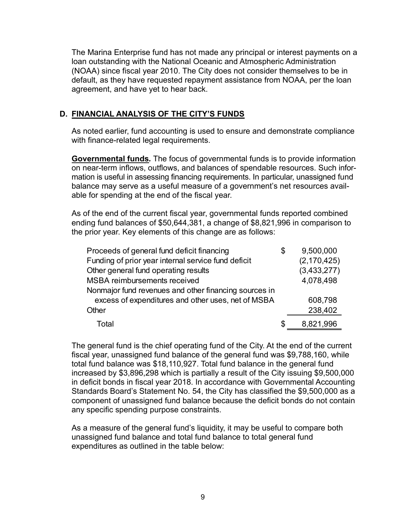The Marina Enterprise fund has not made any principal or interest payments on a loan outstanding with the National Oceanic and Atmospheric Administration (NOAA) since fiscal year 2010. The City does not consider themselves to be in default, as they have requested repayment assistance from NOAA, per the loan agreement, and have yet to hear back.

# **D. FINANCIAL ANALYSIS OF THE CITY'S FUNDS**

As noted earlier, fund accounting is used to ensure and demonstrate compliance with finance-related legal requirements.

**Governmental funds***.* The focus of governmental funds is to provide information on near-term inflows, outflows, and balances of spendable resources. Such information is useful in assessing financing requirements. In particular, unassigned fund balance may serve as a useful measure of a government's net resources available for spending at the end of the fiscal year.

As of the end of the current fiscal year, governmental funds reported combined ending fund balances of \$50,644,381, a change of \$8,821,996 in comparison to the prior year. Key elements of this change are as follows:

| Proceeds of general fund deficit financing            | \$ | 9,500,000     |
|-------------------------------------------------------|----|---------------|
| Funding of prior year internal service fund deficit   |    | (2, 170, 425) |
| Other general fund operating results                  |    | (3,433,277)   |
| <b>MSBA reimbursements received</b>                   |    | 4,078,498     |
| Nonmajor fund revenues and other financing sources in |    |               |
| excess of expenditures and other uses, net of MSBA    |    | 608,798       |
| Other                                                 |    | 238,402       |
| Total                                                 | S  | 8,821,996     |

The general fund is the chief operating fund of the City. At the end of the current fiscal year, unassigned fund balance of the general fund was \$9,788,160, while total fund balance was \$18,110,927. Total fund balance in the general fund increased by \$3,896,298 which is partially a result of the City issuing \$9,500,000 in deficit bonds in fiscal year 2018. In accordance with Governmental Accounting Standards Board's Statement No. 54, the City has classified the \$9,500,000 as a component of unassigned fund balance because the deficit bonds do not contain any specific spending purpose constraints.

As a measure of the general fund's liquidity, it may be useful to compare both unassigned fund balance and total fund balance to total general fund expenditures as outlined in the table below: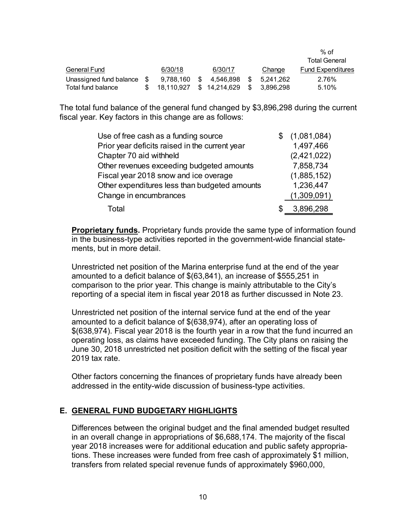|                            |            |              |      |           | % of                     |
|----------------------------|------------|--------------|------|-----------|--------------------------|
|                            |            |              |      |           | <b>Total General</b>     |
| <b>General Fund</b>        | 6/30/18    | 6/30/17      |      | Change    | <b>Fund Expenditures</b> |
| Unassigned fund balance \$ | 9.788.160  | 4.546.898    | - \$ | 5.241.262 | 2.76%                    |
| Total fund balance         | 18.110.927 | \$14,214,629 | -SS  | 3.896.298 | 5.10%                    |

The total fund balance of the general fund changed by \$3,896,298 during the current fiscal year. Key factors in this change are as follows:

| Use of free cash as a funding source           | (1,081,084) |
|------------------------------------------------|-------------|
| Prior year deficits raised in the current year | 1,497,466   |
| Chapter 70 aid withheld                        | (2,421,022) |
| Other revenues exceeding budgeted amounts      | 7,858,734   |
| Fiscal year 2018 snow and ice overage          | (1,885,152) |
| Other expenditures less than budgeted amounts  | 1,236,447   |
| Change in encumbrances                         | (1,309,091) |
| Total                                          | 3,896,298   |

**Proprietary funds.** Proprietary funds provide the same type of information found in the business-type activities reported in the government-wide financial statements, but in more detail.

Unrestricted net position of the Marina enterprise fund at the end of the year amounted to a deficit balance of \$(63,841), an increase of \$555,251 in comparison to the prior year. This change is mainly attributable to the City's reporting of a special item in fiscal year 2018 as further discussed in Note 23.

Unrestricted net position of the internal service fund at the end of the year amounted to a deficit balance of \$(638,974), after an operating loss of \$(638,974). Fiscal year 2018 is the fourth year in a row that the fund incurred an operating loss, as claims have exceeded funding. The City plans on raising the June 30, 2018 unrestricted net position deficit with the setting of the fiscal year 2019 tax rate.

Other factors concerning the finances of proprietary funds have already been addressed in the entity-wide discussion of business-type activities.

## **E. GENERAL FUND BUDGETARY HIGHLIGHTS**

Differences between the original budget and the final amended budget resulted in an overall change in appropriations of \$6,688,174. The majority of the fiscal year 2018 increases were for additional education and public safety appropriations. These increases were funded from free cash of approximately \$1 million, transfers from related special revenue funds of approximately \$960,000,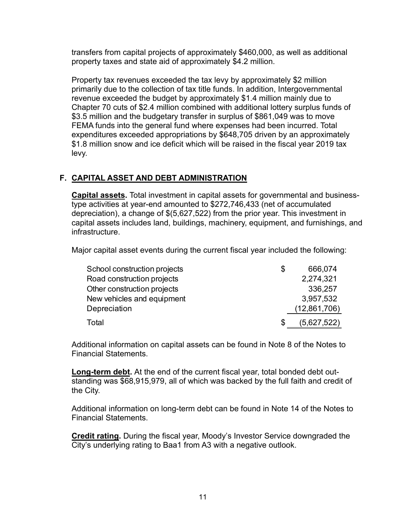transfers from capital projects of approximately \$460,000, as well as additional property taxes and state aid of approximately \$4.2 million.

Property tax revenues exceeded the tax levy by approximately \$2 million primarily due to the collection of tax title funds. In addition, Intergovernmental revenue exceeded the budget by approximately \$1.4 million mainly due to Chapter 70 cuts of \$2.4 million combined with additional lottery surplus funds of \$3.5 million and the budgetary transfer in surplus of \$861,049 was to move FEMA funds into the general fund where expenses had been incurred. Total expenditures exceeded appropriations by \$648,705 driven by an approximately \$1.8 million snow and ice deficit which will be raised in the fiscal year 2019 tax levy.

# **F. CAPITAL ASSET AND DEBT ADMINISTRATION**

**Capital assets.** Total investment in capital assets for governmental and businesstype activities at year-end amounted to \$272,746,433 (net of accumulated depreciation), a change of \$(5,627,522) from the prior year. This investment in capital assets includes land, buildings, machinery, equipment, and furnishings, and infrastructure.

Major capital asset events during the current fiscal year included the following:

| School construction projects | S | 666,074      |
|------------------------------|---|--------------|
| Road construction projects   |   | 2,274,321    |
| Other construction projects  |   | 336,257      |
| New vehicles and equipment   |   | 3,957,532    |
| Depreciation                 |   | (12,861,706) |
| Total                        | S | (5,627,522)  |

Additional information on capital assets can be found in Note 8 of the Notes to Financial Statements.

**Long-term debt.** At the end of the current fiscal year, total bonded debt outstanding was \$68,915,979, all of which was backed by the full faith and credit of the City.

Additional information on long-term debt can be found in Note 14 of the Notes to Financial Statements.

**Credit rating.** During the fiscal year, Moody's Investor Service downgraded the City's underlying rating to Baa1 from A3 with a negative outlook.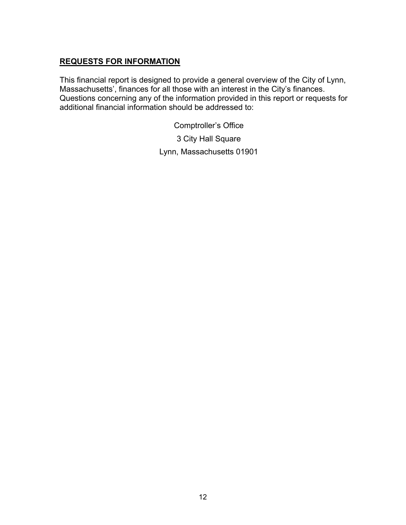# **REQUESTS FOR INFORMATION**

This financial report is designed to provide a general overview of the City of Lynn, Massachusetts', finances for all those with an interest in the City's finances. Questions concerning any of the information provided in this report or requests for additional financial information should be addressed to:

Comptroller's Office

3 City Hall Square

Lynn, Massachusetts 01901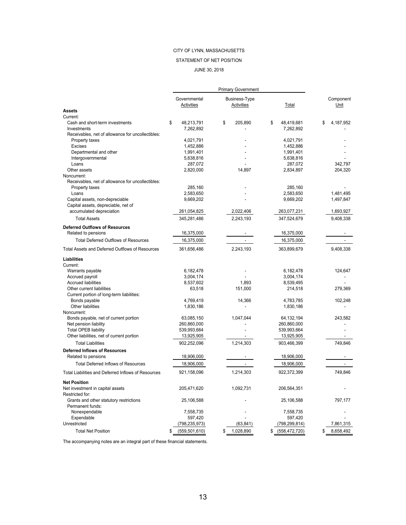#### STATEMENT OF NET POSITION

#### JUNE 30, 2018

|                                                              |                               | <b>Primary Government</b>   |                               |                           |
|--------------------------------------------------------------|-------------------------------|-----------------------------|-------------------------------|---------------------------|
|                                                              | Governmental<br>Activities    | Business-Type<br>Activities | Total                         | Component<br>Unit         |
| <b>Assets</b>                                                |                               |                             |                               |                           |
| Current:                                                     |                               |                             |                               |                           |
| Cash and short-term investments<br>Investments               | \$<br>48,213,791<br>7,262,892 | \$<br>205,890               | \$<br>48.419.681<br>7,262,892 | \$<br>4,187,952           |
| Receivables, net of allowance for uncollectibles:            |                               |                             |                               |                           |
| Property taxes<br>Excises                                    | 4,021,791<br>1,452,886        |                             | 4,021,791<br>1,452,886        |                           |
| Departmental and other                                       | 1,991,401                     |                             | 1,991,401                     |                           |
| Intergovernmental                                            | 5,638,816                     | $\blacksquare$              | 5,638,816                     |                           |
| Loans                                                        | 287,072                       |                             | 287,072                       | 342,797                   |
| Other assets                                                 | 2,820,000                     | 14,897                      | 2,834,897                     | 204,320                   |
| Noncurrent:                                                  |                               |                             |                               |                           |
| Receivables, net of allowance for uncollectibles:            |                               |                             |                               |                           |
| Property taxes                                               | 285,160                       |                             | 285,160                       |                           |
| Loans                                                        | 2,583,650                     |                             | 2,583,650                     | 1,481,495                 |
| Capital assets, non-depreciable                              | 9,669,202                     |                             | 9,669,202                     | 1,497,847                 |
| Capital assets, depreciable, net of                          |                               |                             |                               |                           |
| accumulated depreciation                                     | 261,054,825                   | 2,022,406                   | 263,077,231                   | 1,693,927                 |
| <b>Total Assets</b><br><b>Deferred Outflows of Resources</b> | 345,281,486                   | 2,243,193                   | 347,524,679                   | 9,408,338                 |
| Related to pensions                                          | 16,375,000                    |                             | 16,375,000                    |                           |
| <b>Total Deferred Outflows of Resources</b>                  | 16,375,000                    | ÷.                          | 16,375,000                    |                           |
| Total Assets and Deferred Outflows of Resources              | 361,656,486                   | 2,243,193                   | 363,899,679                   | 9,408,338                 |
| Liabilities                                                  |                               |                             |                               |                           |
| Current:                                                     |                               |                             |                               |                           |
| Warrants payable                                             | 6,182,478                     |                             | 6,182,478                     | 124,647                   |
| Accrued payroll                                              | 3,004,174                     |                             | 3,004,174                     |                           |
| <b>Accrued liabilities</b>                                   | 8,537,602                     | 1,893                       | 8,539,495                     |                           |
| Other current liabilities                                    | 63,518                        | 151,000                     | 214,518                       | 279,369                   |
| Current portion of long-term liabilities:                    |                               |                             |                               |                           |
| Bonds payable                                                | 4,769,419                     | 14,366                      | 4,783,785                     | 102,248                   |
| Other liabilities                                            | 1,830,186                     |                             | 1,830,186                     |                           |
| Noncurrent:                                                  |                               |                             |                               |                           |
| Bonds payable, net of current portion                        | 63,085,150                    | 1,047,044                   | 64, 132, 194                  | 243,582<br>$\overline{a}$ |
| Net pension liability<br><b>Total OPEB liability</b>         | 260,860,000<br>539,993,664    |                             | 260,860,000<br>539,993,664    |                           |
| Other liabilities, net of current portion                    | 13,925,905                    |                             | 13,925,905                    |                           |
| <b>Total Liabilities</b>                                     | 902,252,096                   | 1,214,303                   | 903,466,399                   | 749,846                   |
| <b>Deferred Inflows of Resources</b>                         |                               |                             |                               |                           |
| Related to pensions                                          | 18,906,000                    |                             | 18,906,000                    |                           |
| <b>Total Deferred Inflows of Resources</b>                   |                               | $\mathcal{L}^{\mathcal{L}}$ |                               | ÷.                        |
|                                                              | 18,906,000                    |                             | 18,906,000                    |                           |
| Total Liabilities and Deferred Inflows of Resources          | 921,158,096                   | 1,214,303                   | 922,372,399                   | 749,846                   |
| <b>Net Position</b>                                          |                               |                             |                               |                           |
| Net investment in capital assets                             | 205,471,620                   | 1,092,731                   | 206,564,351                   |                           |
| Restricted for:                                              |                               |                             |                               |                           |
| Grants and other statutory restrictions<br>Permanent funds:  | 25,106,588                    |                             | 25,106,588                    | 797,177                   |
| Nonexpendable                                                | 7,558,735                     |                             | 7,558,735                     |                           |
| Expendable                                                   | 597,420                       |                             | 597,420                       |                           |
| Unrestricted                                                 | (798,235,973)                 | (63, 841)                   | (798,299,814)                 | 7,861,315                 |
| <b>Total Net Position</b>                                    | \$<br>(559, 501, 610)         | \$<br>1,028,890             | \$<br>(558, 472, 720)         | \$<br>8,658,492           |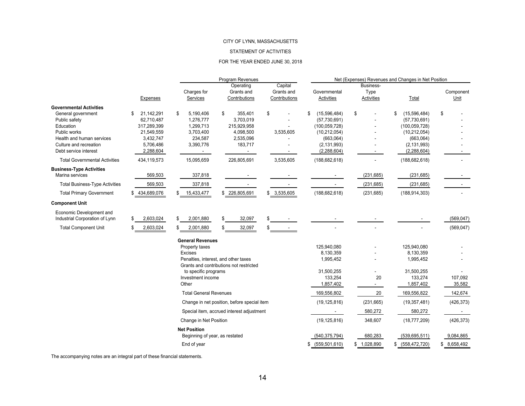#### STATEMENT OF ACTIVITIES

#### FOR THE YEAR ENDED JUNE 30, 2018

|                                                                                                                                                                                    |                                                                                                   |                                                                                                                                                           | Program Revenues                                                                                 |                                        | Net (Expenses) Revenues and Changes in Net Position                                                                    |                                        |                                                                                                                        |                   |  |  |  |
|------------------------------------------------------------------------------------------------------------------------------------------------------------------------------------|---------------------------------------------------------------------------------------------------|-----------------------------------------------------------------------------------------------------------------------------------------------------------|--------------------------------------------------------------------------------------------------|----------------------------------------|------------------------------------------------------------------------------------------------------------------------|----------------------------------------|------------------------------------------------------------------------------------------------------------------------|-------------------|--|--|--|
|                                                                                                                                                                                    | Expenses                                                                                          | Charges for<br>Services                                                                                                                                   | Operating<br>Grants and<br>Contributions                                                         | Capital<br>Grants and<br>Contributions | Governmental<br>Activities                                                                                             | Business-<br>Type<br><b>Activities</b> | Total                                                                                                                  | Component<br>Unit |  |  |  |
| <b>Governmental Activities</b><br>General government<br>Public safety<br>Education<br>Public works<br>Health and human services<br>Culture and recreation<br>Debt service interest | 21,142,291<br>S<br>62,710,487<br>317,289,399<br>21,549,559<br>3,432,747<br>5,706,486<br>2,288,604 | 5,190,406<br>\$<br>1,276,777<br>1,299,713<br>3,703,400<br>234,587<br>3,390,776<br>$\overline{\phantom{a}}$                                                | \$<br>355,401<br>3,703,019<br>215,929,958<br>4,098,500<br>2,535,096<br>183,717<br>$\blacksquare$ | S<br>3,535,605                         | (15,596,484)<br>\$<br>(57,730,691)<br>(100, 059, 728)<br>(10, 212, 054)<br>(663,064)<br>(2, 131, 993)<br>(2, 288, 604) | \$<br>$\blacksquare$                   | \$<br>(15,596,484)<br>(57,730,691)<br>(100, 059, 728)<br>(10, 212, 054)<br>(663,064)<br>(2, 131, 993)<br>(2, 288, 604) | \$                |  |  |  |
| <b>Total Governmental Activities</b>                                                                                                                                               | 434,119,573                                                                                       | 15,095,659                                                                                                                                                | 226,805,691                                                                                      | 3,535,605                              | (188, 682, 618)                                                                                                        |                                        | (188, 682, 618)                                                                                                        |                   |  |  |  |
| <b>Business-Type Activities</b><br>Marina services                                                                                                                                 | 569,503                                                                                           | 337,818                                                                                                                                                   |                                                                                                  |                                        |                                                                                                                        | (231, 685)                             | (231, 685)                                                                                                             |                   |  |  |  |
| <b>Total Business-Type Activities</b>                                                                                                                                              | 569,503                                                                                           | 337,818                                                                                                                                                   |                                                                                                  |                                        |                                                                                                                        | (231, 685)                             | (231, 685)                                                                                                             |                   |  |  |  |
| <b>Total Primary Government</b>                                                                                                                                                    | \$ 434,689,076                                                                                    | 15,433,477                                                                                                                                                | \$226,805,691                                                                                    | \$ 3,535,605                           | (188, 682, 618)                                                                                                        | (231, 685)                             | (188, 914, 303)                                                                                                        |                   |  |  |  |
| <b>Component Unit</b>                                                                                                                                                              |                                                                                                   |                                                                                                                                                           |                                                                                                  |                                        |                                                                                                                        |                                        |                                                                                                                        |                   |  |  |  |
| Economic Development and<br>Industrial Corporation of Lynn                                                                                                                         | 2,603,024                                                                                         | 2,001,880<br>\$                                                                                                                                           | 32,097<br>\$                                                                                     |                                        |                                                                                                                        |                                        |                                                                                                                        | (569, 047)        |  |  |  |
| <b>Total Component Unit</b>                                                                                                                                                        | 2,603,024                                                                                         | 2,001,880<br>\$                                                                                                                                           | 32,097<br>\$                                                                                     | \$                                     |                                                                                                                        |                                        |                                                                                                                        | (569, 047)        |  |  |  |
|                                                                                                                                                                                    |                                                                                                   | <b>General Revenues</b><br>Property taxes<br><b>Excises</b><br>Penalties, interest, and other taxes<br>to specific programs<br>Investment income<br>Other | Grants and contributions not restricted                                                          |                                        | 125,940,080<br>8,130,359<br>1,995,452<br>31,500,255<br>133,254<br>1,857,402                                            | 20<br>$\blacksquare$                   | 125,940,080<br>8,130,359<br>1,995,452<br>31,500,255<br>133,274<br>1,857,402                                            | 107,092<br>35,582 |  |  |  |
|                                                                                                                                                                                    |                                                                                                   | <b>Total General Revenues</b>                                                                                                                             |                                                                                                  |                                        | 169,556,802                                                                                                            | 20                                     | 169,556,822                                                                                                            | 142,674           |  |  |  |
|                                                                                                                                                                                    |                                                                                                   |                                                                                                                                                           | Change in net position, before special item                                                      |                                        | (19, 125, 816)                                                                                                         | (231, 665)                             | (19, 357, 481)                                                                                                         | (426, 373)        |  |  |  |
|                                                                                                                                                                                    |                                                                                                   |                                                                                                                                                           | Special item, accrued interest adjustment                                                        |                                        |                                                                                                                        | 580,272                                | 580,272                                                                                                                |                   |  |  |  |
|                                                                                                                                                                                    |                                                                                                   | Change in Net Position                                                                                                                                    |                                                                                                  |                                        | (19, 125, 816)                                                                                                         | 348,607                                | (18, 777, 209)                                                                                                         | (426, 373)        |  |  |  |
|                                                                                                                                                                                    |                                                                                                   | <b>Net Position</b><br>Beginning of year, as restated                                                                                                     |                                                                                                  |                                        | (540, 375, 794)                                                                                                        | 680,283                                | (539, 695, 511)                                                                                                        | 9,084,865         |  |  |  |
|                                                                                                                                                                                    |                                                                                                   | End of year                                                                                                                                               |                                                                                                  |                                        | \$ (559, 501, 610)                                                                                                     | \$1,028,890                            | (558, 472, 720)<br>\$                                                                                                  | 8,658,492<br>\$   |  |  |  |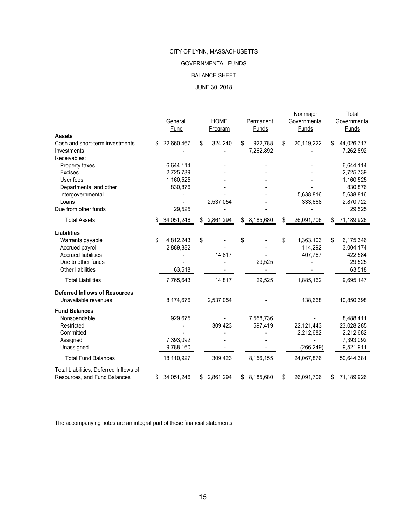#### GOVERNMENTAL FUNDS

#### BALANCE SHEET

#### JUNE 30, 2018

|                                        | General<br>Fund  |     | <b>HOME</b><br>Program | Permanent<br>Funds | Nonmajor<br>Governmental<br>Funds |     | Total<br>Governmental<br><b>Funds</b> |
|----------------------------------------|------------------|-----|------------------------|--------------------|-----------------------------------|-----|---------------------------------------|
| <b>Assets</b>                          |                  |     |                        |                    |                                   |     |                                       |
| Cash and short-term investments        | \$<br>22,660,467 | \$  | 324,240                | \$<br>922,788      | \$<br>20,119,222                  | \$  | 44,026,717                            |
| Investments                            |                  |     |                        | 7,262,892          |                                   |     | 7,262,892                             |
| Receivables:                           |                  |     |                        |                    |                                   |     |                                       |
| Property taxes                         | 6,644,114        |     |                        |                    |                                   |     | 6,644,114                             |
| <b>Excises</b>                         | 2,725,739        |     |                        |                    |                                   |     | 2,725,739                             |
| User fees                              | 1,160,525        |     |                        |                    |                                   |     | 1,160,525                             |
| Departmental and other                 | 830,876          |     |                        |                    |                                   |     | 830,876                               |
| Intergovernmental                      |                  |     |                        |                    | 5,638,816                         |     | 5,638,816                             |
| Loans                                  |                  |     | 2,537,054              |                    | 333,668                           |     | 2,870,722                             |
| Due from other funds                   | 29,525           |     |                        |                    |                                   |     | 29,525                                |
| <b>Total Assets</b>                    | \$<br>34,051,246 | \$  | 2,861,294              | \$8,185,680        | \$<br>26,091,706                  | S   | 71,189,926                            |
| <b>Liabilities</b>                     |                  |     |                        |                    |                                   |     |                                       |
| Warrants payable                       | \$<br>4,812,243  | \$  |                        | \$                 | \$<br>1,363,103                   | \$  | 6,175,346                             |
| Accrued payroll                        | 2,889,882        |     |                        |                    | 114,292                           |     | 3,004,174                             |
| <b>Accrued liabilities</b>             |                  |     | 14,817                 |                    | 407,767                           |     | 422,584                               |
| Due to other funds                     |                  |     |                        | 29,525             |                                   |     | 29,525                                |
| Other liabilities                      | 63,518           |     |                        |                    |                                   |     | 63,518                                |
| <b>Total Liabilities</b>               | 7,765,643        |     | 14,817                 | 29,525             | 1,885,162                         |     | 9,695,147                             |
| <b>Deferred Inflows of Resources</b>   |                  |     |                        |                    |                                   |     |                                       |
| Unavailable revenues                   | 8,174,676        |     | 2,537,054              |                    | 138,668                           |     | 10,850,398                            |
| <b>Fund Balances</b>                   |                  |     |                        |                    |                                   |     |                                       |
| Nonspendable                           | 929,675          |     |                        | 7,558,736          |                                   |     | 8,488,411                             |
| Restricted                             |                  |     | 309,423                | 597,419            | 22,121,443                        |     | 23,028,285                            |
| Committed                              |                  |     |                        |                    | 2,212,682                         |     | 2,212,682                             |
| Assigned                               | 7,393,092        |     |                        |                    |                                   |     | 7,393,092                             |
| Unassigned                             | 9,788,160        |     |                        |                    | (266, 249)                        |     | 9,521,911                             |
| <b>Total Fund Balances</b>             | 18,110,927       |     | 309,423                | 8,156,155          | 24,067,876                        |     | 50,644,381                            |
| Total Liabilities, Deferred Inflows of |                  |     |                        |                    |                                   |     |                                       |
| Resources, and Fund Balances           | \$<br>34,051,246 | \$. | 2,861,294              | \$<br>8,185,680    | \$<br>26,091,706                  | \$. | 71,189,926                            |
|                                        |                  |     |                        |                    |                                   |     |                                       |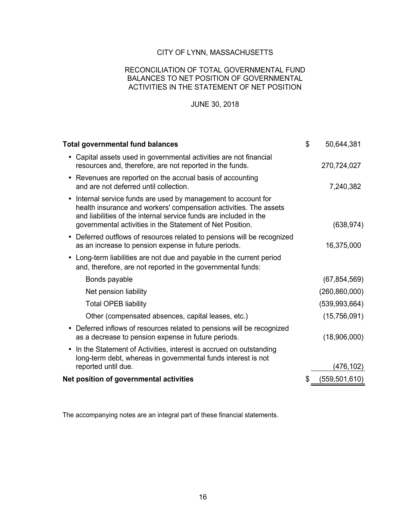#### RECONCILIATION OF TOTAL GOVERNMENTAL FUND BALANCES TO NET POSITION OF GOVERNMENTAL ACTIVITIES IN THE STATEMENT OF NET POSITION

### JUNE 30, 2018

| <b>Total governmental fund balances</b>                                                                                                                                                                                                                                          | \$<br>50,644,381 |
|----------------------------------------------------------------------------------------------------------------------------------------------------------------------------------------------------------------------------------------------------------------------------------|------------------|
| • Capital assets used in governmental activities are not financial<br>resources and, therefore, are not reported in the funds.                                                                                                                                                   | 270,724,027      |
| • Revenues are reported on the accrual basis of accounting<br>and are not deferred until collection.                                                                                                                                                                             | 7,240,382        |
| Internal service funds are used by management to account for<br>$\bullet$<br>health insurance and workers' compensation activities. The assets<br>and liabilities of the internal service funds are included in the<br>governmental activities in the Statement of Net Position. | (638, 974)       |
| Deferred outflows of resources related to pensions will be recognized<br>as an increase to pension expense in future periods.                                                                                                                                                    | 16,375,000       |
| Long-term liabilities are not due and payable in the current period<br>and, therefore, are not reported in the governmental funds:                                                                                                                                               |                  |
| Bonds payable                                                                                                                                                                                                                                                                    | (67, 854, 569)   |
| Net pension liability                                                                                                                                                                                                                                                            | (260, 860, 000)  |
| <b>Total OPEB liability</b>                                                                                                                                                                                                                                                      | (539, 993, 664)  |
| Other (compensated absences, capital leases, etc.)                                                                                                                                                                                                                               | (15,756,091)     |
| Deferred inflows of resources related to pensions will be recognized<br>$\bullet$<br>as a decrease to pension expense in future periods.                                                                                                                                         | (18,906,000)     |
| In the Statement of Activities, interest is accrued on outstanding<br>$\bullet$<br>long-term debt, whereas in governmental funds interest is not                                                                                                                                 |                  |
| reported until due.                                                                                                                                                                                                                                                              | (476,102)        |
| Net position of governmental activities                                                                                                                                                                                                                                          | (559,501,610)    |
|                                                                                                                                                                                                                                                                                  |                  |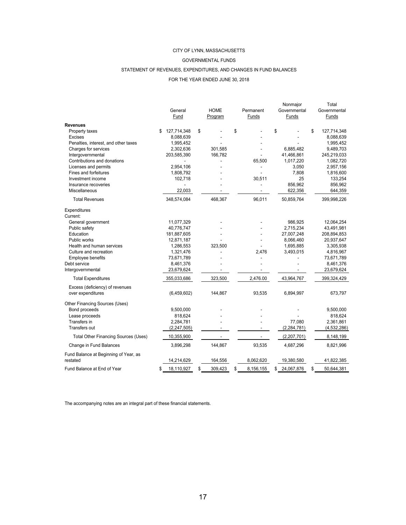#### GOVERNMENTAL FUNDS

#### STATEMENT OF REVENUES, EXPENDITURES, AND CHANGES IN FUND BALANCES

#### FOR THE YEAR ENDED JUNE 30, 2018

|                                                      | General<br>Fund   |    | <b>HOME</b><br>Program | Permanent<br>Funds | Nonmajor<br>Governmental<br>Funds | Total<br>Governmental<br>Funds |
|------------------------------------------------------|-------------------|----|------------------------|--------------------|-----------------------------------|--------------------------------|
| <b>Revenues</b>                                      |                   |    |                        |                    |                                   |                                |
| Property taxes                                       | \$<br>127,714,348 | \$ |                        | \$                 | \$                                | \$<br>127,714,348              |
| <b>Excises</b>                                       | 8,088,639         |    |                        |                    |                                   | 8,088,639                      |
| Penalties, interest, and other taxes                 | 1,995,452         |    |                        |                    |                                   | 1,995,452                      |
| Charges for services                                 | 2,302,636         |    | 301.585                |                    | 6.885.482                         | 9,489,703                      |
| Intergovernmental                                    | 203,585,390       |    | 166,782                |                    | 41,466,861                        | 245,219,033                    |
| Contributions and donations                          |                   |    |                        | 65,500             | 1,017,220                         | 1,082,720                      |
| Licenses and permits                                 | 2,954,106         |    |                        |                    | 3,050                             | 2,957,156                      |
| <b>Fines and forfeitures</b>                         | 1,808,792         |    |                        |                    | 7,808                             | 1,816,600                      |
| Investment income                                    | 102,718           |    |                        | 30,511             | 25                                | 133,254                        |
| Insurance recoveries                                 |                   |    |                        |                    | 856,962                           | 856,962                        |
| <b>Miscellaneous</b>                                 | 22,003            |    |                        |                    | 622,356                           | 644,359                        |
| <b>Total Revenues</b>                                | 348,574,084       |    | 468,367                | 96,011             | 50,859,764                        | 399,998,226                    |
| Expenditures<br>Current:                             |                   |    |                        |                    |                                   |                                |
| General government                                   | 11,077,329        |    |                        |                    | 986,925                           | 12,064,254                     |
| Public safety                                        | 40,776,747        |    |                        |                    | 2,715,234                         | 43,491,981                     |
| Education                                            | 181,887,605       |    |                        |                    | 27,007,248                        | 208,894,853                    |
| Public works                                         | 12,871,187        |    |                        |                    | 8,066,460                         | 20,937,647                     |
| Health and human services                            | 1,286,553         |    | 323,500                |                    | 1,695,885                         | 3,305,938                      |
| Culture and recreation                               | 1,321,476         |    |                        | 2,476              | 3,493,015                         | 4,816,967                      |
| Employee benefits                                    | 73,671,789        |    |                        |                    |                                   | 73,671,789                     |
| Debt service                                         | 8,461,376         |    |                        |                    |                                   | 8,461,376                      |
| Intergovernmental                                    | 23,679,624        |    |                        |                    |                                   | 23,679,624                     |
| <b>Total Expenditures</b>                            | 355,033,686       |    | 323,500                | 2,476.00           | 43,964,767                        | 399,324,429                    |
| Excess (deficiency) of revenues<br>over expenditures | (6,459,602)       |    | 144,867                | 93,535             | 6,894,997                         | 673,797                        |
| Other Financing Sources (Uses)<br>Bond proceeds      | 9,500,000         |    |                        |                    |                                   | 9,500,000                      |
| Lease proceeds                                       | 818,624           |    |                        |                    |                                   | 818,624                        |
| Transfers in                                         | 2,284,781         |    |                        |                    | 77.080                            | 2,361,861                      |
| Transfers out                                        | (2, 247, 505)     |    |                        |                    | (2, 284, 781)                     | (4,532,286)                    |
| Total Other Financing Sources (Uses)                 | 10,355,900        |    |                        |                    | (2,207,701)                       | 8,148,199                      |
| Change in Fund Balances                              | 3,896,298         |    | 144,867                | 93,535             | 4,687,296                         | 8,821,996                      |
| Fund Balance at Beginning of Year, as                |                   |    |                        |                    |                                   |                                |
| restated                                             | 14,214,629        |    | 164,556                | 8,062,620          | 19,380,580                        | 41,822,385                     |
| Fund Balance at End of Year                          | \$<br>18,110,927  | \$ | 309,423                | \$<br>8,156,155    | \$<br>24.067.876                  | \$<br>50,644,381               |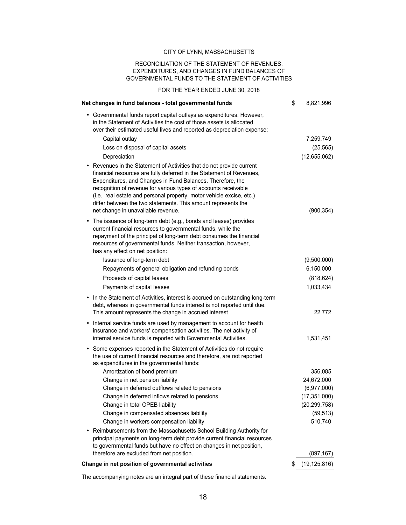#### RECONCILIATION OF THE STATEMENT OF REVENUES, EXPENDITURES, AND CHANGES IN FUND BALANCES OF GOVERNMENTAL FUNDS TO THE STATEMENT OF ACTIVITIES

FOR THE YEAR ENDED JUNE 30, 2018

| Net changes in fund balances - total governmental funds                                                                                                                                                                                                                                                                                                                                                                                                        | \$<br>8,821,996      |
|----------------------------------------------------------------------------------------------------------------------------------------------------------------------------------------------------------------------------------------------------------------------------------------------------------------------------------------------------------------------------------------------------------------------------------------------------------------|----------------------|
| • Governmental funds report capital outlays as expenditures. However,<br>in the Statement of Activities the cost of those assets is allocated<br>over their estimated useful lives and reported as depreciation expense:                                                                                                                                                                                                                                       |                      |
| Capital outlay                                                                                                                                                                                                                                                                                                                                                                                                                                                 | 7,259,749            |
| Loss on disposal of capital assets                                                                                                                                                                                                                                                                                                                                                                                                                             | (25, 565)            |
| Depreciation                                                                                                                                                                                                                                                                                                                                                                                                                                                   | (12,655,062)         |
| • Revenues in the Statement of Activities that do not provide current<br>financial resources are fully deferred in the Statement of Revenues,<br>Expenditures, and Changes in Fund Balances. Therefore, the<br>recognition of revenue for various types of accounts receivable<br>(i.e., real estate and personal property, motor vehicle excise, etc.)<br>differ between the two statements. This amount represents the<br>net change in unavailable revenue. | (900, 354)           |
| • The issuance of long-term debt (e.g., bonds and leases) provides<br>current financial resources to governmental funds, while the<br>repayment of the principal of long-term debt consumes the financial<br>resources of governmental funds. Neither transaction, however,<br>has any effect on net position:                                                                                                                                                 |                      |
| Issuance of long-term debt                                                                                                                                                                                                                                                                                                                                                                                                                                     | (9,500,000)          |
| Repayments of general obligation and refunding bonds                                                                                                                                                                                                                                                                                                                                                                                                           | 6,150,000            |
| Proceeds of capital leases                                                                                                                                                                                                                                                                                                                                                                                                                                     | (818, 624)           |
| Payments of capital leases                                                                                                                                                                                                                                                                                                                                                                                                                                     | 1,033,434            |
| • In the Statement of Activities, interest is accrued on outstanding long-term<br>debt, whereas in governmental funds interest is not reported until due.<br>This amount represents the change in accrued interest                                                                                                                                                                                                                                             | 22,772               |
| Internal service funds are used by management to account for health<br>٠<br>insurance and workers' compensation activities. The net activity of<br>internal service funds is reported with Governmental Activities.                                                                                                                                                                                                                                            | 1,531,451            |
| Some expenses reported in the Statement of Activities do not require<br>$\bullet$<br>the use of current financial resources and therefore, are not reported<br>as expenditures in the governmental funds:                                                                                                                                                                                                                                                      |                      |
| Amortization of bond premium                                                                                                                                                                                                                                                                                                                                                                                                                                   | 356,085              |
| Change in net pension liability                                                                                                                                                                                                                                                                                                                                                                                                                                | 24,672,000           |
| Change in deferred outflows related to pensions                                                                                                                                                                                                                                                                                                                                                                                                                | (6,977,000)          |
| Change in deferred inflows related to pensions                                                                                                                                                                                                                                                                                                                                                                                                                 | (17, 351, 000)       |
| Change in total OPEB liability                                                                                                                                                                                                                                                                                                                                                                                                                                 | (20, 299, 758)       |
| Change in compensated absences liability                                                                                                                                                                                                                                                                                                                                                                                                                       | (59, 513)            |
| Change in workers compensation liability<br>Reimbursements from the Massachusetts School Building Authority for<br>٠<br>principal payments on long-term debt provide current financial resources<br>to governmental funds but have no effect on changes in net position,                                                                                                                                                                                       | 510,740              |
| therefore are excluded from net position.                                                                                                                                                                                                                                                                                                                                                                                                                      | (897,167)            |
| Change in net position of governmental activities                                                                                                                                                                                                                                                                                                                                                                                                              | \$<br>(19, 125, 816) |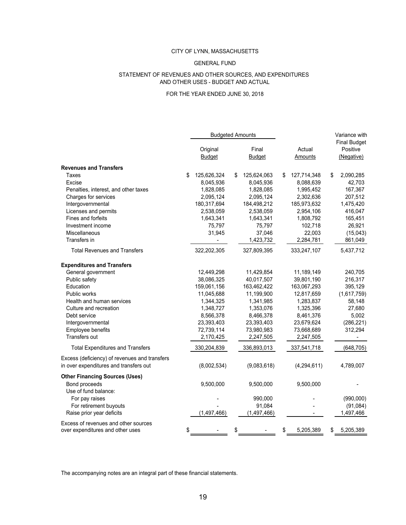#### GENERAL FUND

#### AND OTHER USES - BUDGET AND ACTUAL STATEMENT OF REVENUES AND OTHER SOURCES, AND EXPENDITURES

#### FOR THE YEAR ENDED JUNE 30, 2018

|                                                                                         | <b>Budgeted Amounts</b>   |    |                        |                   | Variance with                                 |
|-----------------------------------------------------------------------------------------|---------------------------|----|------------------------|-------------------|-----------------------------------------------|
|                                                                                         | Original<br><b>Budget</b> |    | Final<br><b>Budget</b> | Actual<br>Amounts | <b>Final Budget</b><br>Positive<br>(Negative) |
| <b>Revenues and Transfers</b>                                                           |                           |    |                        |                   |                                               |
| Taxes                                                                                   | \$<br>125,626,324         | \$ | 125,624,063            | \$<br>127,714,348 | \$<br>2,090,285                               |
| Excise                                                                                  | 8,045,936                 |    | 8,045,936              | 8,088,639         | 42,703                                        |
| Penalties, interest, and other taxes                                                    | 1,828,085                 |    | 1,828,085              | 1,995,452         | 167,367                                       |
| Charges for services                                                                    | 2,095,124                 |    | 2,095,124              | 2,302,636         | 207,512                                       |
| Intergovernmental                                                                       | 180,317,694               |    | 184,498,212            | 185,973,632       | 1,475,420                                     |
| Licenses and permits                                                                    | 2,538,059                 |    | 2,538,059              | 2,954,106         | 416,047                                       |
| Fines and forfeits                                                                      | 1,643,341                 |    | 1,643,341              | 1,808,792         | 165,451                                       |
| Investment income                                                                       | 75,797                    |    | 75,797                 | 102,718           | 26,921                                        |
| <b>Miscellaneous</b>                                                                    | 31,945                    |    | 37,046                 | 22,003            | (15,043)                                      |
| Transfers in                                                                            |                           |    | 1,423,732              | 2,284,781         | 861,049                                       |
| <b>Total Revenues and Transfers</b>                                                     | 322,202,305               |    | 327,809,395            | 333,247,107       | 5,437,712                                     |
| <b>Expenditures and Transfers</b>                                                       |                           |    |                        |                   |                                               |
| General government                                                                      | 12,449,298                |    | 11,429,854             | 11,189,149        | 240,705                                       |
| Public safety                                                                           | 38,086,325                |    | 40,017,507             | 39,801,190        | 216,317                                       |
| Education                                                                               | 159,061,156               |    | 163,462,422            | 163,067,293       | 395,129                                       |
| <b>Public works</b>                                                                     | 11,045,688                |    | 11,199,900             | 12,817,659        | (1,617,759)                                   |
| Health and human services                                                               | 1,344,325                 |    | 1,341,985              | 1,283,837         | 58,148                                        |
| Culture and recreation                                                                  | 1,348,727                 |    | 1,353,076              | 1,325,396         | 27,680                                        |
| Debt service                                                                            | 8,566,378                 |    | 8,466,378              | 8,461,376         | 5,002                                         |
| Intergovernmental                                                                       | 23,393,403                |    | 23,393,403             | 23,679,624        | (286, 221)                                    |
| Employee benefits                                                                       | 72,739,114                |    | 73,980,983             | 73,668,689        | 312,294                                       |
| Transfers out                                                                           | 2,170,425                 |    | 2,247,505              | 2,247,505         |                                               |
| <b>Total Expenditures and Transfers</b>                                                 | 330,204,839               |    | 336,893,013            | 337,541,718       | (648, 705)                                    |
| Excess (deficiency) of revenues and transfers<br>in over expenditures and transfers out | (8,002,534)               |    | (9,083,618)            | (4, 294, 611)     | 4,789,007                                     |
| <b>Other Financing Sources (Uses)</b>                                                   |                           |    |                        |                   |                                               |
| Bond proceeds                                                                           | 9,500,000                 |    | 9,500,000              | 9,500,000         |                                               |
| Use of fund balance:                                                                    |                           |    |                        |                   |                                               |
| For pay raises                                                                          |                           |    | 990,000                |                   | (990,000)                                     |
| For retirement buyouts                                                                  |                           |    | 91,084                 |                   | (91, 084)                                     |
| Raise prior year deficits                                                               | (1, 497, 466)             |    | (1, 497, 466)          |                   | 1,497,466                                     |
| Excess of revenues and other sources<br>over expenditures and other uses                | \$                        | \$ |                        | \$<br>5,205,389   | \$<br>5,205,389                               |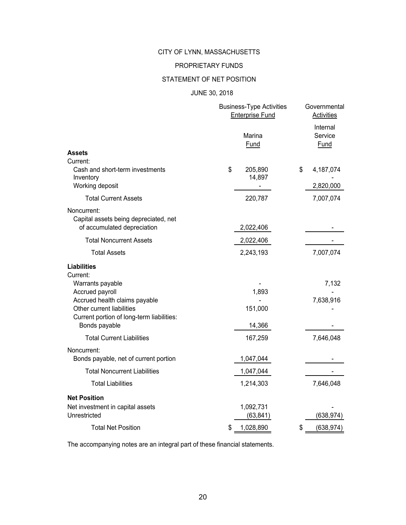#### PROPRIETARY FUNDS

#### STATEMENT OF NET POSITION

#### JUNE 30, 2018

|                                                                                                                                                                                                   | <b>Business-Type Activities</b><br><b>Enterprise Fund</b> | Governmental<br>Activities         |
|---------------------------------------------------------------------------------------------------------------------------------------------------------------------------------------------------|-----------------------------------------------------------|------------------------------------|
| <b>Assets</b>                                                                                                                                                                                     | Marina<br>Fund                                            | Internal<br>Service<br><b>Fund</b> |
| Current:                                                                                                                                                                                          |                                                           |                                    |
| Cash and short-term investments<br>Inventory<br>Working deposit                                                                                                                                   | \$<br>205,890<br>14,897                                   | \$<br>4,187,074<br>2,820,000       |
| <b>Total Current Assets</b>                                                                                                                                                                       | 220,787                                                   | 7,007,074                          |
| Noncurrent:<br>Capital assets being depreciated, net<br>of accumulated depreciation                                                                                                               | 2,022,406                                                 |                                    |
| <b>Total Noncurrent Assets</b>                                                                                                                                                                    | 2,022,406                                                 |                                    |
| <b>Total Assets</b>                                                                                                                                                                               | 2,243,193                                                 | 7,007,074                          |
| <b>Liabilities</b><br>Current:<br>Warrants payable<br>Accrued payroll<br>Accrued health claims payable<br>Other current liabilities<br>Current portion of long-term liabilities:<br>Bonds payable | 1,893<br>151,000<br>14,366                                | 7,132<br>7,638,916                 |
| <b>Total Current Liabilities</b>                                                                                                                                                                  | 167,259                                                   | 7,646,048                          |
| Noncurrent:<br>Bonds payable, net of current portion                                                                                                                                              | 1,047,044                                                 |                                    |
| <b>Total Noncurrent Liabilities</b>                                                                                                                                                               | 1,047,044                                                 |                                    |
| <b>Total Liabilities</b>                                                                                                                                                                          | 1,214,303                                                 | 7,646,048                          |
| <b>Net Position</b><br>Net investment in capital assets<br>Unrestricted                                                                                                                           | 1,092,731<br>(63, 841)                                    | (638, 974)                         |
| <b>Total Net Position</b>                                                                                                                                                                         | \$<br>1,028,890                                           | \$<br>(638, 974)                   |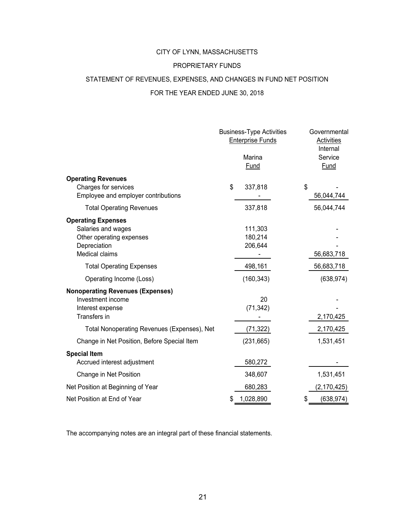#### PROPRIETARY FUNDS

#### STATEMENT OF REVENUES, EXPENSES, AND CHANGES IN FUND NET POSITION

#### FOR THE YEAR ENDED JUNE 30, 2018

|                                                                                                                      | <b>Business-Type Activities</b><br><b>Enterprise Funds</b><br>Marina<br>Fund | Governmental<br>Activities<br>Internal<br>Service<br><b>Fund</b> |
|----------------------------------------------------------------------------------------------------------------------|------------------------------------------------------------------------------|------------------------------------------------------------------|
| <b>Operating Revenues</b><br>Charges for services<br>Employee and employer contributions                             | \$<br>337,818                                                                | \$<br>56,044,744                                                 |
| <b>Total Operating Revenues</b>                                                                                      | 337,818                                                                      | 56,044,744                                                       |
| <b>Operating Expenses</b><br>Salaries and wages<br>Other operating expenses<br>Depreciation<br><b>Medical claims</b> | 111,303<br>180,214<br>206,644                                                | 56,683,718                                                       |
| <b>Total Operating Expenses</b>                                                                                      | 498,161                                                                      | 56,683,718                                                       |
| Operating Income (Loss)                                                                                              | (160, 343)                                                                   | (638, 974)                                                       |
| <b>Nonoperating Revenues (Expenses)</b><br>Investment income<br>Interest expense<br>Transfers in                     | 20<br>(71, 342)                                                              | 2,170,425                                                        |
| Total Nonoperating Revenues (Expenses), Net                                                                          | (71, 322)                                                                    | 2,170,425                                                        |
| Change in Net Position, Before Special Item                                                                          | (231, 665)                                                                   | 1,531,451                                                        |
| <b>Special Item</b><br>Accrued interest adjustment                                                                   | 580,272                                                                      |                                                                  |
| Change in Net Position                                                                                               | 348,607                                                                      | 1,531,451                                                        |
| Net Position at Beginning of Year                                                                                    | 680,283                                                                      | (2, 170, 425)                                                    |
| Net Position at End of Year                                                                                          | 1,028,890                                                                    | \$<br>(638,974)                                                  |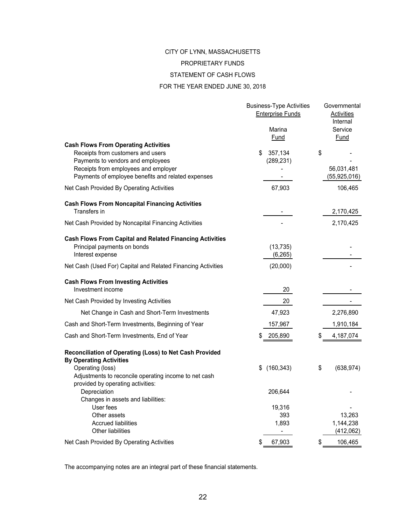#### PROPRIETARY FUNDS

#### STATEMENT OF CASH FLOWS

#### FOR THE YEAR ENDED JUNE 30, 2018

|                                                                                                                                                                                                                     | <b>Business-Type Activities</b><br><b>Enterprise Funds</b> | Governmental<br><b>Activities</b><br>Internal |
|---------------------------------------------------------------------------------------------------------------------------------------------------------------------------------------------------------------------|------------------------------------------------------------|-----------------------------------------------|
|                                                                                                                                                                                                                     | Marina<br>Fund                                             | Service<br>Fund                               |
| <b>Cash Flows From Operating Activities</b><br>Receipts from customers and users<br>Payments to vendors and employees<br>Receipts from employees and employer<br>Payments of employee benefits and related expenses | \$<br>357,134<br>(289, 231)                                | \$<br>56,031,481<br>(55, 925, 016)            |
| Net Cash Provided By Operating Activities                                                                                                                                                                           | 67,903                                                     | 106,465                                       |
| <b>Cash Flows From Noncapital Financing Activities</b><br>Transfers in                                                                                                                                              |                                                            | 2,170,425                                     |
| Net Cash Provided by Noncapital Financing Activities                                                                                                                                                                |                                                            | 2,170,425                                     |
| <b>Cash Flows From Capital and Related Financing Activities</b><br>Principal payments on bonds<br>Interest expense                                                                                                  | (13, 735)<br>(6, 265)                                      |                                               |
| Net Cash (Used For) Capital and Related Financing Activities                                                                                                                                                        | (20,000)                                                   |                                               |
| <b>Cash Flows From Investing Activities</b><br>Investment income                                                                                                                                                    | 20                                                         |                                               |
| Net Cash Provided by Investing Activities                                                                                                                                                                           | 20                                                         |                                               |
| Net Change in Cash and Short-Term Investments                                                                                                                                                                       | 47,923                                                     | 2,276,890                                     |
| Cash and Short-Term Investments, Beginning of Year                                                                                                                                                                  | 157,967                                                    | 1,910,184                                     |
| Cash and Short-Term Investments, End of Year                                                                                                                                                                        | 205,890                                                    | \$<br>4,187,074                               |
| Reconciliation of Operating (Loss) to Net Cash Provided<br><b>By Operating Activities</b>                                                                                                                           |                                                            |                                               |
| Operating (loss)<br>Adjustments to reconcile operating income to net cash<br>provided by operating activities:                                                                                                      | \$<br>(160, 343)                                           | \$<br>(638, 974)                              |
| Depreciation<br>Changes in assets and liabilities:                                                                                                                                                                  | 206,644                                                    |                                               |
| User fees<br>Other assets                                                                                                                                                                                           | 19,316<br>393                                              | 13,263                                        |
| <b>Accrued liabilities</b><br><b>Other liabilities</b>                                                                                                                                                              | 1,893                                                      | 1,144,238<br>(412,062)                        |
| Net Cash Provided By Operating Activities                                                                                                                                                                           | \$<br>67,903                                               | \$<br>106,465                                 |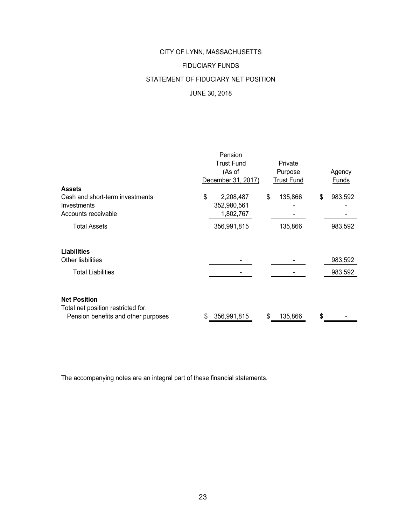# CITY OF LYNN, MASSACHUSETTS FIDUCIARY FUNDS STATEMENT OF FIDUCIARY NET POSITION JUNE 30, 2018

|                                                                       | Pension<br><b>Trust Fund</b><br>(As of<br>December 31, 2017) | Private<br>Purpose<br><b>Trust Fund</b> | Agency<br>Funds |
|-----------------------------------------------------------------------|--------------------------------------------------------------|-----------------------------------------|-----------------|
| <b>Assets</b>                                                         |                                                              |                                         |                 |
| Cash and short-term investments<br>Investments<br>Accounts receivable | \$<br>2,208,487<br>352,980,561<br>1,802,767                  | \$<br>135,866                           | \$<br>983,592   |
| <b>Total Assets</b>                                                   | 356,991,815                                                  | 135,866                                 | 983,592         |
| <b>Liabilities</b>                                                    |                                                              |                                         |                 |
| Other liabilities                                                     |                                                              |                                         | 983,592         |
| <b>Total Liabilities</b>                                              |                                                              |                                         | 983,592         |
| <b>Net Position</b><br>Total net position restricted for:             | \$<br>356,991,815                                            | \$                                      | \$              |
| Pension benefits and other purposes                                   |                                                              | 135,866                                 |                 |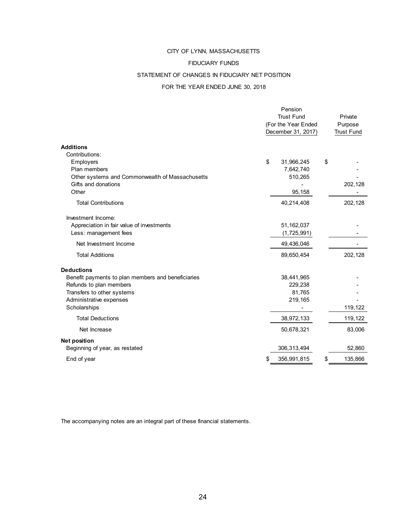#### FIDUCIARY FUNDS

#### STATEMENT OF CHANGES IN FIDUCIARY NET POSITION

#### FOR THE YEAR ENDED JUNE 30, 2018

|                                                    | Pension<br><b>Trust Fund</b><br>(For the Year Ended<br>December 31, 2017) |             |    | Private<br>Purpose<br><b>Trust Fund</b> |
|----------------------------------------------------|---------------------------------------------------------------------------|-------------|----|-----------------------------------------|
| <b>Additions</b>                                   |                                                                           |             |    |                                         |
| Contributions:                                     |                                                                           |             |    |                                         |
| Employers                                          | \$                                                                        | 31,966,245  | \$ |                                         |
| Plan members                                       |                                                                           | 7,642,740   |    |                                         |
| Other systems and Commonwealth of Massachusetts    |                                                                           | 510,265     |    |                                         |
| Gifts and donations                                |                                                                           |             |    | 202,128                                 |
| Other                                              |                                                                           | 95,158      |    |                                         |
| <b>Total Contributions</b>                         |                                                                           | 40,214,408  |    | 202,128                                 |
| Investment Income:                                 |                                                                           |             |    |                                         |
| Appreciation in fair value of investments          |                                                                           | 51,162,037  |    |                                         |
| Less: management fees                              |                                                                           | (1,725,991) |    |                                         |
| Net Investment Income                              |                                                                           | 49,436,046  |    |                                         |
| <b>Total Additions</b>                             |                                                                           | 89,650,454  |    | 202,128                                 |
| <b>Deductions</b>                                  |                                                                           |             |    |                                         |
| Benefit payments to plan members and beneficiaries |                                                                           | 38,441,965  |    |                                         |
| Refunds to plan members                            |                                                                           | 229,238     |    |                                         |
| Transfers to other systems                         |                                                                           | 81,765      |    |                                         |
| Administrative expenses                            |                                                                           | 219,165     |    |                                         |
| Scholarships                                       |                                                                           |             |    | 119,122                                 |
| <b>Total Deductions</b>                            |                                                                           | 38,972,133  |    | 119,122                                 |
| Net Increase                                       |                                                                           | 50,678,321  |    | 83,006                                  |
| <b>Net position</b>                                |                                                                           |             |    |                                         |
| Beginning of year, as restated                     |                                                                           | 306,313,494 |    | 52,860                                  |
| End of year                                        | \$                                                                        | 356,991,815 | \$ | 135,866                                 |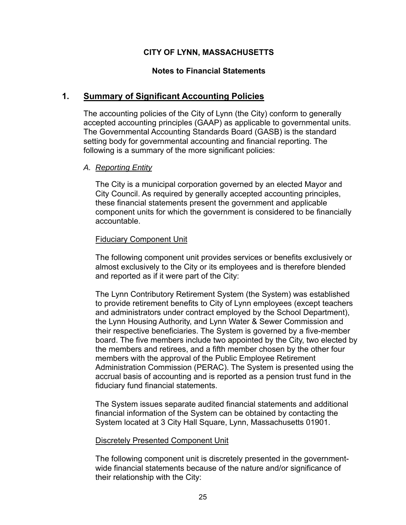### **Notes to Financial Statements**

## **1. Summary of Significant Accounting Policies**

The accounting policies of the City of Lynn (the City) conform to generally accepted accounting principles (GAAP) as applicable to governmental units. The Governmental Accounting Standards Board (GASB) is the standard setting body for governmental accounting and financial reporting. The following is a summary of the more significant policies:

### *A. Reporting Entity*

The City is a municipal corporation governed by an elected Mayor and City Council. As required by generally accepted accounting principles, these financial statements present the government and applicable component units for which the government is considered to be financially accountable.

### Fiduciary Component Unit

The following component unit provides services or benefits exclusively or almost exclusively to the City or its employees and is therefore blended and reported as if it were part of the City:

The Lynn Contributory Retirement System (the System) was established to provide retirement benefits to City of Lynn employees (except teachers and administrators under contract employed by the School Department), the Lynn Housing Authority, and Lynn Water & Sewer Commission and their respective beneficiaries. The System is governed by a five-member board. The five members include two appointed by the City, two elected by the members and retirees, and a fifth member chosen by the other four members with the approval of the Public Employee Retirement Administration Commission (PERAC). The System is presented using the accrual basis of accounting and is reported as a pension trust fund in the fiduciary fund financial statements.

The System issues separate audited financial statements and additional financial information of the System can be obtained by contacting the System located at 3 City Hall Square, Lynn, Massachusetts 01901.

### Discretely Presented Component Unit

The following component unit is discretely presented in the governmentwide financial statements because of the nature and/or significance of their relationship with the City: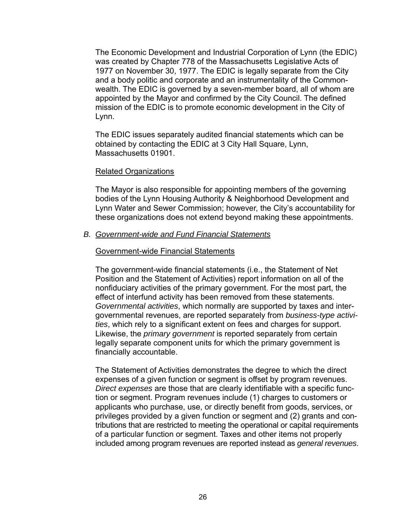The Economic Development and Industrial Corporation of Lynn (the EDIC) was created by Chapter 778 of the Massachusetts Legislative Acts of 1977 on November 30, 1977. The EDIC is legally separate from the City and a body politic and corporate and an instrumentality of the Commonwealth. The EDIC is governed by a seven-member board, all of whom are appointed by the Mayor and confirmed by the City Council. The defined mission of the EDIC is to promote economic development in the City of Lynn.

The EDIC issues separately audited financial statements which can be obtained by contacting the EDIC at 3 City Hall Square, Lynn, Massachusetts 01901.

### Related Organizations

The Mayor is also responsible for appointing members of the governing bodies of the Lynn Housing Authority & Neighborhood Development and Lynn Water and Sewer Commission; however, the City's accountability for these organizations does not extend beyond making these appointments.

### *B. Government-wide and Fund Financial Statements*

### Government-wide Financial Statements

The government-wide financial statements (i.e., the Statement of Net Position and the Statement of Activities) report information on all of the nonfiduciary activities of the primary government. For the most part, the effect of interfund activity has been removed from these statements. *Governmental activities*, which normally are supported by taxes and intergovernmental revenues, are reported separately from *business-type activities*, which rely to a significant extent on fees and charges for support. Likewise, the *primary government* is reported separately from certain legally separate component units for which the primary government is financially accountable.

The Statement of Activities demonstrates the degree to which the direct expenses of a given function or segment is offset by program revenues. *Direct expenses* are those that are clearly identifiable with a specific function or segment. Program revenues include (1) charges to customers or applicants who purchase, use, or directly benefit from goods, services, or privileges provided by a given function or segment and (2) grants and contributions that are restricted to meeting the operational or capital requirements of a particular function or segment. Taxes and other items not properly included among program revenues are reported instead as *general revenues*.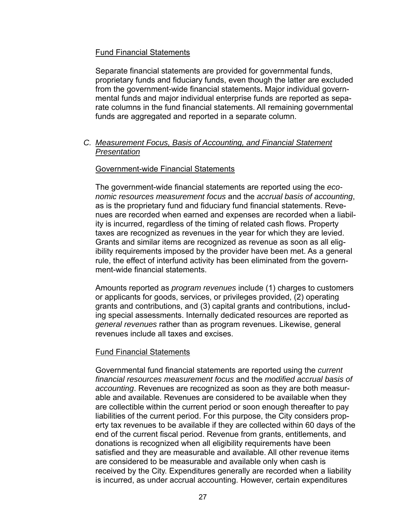### Fund Financial Statements

Separate financial statements are provided for governmental funds, proprietary funds and fiduciary funds, even though the latter are excluded from the government-wide financial statements**.** Major individual governmental funds and major individual enterprise funds are reported as separate columns in the fund financial statements. All remaining governmental funds are aggregated and reported in a separate column.

#### *C. Measurement Focus, Basis of Accounting, and Financial Statement Presentation*

#### Government-wide Financial Statements

The government-wide financial statements are reported using the *economic resources measurement focus* and the *accrual basis of accounting*, as is the proprietary fund and fiduciary fund financial statements. Revenues are recorded when earned and expenses are recorded when a liability is incurred, regardless of the timing of related cash flows. Property taxes are recognized as revenues in the year for which they are levied. Grants and similar items are recognized as revenue as soon as all eligibility requirements imposed by the provider have been met. As a general rule, the effect of interfund activity has been eliminated from the government-wide financial statements.

Amounts reported as *program revenues* include (1) charges to customers or applicants for goods, services, or privileges provided, (2) operating grants and contributions, and (3) capital grants and contributions, including special assessments. Internally dedicated resources are reported as *general revenues* rather than as program revenues. Likewise, general revenues include all taxes and excises.

### Fund Financial Statements

Governmental fund financial statements are reported using the *current financial resources measurement focus* and the *modified accrual basis of accounting*. Revenues are recognized as soon as they are both measurable and available. Revenues are considered to be available when they are collectible within the current period or soon enough thereafter to pay liabilities of the current period. For this purpose, the City considers property tax revenues to be available if they are collected within 60 days of the end of the current fiscal period. Revenue from grants, entitlements, and donations is recognized when all eligibility requirements have been satisfied and they are measurable and available. All other revenue items are considered to be measurable and available only when cash is received by the City. Expenditures generally are recorded when a liability is incurred, as under accrual accounting. However, certain expenditures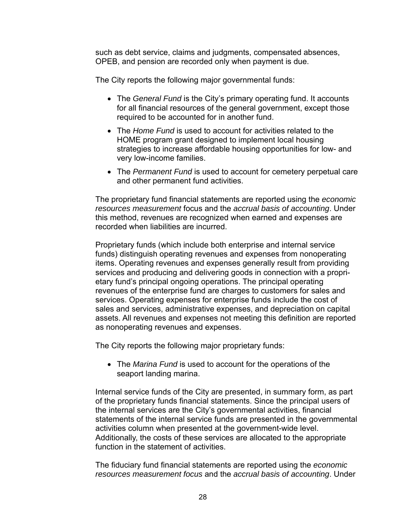such as debt service, claims and judgments, compensated absences, OPEB, and pension are recorded only when payment is due.

The City reports the following major governmental funds:

- The *General Fund* is the City's primary operating fund. It accounts for all financial resources of the general government, except those required to be accounted for in another fund.
- The *Home Fund* is used to account for activities related to the HOME program grant designed to implement local housing strategies to increase affordable housing opportunities for low- and very low-income families.
- The *Permanent Fund* is used to account for cemetery perpetual care and other permanent fund activities.

The proprietary fund financial statements are reported using the *economic resources measurement* focus and the *accrual basis of accounting*. Under this method, revenues are recognized when earned and expenses are recorded when liabilities are incurred.

Proprietary funds (which include both enterprise and internal service funds) distinguish operating revenues and expenses from nonoperating items. Operating revenues and expenses generally result from providing services and producing and delivering goods in connection with a proprietary fund's principal ongoing operations. The principal operating revenues of the enterprise fund are charges to customers for sales and services. Operating expenses for enterprise funds include the cost of sales and services, administrative expenses, and depreciation on capital assets. All revenues and expenses not meeting this definition are reported as nonoperating revenues and expenses.

The City reports the following major proprietary funds:

 The *Marina Fund* is used to account for the operations of the seaport landing marina.

Internal service funds of the City are presented, in summary form, as part of the proprietary funds financial statements. Since the principal users of the internal services are the City's governmental activities, financial statements of the internal service funds are presented in the governmental activities column when presented at the government-wide level. Additionally, the costs of these services are allocated to the appropriate function in the statement of activities.

The fiduciary fund financial statements are reported using the *economic resources measurement focus* and the *accrual basis of accounting*. Under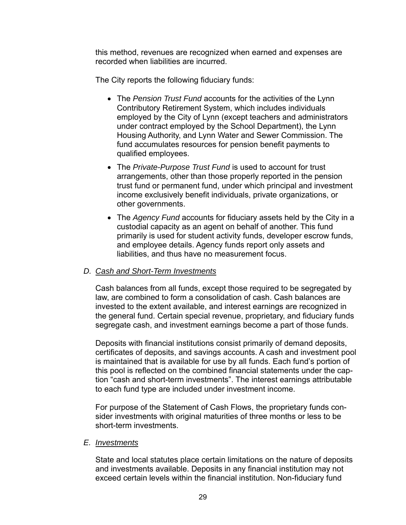this method, revenues are recognized when earned and expenses are recorded when liabilities are incurred.

The City reports the following fiduciary funds:

- The *Pension Trust Fund* accounts for the activities of the Lynn Contributory Retirement System, which includes individuals employed by the City of Lynn (except teachers and administrators under contract employed by the School Department), the Lynn Housing Authority, and Lynn Water and Sewer Commission. The fund accumulates resources for pension benefit payments to qualified employees.
- The *Private-Purpose Trust Fund* is used to account for trust arrangements, other than those properly reported in the pension trust fund or permanent fund, under which principal and investment income exclusively benefit individuals, private organizations, or other governments.
- The *Agency Fund* accounts for fiduciary assets held by the City in a custodial capacity as an agent on behalf of another. This fund primarily is used for student activity funds, developer escrow funds, and employee details. Agency funds report only assets and liabilities, and thus have no measurement focus.

### *D. Cash and Short-Term Investments*

Cash balances from all funds, except those required to be segregated by law, are combined to form a consolidation of cash. Cash balances are invested to the extent available, and interest earnings are recognized in the general fund. Certain special revenue, proprietary, and fiduciary funds segregate cash, and investment earnings become a part of those funds.

Deposits with financial institutions consist primarily of demand deposits, certificates of deposits, and savings accounts. A cash and investment pool is maintained that is available for use by all funds. Each fund's portion of this pool is reflected on the combined financial statements under the caption "cash and short-term investments". The interest earnings attributable to each fund type are included under investment income.

For purpose of the Statement of Cash Flows, the proprietary funds consider investments with original maturities of three months or less to be short-term investments.

### *E. Investments*

State and local statutes place certain limitations on the nature of deposits and investments available. Deposits in any financial institution may not exceed certain levels within the financial institution. Non-fiduciary fund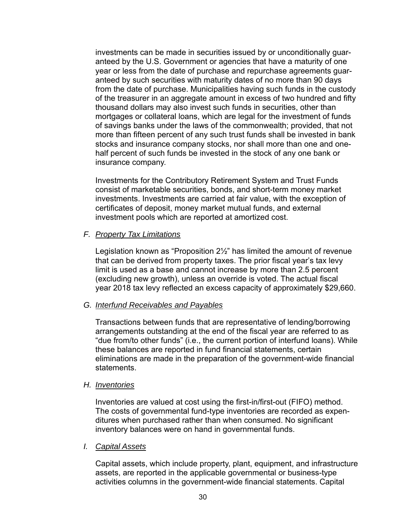investments can be made in securities issued by or unconditionally guaranteed by the U.S. Government or agencies that have a maturity of one year or less from the date of purchase and repurchase agreements guaranteed by such securities with maturity dates of no more than 90 days from the date of purchase. Municipalities having such funds in the custody of the treasurer in an aggregate amount in excess of two hundred and fifty thousand dollars may also invest such funds in securities, other than mortgages or collateral loans, which are legal for the investment of funds of savings banks under the laws of the commonwealth; provided, that not more than fifteen percent of any such trust funds shall be invested in bank stocks and insurance company stocks, nor shall more than one and onehalf percent of such funds be invested in the stock of any one bank or insurance company.

Investments for the Contributory Retirement System and Trust Funds consist of marketable securities, bonds, and short-term money market investments. Investments are carried at fair value, with the exception of certificates of deposit, money market mutual funds, and external investment pools which are reported at amortized cost.

### *F. Property Tax Limitations*

Legislation known as "Proposition 2½" has limited the amount of revenue that can be derived from property taxes. The prior fiscal year's tax levy limit is used as a base and cannot increase by more than 2.5 percent (excluding new growth), unless an override is voted. The actual fiscal year 2018 tax levy reflected an excess capacity of approximately \$29,660.

### *G. Interfund Receivables and Payables*

Transactions between funds that are representative of lending/borrowing arrangements outstanding at the end of the fiscal year are referred to as "due from/to other funds" (i.e., the current portion of interfund loans). While these balances are reported in fund financial statements, certain eliminations are made in the preparation of the government-wide financial statements.

### *H. Inventories*

Inventories are valued at cost using the first-in/first-out (FIFO) method. The costs of governmental fund-type inventories are recorded as expenditures when purchased rather than when consumed. No significant inventory balances were on hand in governmental funds.

### *I. Capital Assets*

Capital assets, which include property, plant, equipment, and infrastructure assets, are reported in the applicable governmental or business-type activities columns in the government-wide financial statements. Capital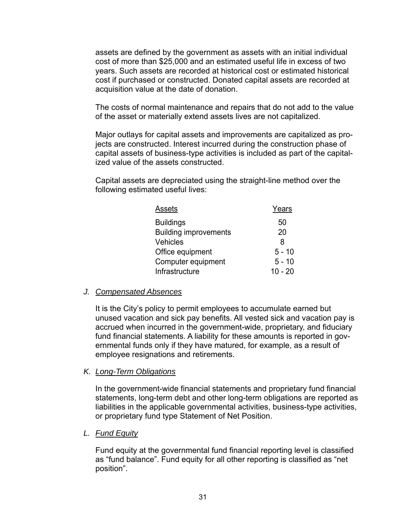assets are defined by the government as assets with an initial individual cost of more than \$25,000 and an estimated useful life in excess of two years. Such assets are recorded at historical cost or estimated historical cost if purchased or constructed. Donated capital assets are recorded at acquisition value at the date of donation.

The costs of normal maintenance and repairs that do not add to the value of the asset or materially extend assets lives are not capitalized.

Major outlays for capital assets and improvements are capitalized as projects are constructed. Interest incurred during the construction phase of capital assets of business-type activities is included as part of the capitalized value of the assets constructed.

Capital assets are depreciated using the straight-line method over the following estimated useful lives:

| Assets                       | Years     |
|------------------------------|-----------|
| <b>Buildings</b>             | 50        |
| <b>Building improvements</b> | 20        |
| Vehicles                     | 8         |
| Office equipment             | $5 - 10$  |
| Computer equipment           | $5 - 10$  |
| Infrastructure               | $10 - 20$ |

### *J. Compensated Absences*

It is the City's policy to permit employees to accumulate earned but unused vacation and sick pay benefits. All vested sick and vacation pay is accrued when incurred in the government-wide, proprietary, and fiduciary fund financial statements. A liability for these amounts is reported in governmental funds only if they have matured, for example, as a result of employee resignations and retirements.

### *K. Long-Term Obligations*

In the government-wide financial statements and proprietary fund financial statements, long-term debt and other long-term obligations are reported as liabilities in the applicable governmental activities, business-type activities, or proprietary fund type Statement of Net Position.

### *L. Fund Equity*

Fund equity at the governmental fund financial reporting level is classified as "fund balance". Fund equity for all other reporting is classified as "net position".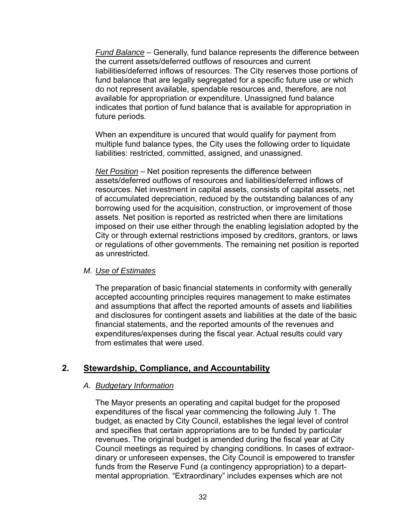*Fund Balance* – Generally, fund balance represents the difference between the current assets/deferred outflows of resources and current liabilities/deferred inflows of resources. The City reserves those portions of fund balance that are legally segregated for a specific future use or which do not represent available, spendable resources and, therefore, are not available for appropriation or expenditure. Unassigned fund balance indicates that portion of fund balance that is available for appropriation in future periods.

When an expenditure is uncured that would qualify for payment from multiple fund balance types, the City uses the following order to liquidate liabilities: restricted, committed, assigned, and unassigned.

*Net Position* – Net position represents the difference between assets/deferred outflows of resources and liabilities/deferred inflows of resources. Net investment in capital assets, consists of capital assets, net of accumulated depreciation, reduced by the outstanding balances of any borrowing used for the acquisition, construction, or improvement of those assets. Net position is reported as restricted when there are limitations imposed on their use either through the enabling legislation adopted by the City or through external restrictions imposed by creditors, grantors, or laws or regulations of other governments. The remaining net position is reported as unrestricted.

### *M. Use of Estimates*

The preparation of basic financial statements in conformity with generally accepted accounting principles requires management to make estimates and assumptions that affect the reported amounts of assets and liabilities and disclosures for contingent assets and liabilities at the date of the basic financial statements, and the reported amounts of the revenues and expenditures/expenses during the fiscal year. Actual results could vary from estimates that were used.

# **2. Stewardship, Compliance, and Accountability**

### *A. Budgetary Information*

The Mayor presents an operating and capital budget for the proposed expenditures of the fiscal year commencing the following July 1. The budget, as enacted by City Council, establishes the legal level of control and specifies that certain appropriations are to be funded by particular revenues. The original budget is amended during the fiscal year at City Council meetings as required by changing conditions. In cases of extraordinary or unforeseen expenses, the City Council is empowered to transfer funds from the Reserve Fund (a contingency appropriation) to a departmental appropriation. "Extraordinary" includes expenses which are not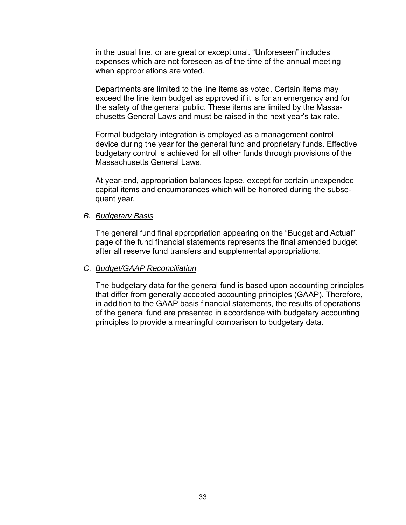in the usual line, or are great or exceptional. "Unforeseen" includes expenses which are not foreseen as of the time of the annual meeting when appropriations are voted.

Departments are limited to the line items as voted. Certain items may exceed the line item budget as approved if it is for an emergency and for the safety of the general public. These items are limited by the Massachusetts General Laws and must be raised in the next year's tax rate.

Formal budgetary integration is employed as a management control device during the year for the general fund and proprietary funds. Effective budgetary control is achieved for all other funds through provisions of the Massachusetts General Laws.

At year-end, appropriation balances lapse, except for certain unexpended capital items and encumbrances which will be honored during the subsequent year.

#### *B. Budgetary Basis*

The general fund final appropriation appearing on the "Budget and Actual" page of the fund financial statements represents the final amended budget after all reserve fund transfers and supplemental appropriations.

### *C. Budget/GAAP Reconciliation*

The budgetary data for the general fund is based upon accounting principles that differ from generally accepted accounting principles (GAAP). Therefore, in addition to the GAAP basis financial statements, the results of operations of the general fund are presented in accordance with budgetary accounting principles to provide a meaningful comparison to budgetary data.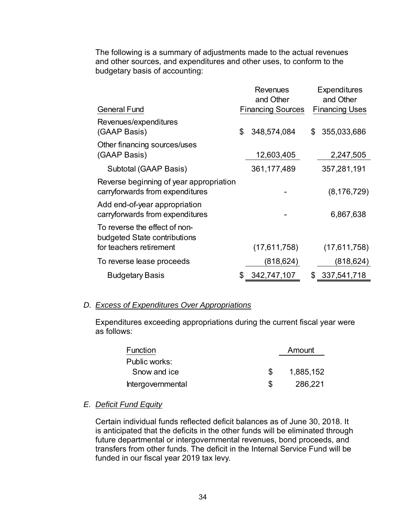The following is a summary of adjustments made to the actual revenues and other sources, and expenditures and other uses, to conform to the budgetary basis of accounting:

|                                                                            | Revenues<br>and Other    | <b>Expenditures</b><br>and Other |
|----------------------------------------------------------------------------|--------------------------|----------------------------------|
| <b>General Fund</b>                                                        | <b>Financing Sources</b> | <b>Financing Uses</b>            |
| Revenues/expenditures<br>(GAAP Basis)                                      | \$<br>348,574,084        | \$<br>355,033,686                |
| Other financing sources/uses<br>(GAAP Basis)                               | 12,603,405               | 2,247,505                        |
| Subtotal (GAAP Basis)                                                      | 361, 177, 489            | 357,281,191                      |
| Reverse beginning of year appropriation<br>carryforwards from expenditures |                          | (8, 176, 729)                    |
| Add end-of-year appropriation<br>carryforwards from expenditures           |                          | 6,867,638                        |
| To reverse the effect of non-<br>budgeted State contributions              |                          |                                  |
| for teachers retirement                                                    | (17,611,758)             | (17,611,758)                     |
| To reverse lease proceeds                                                  | (818,624)                | (818,624)                        |
| <b>Budgetary Basis</b>                                                     | \$<br>342,747,107        | \$<br>337,541,718                |

## *D. Excess of Expenditures Over Appropriations*

Expenditures exceeding appropriations during the current fiscal year were as follows:

| Function          | Amount    |
|-------------------|-----------|
| Public works:     |           |
| Snow and ice      | 1,885,152 |
| Intergovernmental | 286.221   |

## *E. Deficit Fund Equity*

Certain individual funds reflected deficit balances as of June 30, 2018. It is anticipated that the deficits in the other funds will be eliminated through future departmental or intergovernmental revenues, bond proceeds, and transfers from other funds. The deficit in the Internal Service Fund will be funded in our fiscal year 2019 tax levy.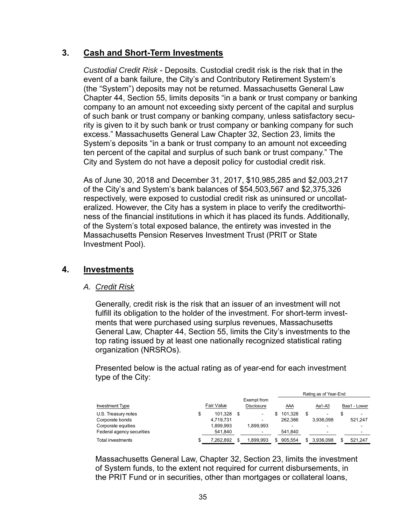# **3. Cash and Short-Term Investments**

*Custodial Credit Risk* - Deposits. Custodial credit risk is the risk that in the event of a bank failure, the City's and Contributory Retirement System's (the "System") deposits may not be returned. Massachusetts General Law Chapter 44, Section 55, limits deposits "in a bank or trust company or banking company to an amount not exceeding sixty percent of the capital and surplus of such bank or trust company or banking company, unless satisfactory security is given to it by such bank or trust company or banking company for such excess." Massachusetts General Law Chapter 32, Section 23, limits the System's deposits "in a bank or trust company to an amount not exceeding ten percent of the capital and surplus of such bank or trust company." The City and System do not have a deposit policy for custodial credit risk.

As of June 30, 2018 and December 31, 2017, \$10,985,285 and \$2,003,217 of the City's and System's bank balances of \$54,503,567 and \$2,375,326 respectively, were exposed to custodial credit risk as uninsured or uncollateralized. However, the City has a system in place to verify the creditworthiness of the financial institutions in which it has placed its funds. Additionally, of the System's total exposed balance, the entirety was invested in the Massachusetts Pension Reserves Investment Trust (PRIT or State Investment Pool).

# **4. Investments**

## *A. Credit Risk*

Generally, credit risk is the risk that an issuer of an investment will not fulfill its obligation to the holder of the investment. For short-term investments that were purchased using surplus revenues, Massachusetts General Law, Chapter 44, Section 55, limits the City's investments to the top rating issued by at least one nationally recognized statistical rating organization (NRSROs).

Presented below is the actual rating as of year-end for each investment type of the City:

|                           |    |                   |                                  |         | Rating as of Year-End |              |
|---------------------------|----|-------------------|----------------------------------|---------|-----------------------|--------------|
| <b>Investment Type</b>    |    | <b>Fair Value</b> | Exempt from<br><b>Disclosure</b> | AAA     | Aa1-A3                | Baa1 - Lower |
| U.S. Treasury notes       | \$ | 101.328           | $\overline{\phantom{a}}$         | 101.328 |                       | ۰            |
| Corporate bonds           |    | 4,719,731         | -                                | 262.386 | 3.936.098             | 521.247      |
| Corporate equities        |    | 1.899.993         | 1.899.993                        |         |                       |              |
| Federal agency securities |    | 541,840           | -                                | 541.840 | -                     |              |
| Total investments         | S  | 7.262.892         | 1.899.993                        | 905.554 | 3.936.098             | 521.247      |

Massachusetts General Law, Chapter 32, Section 23, limits the investment of System funds, to the extent not required for current disbursements, in the PRIT Fund or in securities, other than mortgages or collateral loans,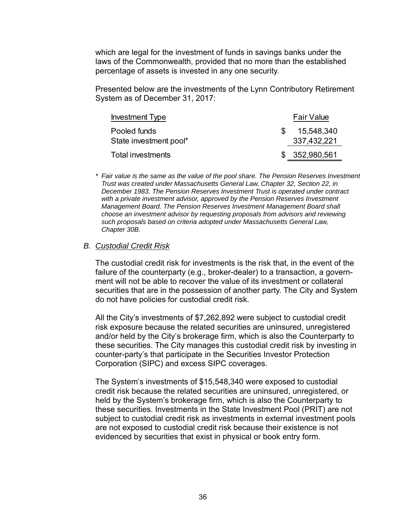which are legal for the investment of funds in savings banks under the laws of the Commonwealth, provided that no more than the established percentage of assets is invested in any one security.

Presented below are the investments of the Lynn Contributory Retirement System as of December 31, 2017:

| <b>Investment Type</b> | <b>Fair Value</b> |
|------------------------|-------------------|
| Pooled funds           | 15,548,340        |
| State investment pool* | 337,432,221       |
| Total investments      | \$ 352,980,561    |

*\* Fair value is the same as the value of the pool share. The Pension Reserves Investment Trust was created under Massachusetts General Law, Chapter 32, Section 22, in December 1983. The Pension Reserves Investment Trust is operated under contract with a private investment advisor, approved by the Pension Reserves Investment Management Board. The Pension Reserves Investment Management Board shall choose an investment advisor by requesting proposals from advisors and reviewing such proposals based on criteria adopted under Massachusetts General Law, Chapter 30B.* 

#### *B. Custodial Credit Risk*

The custodial credit risk for investments is the risk that, in the event of the failure of the counterparty (e.g., broker-dealer) to a transaction, a government will not be able to recover the value of its investment or collateral securities that are in the possession of another party. The City and System do not have policies for custodial credit risk.

All the City's investments of \$7,262,892 were subject to custodial credit risk exposure because the related securities are uninsured, unregistered and/or held by the City's brokerage firm, which is also the Counterparty to these securities. The City manages this custodial credit risk by investing in counter-party's that participate in the Securities Investor Protection Corporation (SIPC) and excess SIPC coverages.

The System's investments of \$15,548,340 were exposed to custodial credit risk because the related securities are uninsured, unregistered, or held by the System's brokerage firm, which is also the Counterparty to these securities. Investments in the State Investment Pool (PRIT) are not subject to custodial credit risk as investments in external investment pools are not exposed to custodial credit risk because their existence is not evidenced by securities that exist in physical or book entry form.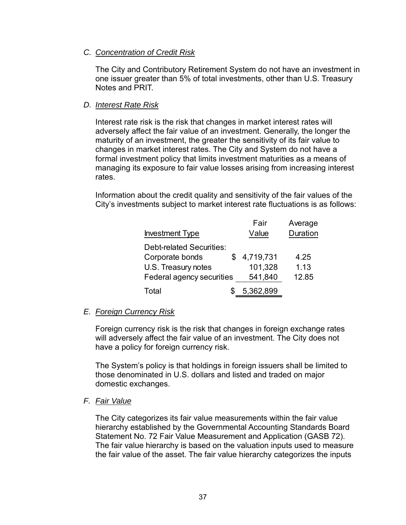# *C. Concentration of Credit Risk*

The City and Contributory Retirement System do not have an investment in one issuer greater than 5% of total investments, other than U.S. Treasury Notes and PRIT.

# *D. Interest Rate Risk*

Interest rate risk is the risk that changes in market interest rates will adversely affect the fair value of an investment. Generally, the longer the maturity of an investment, the greater the sensitivity of its fair value to changes in market interest rates. The City and System do not have a formal investment policy that limits investment maturities as a means of managing its exposure to fair value losses arising from increasing interest rates.

Information about the credit quality and sensitivity of the fair values of the City's investments subject to market interest rate fluctuations is as follows:

|                           | Fair      | Average  |
|---------------------------|-----------|----------|
| <b>Investment Type</b>    | Value     | Duration |
| Debt-related Securities:  |           |          |
| Corporate bonds<br>S      | 4,719,731 | 4.25     |
| U.S. Treasury notes       | 101,328   | 1.13     |
| Federal agency securities | 541,840   | 12.85    |
| Total                     | 5,362,899 |          |

# *E. Foreign Currency Risk*

Foreign currency risk is the risk that changes in foreign exchange rates will adversely affect the fair value of an investment. The City does not have a policy for foreign currency risk.

The System's policy is that holdings in foreign issuers shall be limited to those denominated in U.S. dollars and listed and traded on major domestic exchanges.

## *F. Fair Value*

The City categorizes its fair value measurements within the fair value hierarchy established by the Governmental Accounting Standards Board Statement No. 72 Fair Value Measurement and Application (GASB 72). The fair value hierarchy is based on the valuation inputs used to measure the fair value of the asset. The fair value hierarchy categorizes the inputs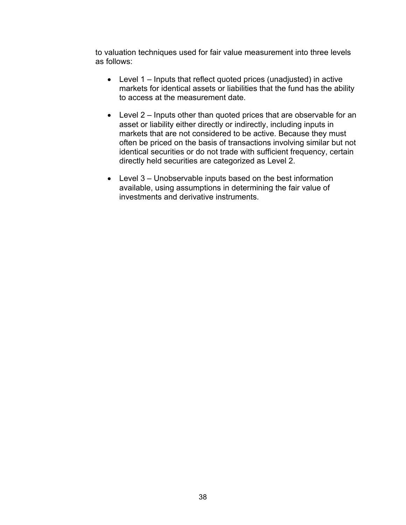to valuation techniques used for fair value measurement into three levels as follows:

- Level 1 Inputs that reflect quoted prices (unadjusted) in active markets for identical assets or liabilities that the fund has the ability to access at the measurement date.
- Level 2 Inputs other than quoted prices that are observable for an asset or liability either directly or indirectly, including inputs in markets that are not considered to be active. Because they must often be priced on the basis of transactions involving similar but not identical securities or do not trade with sufficient frequency, certain directly held securities are categorized as Level 2.
- Level 3 Unobservable inputs based on the best information available, using assumptions in determining the fair value of investments and derivative instruments.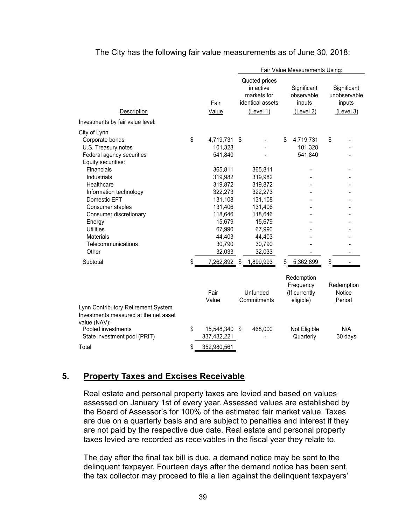#### The City has the following fair value measurements as of June 30, 2018:

|                                                                                                                                                                       |          |                                                                                            | Fair Value Measurements Using: |                                                                                                       |    |                                                       |    |                                                    |
|-----------------------------------------------------------------------------------------------------------------------------------------------------------------------|----------|--------------------------------------------------------------------------------------------|--------------------------------|-------------------------------------------------------------------------------------------------------|----|-------------------------------------------------------|----|----------------------------------------------------|
| Description<br>Investments by fair value level:                                                                                                                       |          | Fair<br>Value                                                                              |                                | Quoted prices<br>in active<br>markets for<br>identical assets<br>(Level 1)                            |    | Significant<br>observable<br>inputs<br>(Level 2)      |    | Significant<br>unobservable<br>inputs<br>(Level 3) |
|                                                                                                                                                                       |          |                                                                                            |                                |                                                                                                       |    |                                                       |    |                                                    |
| City of Lynn<br>Corporate bonds<br>U.S. Treasury notes<br>Federal agency securities<br>Equity securities:<br>Financials<br>Industrials<br>Healthcare                  | \$       | 4,719,731<br>101,328<br>541,840<br>365,811<br>319,982<br>319,872                           | -\$                            | 365,811<br>319,982                                                                                    | \$ | 4,719,731<br>101,328<br>541,840                       | \$ |                                                    |
| Information technology<br>Domestic EFT<br>Consumer staples<br>Consumer discretionary<br>Energy<br><b>Utilities</b><br><b>Materials</b><br>Telecommunications<br>Other |          | 322,273<br>131,108<br>131,406<br>118,646<br>15,679<br>67,990<br>44,403<br>30,790<br>32,033 |                                | 319,872<br>322,273<br>131,108<br>131,406<br>118,646<br>15,679<br>67,990<br>44,403<br>30,790<br>32,033 |    |                                                       |    |                                                    |
| Subtotal                                                                                                                                                              | \$       | 7,262,892 \$                                                                               |                                | 1,899,993                                                                                             | \$ | 5,362,899                                             | \$ |                                                    |
| Lynn Contributory Retirement System<br>Investments measured at the net asset                                                                                          |          | Fair<br>Value                                                                              |                                | Unfunded<br>Commitments                                                                               |    | Redemption<br>Frequency<br>(If currently<br>eligible) |    | Redemption<br>Notice<br>Period                     |
| value (NAV):<br>Pooled investments<br>State investment pool (PRIT)<br>Total                                                                                           | \$<br>\$ | 15,548,340 \$<br>337,432,221<br>352,980,561                                                |                                | 468,000                                                                                               |    | Not Eligible<br>Quarterly                             |    | N/A<br>30 days                                     |

# **5. Property Taxes and Excises Receivable**

Real estate and personal property taxes are levied and based on values assessed on January 1st of every year. Assessed values are established by the Board of Assessor's for 100% of the estimated fair market value. Taxes are due on a quarterly basis and are subject to penalties and interest if they are not paid by the respective due date. Real estate and personal property taxes levied are recorded as receivables in the fiscal year they relate to.

The day after the final tax bill is due, a demand notice may be sent to the delinquent taxpayer. Fourteen days after the demand notice has been sent, the tax collector may proceed to file a lien against the delinquent taxpayers'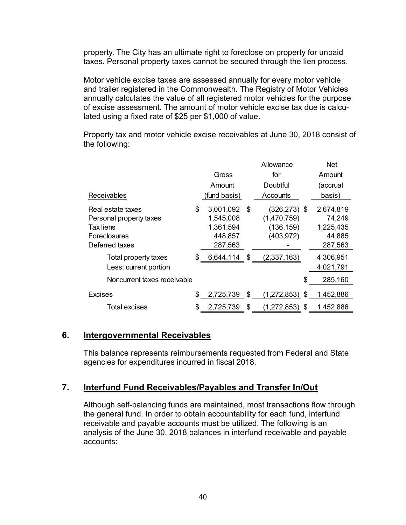property. The City has an ultimate right to foreclose on property for unpaid taxes. Personal property taxes cannot be secured through the lien process.

Motor vehicle excise taxes are assessed annually for every motor vehicle and trailer registered in the Commonwealth. The Registry of Motor Vehicles annually calculates the value of all registered motor vehicles for the purpose of excise assessment. The amount of motor vehicle excise tax due is calculated using a fixed rate of \$25 per \$1,000 of value.

Property tax and motor vehicle excise receivables at June 30, 2018 consist of the following:

|                             |    |              |   | Allowance       |   | <b>Net</b> |
|-----------------------------|----|--------------|---|-----------------|---|------------|
|                             |    | Gross        |   | for             |   | Amount     |
|                             |    | Amount       |   | Doubtful        |   | (accrual   |
| <b>Receivables</b>          |    | (fund basis) |   | Accounts        |   | basis)     |
| Real estate taxes           | S  | 3,001,092    | S | $(326, 273)$ \$ |   | 2,674,819  |
| Personal property taxes     |    | 1,545,008    |   | (1,470,759)     |   | 74,249     |
| Tax liens                   |    | 1,361,594    |   | (136, 159)      |   | 1,225,435  |
| Foreclosures                |    | 448,857      |   | (403, 972)      |   | 44,885     |
| Deferred taxes              |    | 287,563      |   |                 |   | 287,563    |
| Total property taxes        | S  | 6,644,114 \$ |   | (2,337,163)     |   | 4,306,951  |
| Less: current portion       |    |              |   |                 |   | 4,021,791  |
| Noncurrent taxes receivable |    |              |   |                 |   | 285,160    |
| Excises                     | \$ | 2,725,739    | S | (1,272,853)     | S | 1,452,886  |
| Total excises               |    | 2,725,739    | S | (1,272,853)     | S | 1,452,886  |

# **6. Intergovernmental Receivables**

This balance represents reimbursements requested from Federal and State agencies for expenditures incurred in fiscal 2018.

# **7. Interfund Fund Receivables/Payables and Transfer In/Out**

Although self-balancing funds are maintained, most transactions flow through the general fund. In order to obtain accountability for each fund, interfund receivable and payable accounts must be utilized. The following is an analysis of the June 30, 2018 balances in interfund receivable and payable accounts: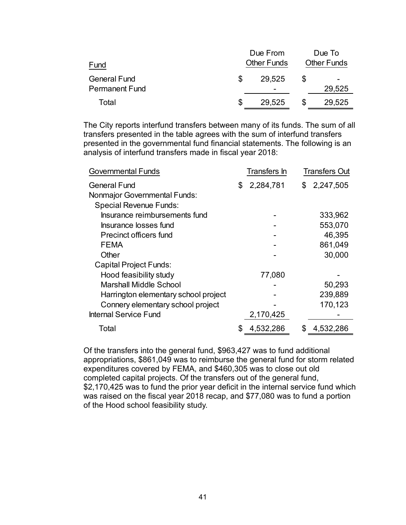|                       | Due From |                    |  | Due To                   |  |  |  |
|-----------------------|----------|--------------------|--|--------------------------|--|--|--|
| Fund                  |          | <b>Other Funds</b> |  | <b>Other Funds</b>       |  |  |  |
| <b>General Fund</b>   |          | 29.525             |  | $\overline{\phantom{0}}$ |  |  |  |
| <b>Permanent Fund</b> |          | -                  |  | 29,525                   |  |  |  |
| Total                 |          | 29,525             |  | 29,525                   |  |  |  |

The City reports interfund transfers between many of its funds. The sum of all transfers presented in the table agrees with the sum of interfund transfers presented in the governmental fund financial statements. The following is an analysis of interfund transfers made in fiscal year 2018:

| <b>Governmental Funds</b>            | Transfers In   | <b>Transfers Out</b> |
|--------------------------------------|----------------|----------------------|
| <b>General Fund</b>                  | 2,284,781<br>S | 2,247,505<br>\$      |
| <b>Nonmajor Governmental Funds:</b>  |                |                      |
| <b>Special Revenue Funds:</b>        |                |                      |
| Insurance reimbursements fund        |                | 333,962              |
| Insurance losses fund                |                | 553,070              |
| <b>Precinct officers fund</b>        |                | 46,395               |
| FEMA                                 |                | 861,049              |
| Other                                |                | 30,000               |
| <b>Capital Project Funds:</b>        |                |                      |
| Hood feasibility study               | 77,080         |                      |
| <b>Marshall Middle School</b>        |                | 50,293               |
| Harrington elementary school project |                | 239,889              |
| Connery elementary school project    |                | 170,123              |
| <b>Internal Service Fund</b>         | 2,170,425      |                      |
| Total                                | 4,532,286      | 4,532,286            |

Of the transfers into the general fund, \$963,427 was to fund additional appropriations, \$861,049 was to reimburse the general fund for storm related expenditures covered by FEMA, and \$460,305 was to close out old completed capital projects. Of the transfers out of the general fund, \$2,170,425 was to fund the prior year deficit in the internal service fund which was raised on the fiscal year 2018 recap, and \$77,080 was to fund a portion of the Hood school feasibility study.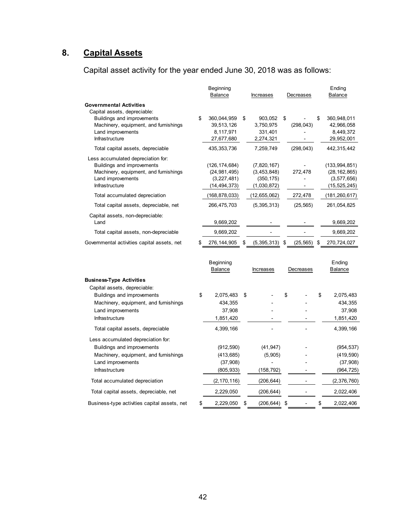# **8. Capital Assets**

Capital asset activity for the year ended June 30, 2018 was as follows:

|                                                                                                                                                                                    | Beginning<br>Balance                                                                  | Increases                                                               | Decreases               | Ending<br>Balance                                                                       |
|------------------------------------------------------------------------------------------------------------------------------------------------------------------------------------|---------------------------------------------------------------------------------------|-------------------------------------------------------------------------|-------------------------|-----------------------------------------------------------------------------------------|
| <b>Governmental Activities</b><br>Capital assets, depreciable:                                                                                                                     |                                                                                       |                                                                         |                         |                                                                                         |
| Buildings and improvements<br>Machinery, equipment, and furnishings<br>Land improvements<br>Infrastructure                                                                         | \$<br>360,044,959<br>39,513,126<br>8,117,971<br>27,677,680                            | \$<br>903,052<br>3,750,975<br>331,401<br>2,274,321                      | \$<br>(298, 043)        | \$<br>360,948,011<br>42,966,058<br>8,449,372<br>29,952,001                              |
| Total capital assets, depreciable                                                                                                                                                  | 435, 353, 736                                                                         | 7,259,749                                                               | (298, 043)              | 442,315,442                                                                             |
| Less accumulated depreciation for:<br>Buildings and improvements<br>Machinery, equipment, and furnishings<br>Land improvements<br>Infrastructure<br>Total accumulated depreciation | (126, 174, 684)<br>(24, 981, 495)<br>(3,227,481)<br>(14, 494, 373)<br>(168, 878, 033) | (7,820,167)<br>(3,453,848)<br>(350, 175)<br>(1,030,872)<br>(12,655,062) | 272,478<br>÷<br>272,478 | (133, 994, 851)<br>(28, 162, 865)<br>(3, 577, 656)<br>(15, 525, 245)<br>(181, 260, 617) |
| Total capital assets, depreciable, net                                                                                                                                             | 266,475,703                                                                           | (5, 395, 313)                                                           | (25, 565)               | 261,054,825                                                                             |
| Capital assets, non-depreciable:<br>Land                                                                                                                                           | 9,669,202                                                                             |                                                                         |                         | 9,669,202                                                                               |
| Total capital assets, non-depreciable                                                                                                                                              | 9,669,202                                                                             |                                                                         |                         | 9,669,202                                                                               |
| Governmental activities capital assets, net                                                                                                                                        | 276, 144, 905                                                                         | \$<br>(5, 395, 313)                                                     | \$<br>(25, 565)         | \$<br>270,724,027                                                                       |
|                                                                                                                                                                                    | Beginning<br>Balance                                                                  | Increases                                                               | Decreases               | Ending<br>Balance                                                                       |
| <b>Business-Type Activities</b><br>Capital assets, depreciable:                                                                                                                    |                                                                                       |                                                                         |                         |                                                                                         |
| Buildings and improvements<br>Machinery, equipment, and furnishings<br>Land improvements<br>Infrastructure                                                                         | \$<br>2,075,483<br>434,355<br>37,908<br>1,851,420                                     | \$                                                                      | \$                      | \$<br>2,075,483<br>434,355<br>37,908<br>1,851,420                                       |
| Total capital assets, depreciable                                                                                                                                                  | 4,399,166                                                                             |                                                                         |                         | 4,399,166                                                                               |
| Less accumulated depreciation for:<br>Buildings and improvements<br>Machinery, equipment, and furnishings<br>Land improvements<br>Infrastructure                                   | (912, 590)<br>(413, 685)<br>(37, 908)<br>(805, 933)                                   | (41, 947)<br>(5,905)<br>(158, 792)                                      |                         | (954, 537)<br>(419, 590)<br>(37,908)<br>(964, 725)                                      |
| Total accumulated depreciation                                                                                                                                                     | (2, 170, 116)                                                                         | (206, 644)                                                              |                         | (2,376,760)                                                                             |
| Total capital assets, depreciable, net                                                                                                                                             | 2,229,050                                                                             | (206,644)                                                               |                         | 2,022,406                                                                               |

Business-type activities capital assets, net \$ 2,229,050 \$ (206,644) \$ - \$ 2,022,406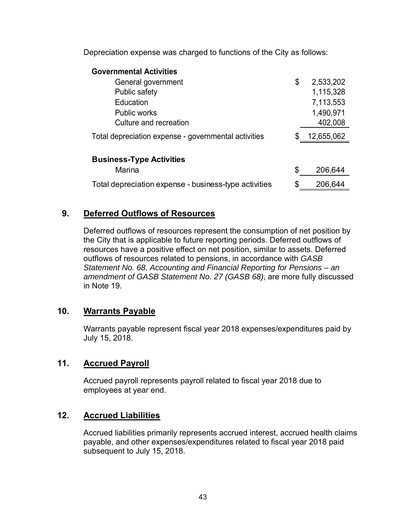Depreciation expense was charged to functions of the City as follows:

| <b>Governmental Activities</b>                        |    |            |
|-------------------------------------------------------|----|------------|
| General government                                    | \$ | 2,533,202  |
| Public safety                                         |    | 1,115,328  |
| Education                                             |    | 7,113,553  |
| <b>Public works</b>                                   |    | 1,490,971  |
| Culture and recreation                                |    | 402,008    |
| Total depreciation expense - governmental activities  | S. | 12,655,062 |
|                                                       |    |            |
| <b>Business-Type Activities</b>                       |    |            |
| Marina                                                | \$ | 206,644    |
| Total depreciation expense - business-type activities | \$ | 206,644    |

# **9. Deferred Outflows of Resources**

Deferred outflows of resources represent the consumption of net position by the City that is applicable to future reporting periods. Deferred outflows of resources have a positive effect on net position, similar to assets. Deferred outflows of resources related to pensions, in accordance with *GASB Statement No. 68*, *Accounting and Financial Reporting for Pensions – an amendment of GASB Statement No. 27 (GASB 68)*, are more fully discussed in Note 19.

# **10. Warrants Payable**

Warrants payable represent fiscal year 2018 expenses/expenditures paid by July 15, 2018.

# **11. Accrued Payroll**

Accrued payroll represents payroll related to fiscal year 2018 due to employees at year end.

# **12. Accrued Liabilities**

Accrued liabilities primarily represents accrued interest, accrued health claims payable, and other expenses/expenditures related to fiscal year 2018 paid subsequent to July 15, 2018.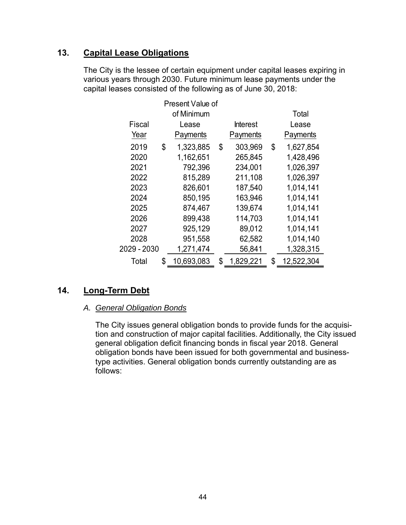# **13. Capital Lease Obligations**

The City is the lessee of certain equipment under capital leases expiring in various years through 2030. Future minimum lease payments under the capital leases consisted of the following as of June 30, 2018:

|             | Present Value of |                 |                  |
|-------------|------------------|-----------------|------------------|
|             | of Minimum       |                 | Total            |
| Fiscal      | Lease            | <b>Interest</b> | Lease            |
| Year        | Payments         | Payments        | Payments         |
| 2019        | \$<br>1,323,885  | \$<br>303,969   | \$<br>1,627,854  |
| 2020        | 1,162,651        | 265,845         | 1,428,496        |
| 2021        | 792,396          | 234,001         | 1,026,397        |
| 2022        | 815,289          | 211,108         | 1,026,397        |
| 2023        | 826,601          | 187,540         | 1,014,141        |
| 2024        | 850,195          | 163,946         | 1,014,141        |
| 2025        | 874,467          | 139,674         | 1,014,141        |
| 2026        | 899,438          | 114,703         | 1,014,141        |
| 2027        | 925,129          | 89,012          | 1,014,141        |
| 2028        | 951,558          | 62,582          | 1,014,140        |
| 2029 - 2030 | 1,271,474        | 56,841          | 1,328,315        |
| Total       | \$<br>10,693,083 | \$<br>1,829,221 | \$<br>12,522,304 |

# **14. Long-Term Debt**

## *A. General Obligation Bonds*

The City issues general obligation bonds to provide funds for the acquisition and construction of major capital facilities. Additionally, the City issued general obligation deficit financing bonds in fiscal year 2018. General obligation bonds have been issued for both governmental and businesstype activities. General obligation bonds currently outstanding are as follows: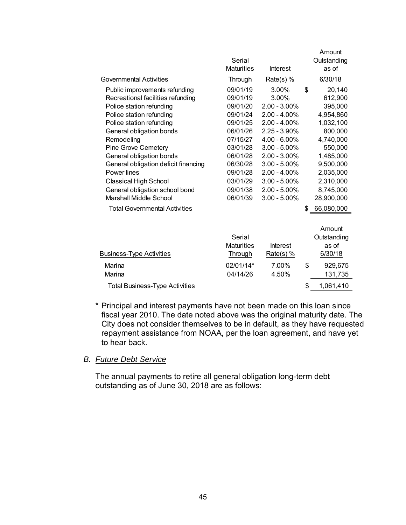|                                       | Serial<br><b>Maturities</b> | <b>Interest</b> | Amount<br>Outstanding<br>as of |
|---------------------------------------|-----------------------------|-----------------|--------------------------------|
| Governmental Activities               | Through                     | $Rate(s)$ %     | 6/30/18                        |
| Public improvements refunding         | 09/01/19                    | 3.00%           | \$<br>20,140                   |
| Recreational facilities refunding     | 09/01/19                    | 3.00%           | 612,900                        |
| Police station refunding              | 09/01/20                    | $2.00 - 3.00\%$ | 395,000                        |
| Police station refunding              | 09/01/24                    | $2.00 - 4.00\%$ | 4,954,860                      |
| Police station refunding              | 09/01/25                    | $2.00 - 4.00\%$ | 1,032,100                      |
| General obligation bonds              | 06/01/26                    | $2.25 - 3.90\%$ | 800,000                        |
| Remodeling                            | 07/15/27                    | $4.00 - 6.00\%$ | 4,740,000                      |
| Pine Grove Cemetery                   | 03/01/28                    | $3.00 - 5.00\%$ | 550,000                        |
| General obligation bonds              | 06/01/28                    | $2.00 - 3.00\%$ | 1,485,000                      |
| General obligation deficit financing  | 06/30/28                    | $3.00 - 5.00\%$ | 9,500,000                      |
| Power lines                           | 09/01/28                    | $2.00 - 4.00\%$ | 2,035,000                      |
| <b>Classical High School</b>          | 03/01/29                    | $3.00 - 5.00\%$ | 2,310,000                      |
| General obligation school bond        | 09/01/38                    | $2.00 - 5.00\%$ | 8,745,000                      |
| Marshall Middle School                | 06/01/39                    | $3.00 - 5.00\%$ | 28,900,000                     |
| <b>Total Governmental Activities</b>  |                             |                 | \$<br>66,080,000               |
|                                       |                             |                 | Amount                         |
|                                       | Serial                      |                 | Outstanding                    |
|                                       | <b>Maturities</b>           | <b>Interest</b> | as of                          |
| <b>Business-Type Activities</b>       | Through                     | Rate(s) $%$     | 6/30/18                        |
| Marina                                | 02/01/14*                   | 7.00%           | \$<br>929,675                  |
| Marina                                | 04/14/26                    | 4.50%           | 131,735                        |
| <b>Total Business-Type Activities</b> |                             |                 | \$<br>1,061,410                |

\* Principal and interest payments have not been made on this loan since fiscal year 2010. The date noted above was the original maturity date. The City does not consider themselves to be in default, as they have requested repayment assistance from NOAA, per the loan agreement, and have yet to hear back.

#### *B. Future Debt Service*

The annual payments to retire all general obligation long-term debt outstanding as of June 30, 2018 are as follows: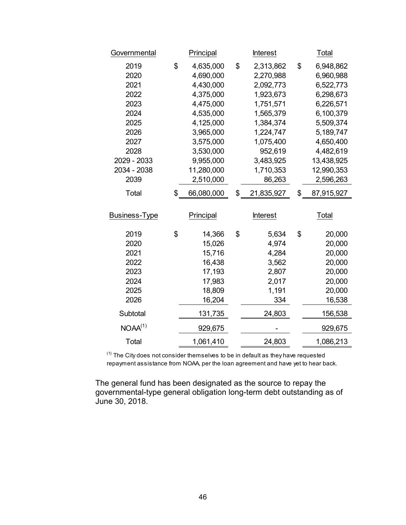| Governmental        | Principal        | <b>Interest</b>  | Total            |
|---------------------|------------------|------------------|------------------|
| 2019                | \$<br>4,635,000  | \$<br>2,313,862  | \$<br>6,948,862  |
| 2020                | 4,690,000        | 2,270,988        | 6,960,988        |
| 2021                | 4,430,000        | 2,092,773        | 6,522,773        |
| 2022                | 4,375,000        | 1,923,673        | 6,298,673        |
| 2023                | 4,475,000        | 1,751,571        | 6,226,571        |
| 2024                | 4,535,000        | 1,565,379        | 6,100,379        |
| 2025                | 4,125,000        | 1,384,374        | 5,509,374        |
| 2026                | 3,965,000        | 1,224,747        | 5,189,747        |
| 2027                | 3,575,000        | 1,075,400        | 4,650,400        |
| 2028                | 3,530,000        | 952,619          | 4,482,619        |
| 2029 - 2033         | 9,955,000        | 3,483,925        | 13,438,925       |
| 2034 - 2038         | 11,280,000       | 1,710,353        | 12,990,353       |
| 2039                | 2,510,000        | 86,263           | 2,596,263        |
| Total               | \$<br>66,080,000 | \$<br>21,835,927 | \$<br>87,915,927 |
| Business-Type       | Principal        | <b>Interest</b>  | Total            |
|                     |                  |                  |                  |
| 2019                | \$<br>14,366     | \$<br>5,634      | \$<br>20,000     |
| 2020                | 15,026           | 4,974            | 20,000           |
| 2021                | 15,716           | 4,284            | 20,000           |
| 2022                | 16,438           | 3,562            | 20,000           |
| 2023                | 17,193           | 2,807            | 20,000           |
| 2024                | 17,983           | 2,017            | 20,000           |
| 2025                | 18,809           | 1,191            | 20,000           |
| 2026                | 16,204           | 334              | 16,538           |
| Subtotal            |                  |                  |                  |
|                     | 131,735          | 24,803           | 156,538          |
| NOAA <sup>(1)</sup> | 929,675          |                  | 929,675          |

 $^{(1)}$  The City does not consider themselves to be in default as they have requested repayment assistance from NOAA, per the loan agreement and have yet to hear back.

The general fund has been designated as the source to repay the governmental-type general obligation long-term debt outstanding as of June 30, 2018.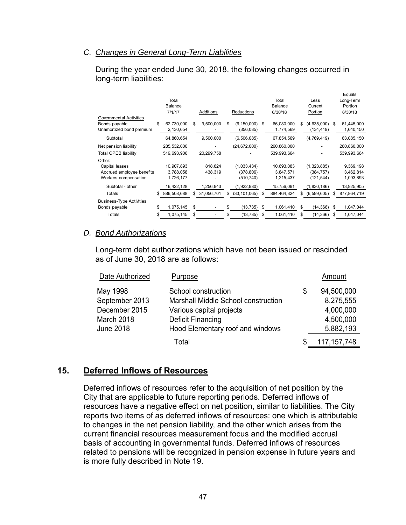#### *C. Changes in General Long-Term Liabilities*

During the year ended June 30, 2018, the following changes occurred in long-term liabilities:

|                                                                             |    | Total<br><b>Balance</b> |    |            |    |                             |    | Total<br>Balance        |     | Less<br>Current           |    | Equals<br>Long-Term<br>Portion |
|-----------------------------------------------------------------------------|----|-------------------------|----|------------|----|-----------------------------|----|-------------------------|-----|---------------------------|----|--------------------------------|
|                                                                             |    | 7/1/17                  |    | Additions  |    | <b>Reductions</b>           |    | 6/30/18                 |     | Portion                   |    | 6/30/18                        |
| <b>Governmental Activities</b><br>Bonds payable<br>Unamortized bond premium | \$ | 62,730,000<br>2,130,654 | \$ | 9,500,000  | \$ | (6, 150, 000)<br>(356, 085) | \$ | 66,080,000<br>1,774,569 | S   | (4,635,000)<br>(134, 419) | S  | 61,445,000<br>1,640,150        |
| Subtotal                                                                    |    | 64,860,654              |    | 9,500,000  |    | (6, 506, 085)               |    | 67,854,569              |     | (4,769,419)               |    | 63,085,150                     |
| Net pension liability                                                       |    | 285,532,000             |    |            |    | (24, 672, 000)              |    | 260,860,000             |     |                           |    | 260,860,000                    |
| <b>Total OPEB liability</b>                                                 |    | 519,693,906             |    | 20,299,758 |    |                             |    | 539,993,664             |     |                           |    | 539,993,664                    |
| Other:                                                                      |    |                         |    |            |    |                             |    |                         |     |                           |    |                                |
| Capital leases                                                              |    | 10,907,893              |    | 818,624    |    | (1,033,434)                 |    | 10,693,083              |     | (1,323,885)               |    | 9,369,198                      |
| Accrued employee benefits                                                   |    | 3,788,058               |    | 438,319    |    | (378, 806)                  |    | 3,847,571               |     | (384, 757)                |    | 3,462,814                      |
| Workers compensation                                                        |    | 1,726,177               |    |            |    | (510, 740)                  |    | 1,215,437               |     | (121,544)                 |    | 1,093,893                      |
| Subtotal - other                                                            |    | 16,422,128              |    | 1,256,943  |    | (1,922,980)                 |    | 15,756,091              |     | (1,830,186)               |    | 13,925,905                     |
| Totals                                                                      | S  | 886,508,688             | S  | 31,056,701 | S  | (33, 101, 065)              | S  | 884,464,324             | S   | (6, 599, 605)             | S  | 877,864,719                    |
| <b>Business-Type Activities</b>                                             |    |                         |    |            |    |                             |    |                         |     |                           |    |                                |
| Bonds payable                                                               | \$ | 1,075,145               | \$ |            | \$ | (13, 735)                   | \$ | 1,061,410               | \$  | (14,366)                  | \$ | 1,047,044                      |
| Totals                                                                      | S  | 1,075,145               | \$ |            | \$ | (13, 735)                   | \$ | 1,061,410               | \$. | (14, 366)                 | \$ | 1,047,044                      |

#### *D. Bond Authorizations*

Long-term debt authorizations which have not been issued or rescinded as of June 30, 2018 are as follows:

| Date Authorized                                                               | Purpose                                                                                                                                                |   | Amount                                                         |
|-------------------------------------------------------------------------------|--------------------------------------------------------------------------------------------------------------------------------------------------------|---|----------------------------------------------------------------|
| May 1998<br>September 2013<br>December 2015<br>March 2018<br><b>June 2018</b> | School construction<br>Marshall Middle School construction<br>Various capital projects<br><b>Deficit Financing</b><br>Hood Elementary roof and windows | S | 94,500,000<br>8,275,555<br>4,000,000<br>4,500,000<br>5,882,193 |
|                                                                               | Total                                                                                                                                                  |   | 117, 157, 748                                                  |

# **15. Deferred Inflows of Resources**

Deferred inflows of resources refer to the acquisition of net position by the City that are applicable to future reporting periods. Deferred inflows of resources have a negative effect on net position, similar to liabilities. The City reports two items of as deferred inflows of resources: one which is attributable to changes in the net pension liability, and the other which arises from the current financial resources measurement focus and the modified accrual basis of accounting in governmental funds. Deferred inflows of resources related to pensions will be recognized in pension expense in future years and is more fully described in Note 19.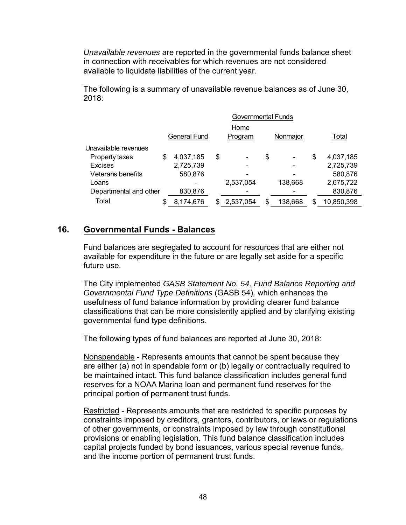*Unavailable revenues* are reported in the governmental funds balance sheet in connection with receivables for which revenues are not considered available to liquidate liabilities of the current year.

The following is a summary of unavailable revenue balances as of June 30, 2018:

|                        | <b>Governmental Funds</b> |    |           |    |          |    |            |  |  |
|------------------------|---------------------------|----|-----------|----|----------|----|------------|--|--|
|                        |                           |    | Home      |    |          |    |            |  |  |
|                        | <b>General Fund</b>       |    | Program   |    | Nonmajor |    | Total      |  |  |
| Unavailable revenues   |                           |    |           |    |          |    |            |  |  |
| Property taxes         | \$<br>4,037,185           | \$ |           | \$ | -        | \$ | 4,037,185  |  |  |
| Excises                | 2,725,739                 |    |           |    |          |    | 2,725,739  |  |  |
| Veterans benefits      | 580,876                   |    |           |    |          |    | 580,876    |  |  |
| Loans                  |                           |    | 2,537,054 |    | 138,668  |    | 2,675,722  |  |  |
| Departmental and other | 830,876                   |    |           |    |          |    | 830,876    |  |  |
| Total                  | 8,174,676                 |    | 2,537,054 | S  | 138,668  | \$ | 10,850,398 |  |  |

# **16. Governmental Funds - Balances**

Fund balances are segregated to account for resources that are either not available for expenditure in the future or are legally set aside for a specific future use.

The City implemented *GASB Statement No. 54, Fund Balance Reporting and Governmental Fund Type Definitions* (GASB 54)*,* which enhances the usefulness of fund balance information by providing clearer fund balance classifications that can be more consistently applied and by clarifying existing governmental fund type definitions.

The following types of fund balances are reported at June 30, 2018:

Nonspendable - Represents amounts that cannot be spent because they are either (a) not in spendable form or (b) legally or contractually required to be maintained intact. This fund balance classification includes general fund reserves for a NOAA Marina loan and permanent fund reserves for the principal portion of permanent trust funds.

Restricted - Represents amounts that are restricted to specific purposes by constraints imposed by creditors, grantors, contributors, or laws or regulations of other governments, or constraints imposed by law through constitutional provisions or enabling legislation. This fund balance classification includes capital projects funded by bond issuances, various special revenue funds, and the income portion of permanent trust funds.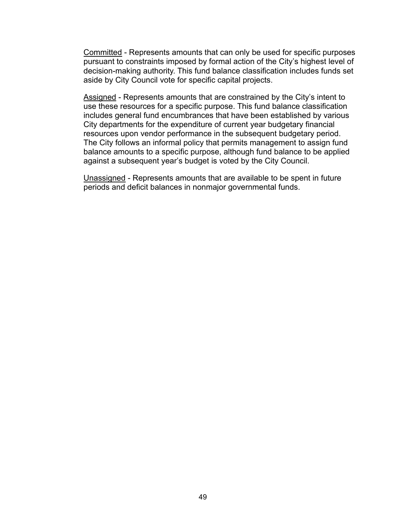Committed - Represents amounts that can only be used for specific purposes pursuant to constraints imposed by formal action of the City's highest level of decision-making authority. This fund balance classification includes funds set aside by City Council vote for specific capital projects.

Assigned - Represents amounts that are constrained by the City's intent to use these resources for a specific purpose. This fund balance classification includes general fund encumbrances that have been established by various City departments for the expenditure of current year budgetary financial resources upon vendor performance in the subsequent budgetary period. The City follows an informal policy that permits management to assign fund balance amounts to a specific purpose, although fund balance to be applied against a subsequent year's budget is voted by the City Council.

Unassigned - Represents amounts that are available to be spent in future periods and deficit balances in nonmajor governmental funds.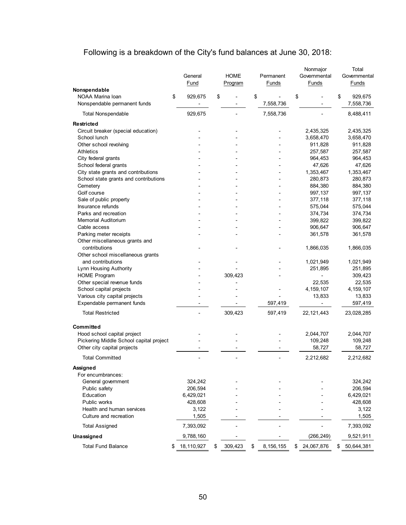# Following is a breakdown of the City's fund balances at June 30, 2018:

|                                                                  | General<br>Fund | <b>HOME</b><br>Program | Permanent<br>Funds | Nonmajor<br>Governmental<br>Funds | Total<br>Governmental<br>Funds |
|------------------------------------------------------------------|-----------------|------------------------|--------------------|-----------------------------------|--------------------------------|
| Nonspendable<br>NOAA Marina loan<br>Nonspendable permanent funds | \$<br>929,675   | \$                     | \$<br>7,558,736    | \$                                | \$<br>929,675<br>7,558,736     |
| <b>Total Nonspendable</b>                                        | 929,675         |                        | 7,558,736          |                                   | 8,488,411                      |
| Restricted                                                       |                 |                        |                    |                                   |                                |
| Circuit breaker (special education)                              |                 |                        |                    | 2,435,325                         | 2,435,325                      |
| School lunch                                                     |                 |                        |                    | 3,658,470                         | 3,658,470                      |
| Other school revolving                                           |                 |                        |                    | 911,828                           | 911,828                        |
| <b>Athletics</b>                                                 |                 |                        |                    | 257,587                           | 257,587                        |
| City federal grants                                              |                 |                        |                    | 964,453                           | 964,453                        |
| School federal grants                                            |                 |                        |                    | 47,626                            | 47,626                         |
| City state grants and contributions                              |                 |                        |                    | 1,353,467                         | 1,353,467                      |
| School state grants and contributions                            |                 |                        |                    | 280,873                           | 280,873                        |
| Cemetery                                                         |                 |                        |                    | 884,380                           | 884,380                        |
| Golf course                                                      |                 |                        |                    | 997,137                           | 997,137                        |
| Sale of public property                                          |                 |                        |                    | 377,118                           | 377,118                        |
| Insurance refunds                                                |                 |                        |                    | 575,044                           | 575,044                        |
| Parks and recreation                                             |                 |                        |                    | 374,734                           | 374,734                        |
| <b>Memorial Auditorium</b>                                       |                 |                        |                    | 399,822                           | 399,822                        |
| Cable access                                                     |                 |                        |                    | 906,647                           | 906,647                        |
| Parking meter receipts                                           |                 |                        |                    | 361,578                           | 361,578                        |
| Other miscellaneous grants and                                   |                 |                        |                    |                                   |                                |
| contributions                                                    |                 |                        |                    | 1,866,035                         | 1,866,035                      |
| Other school miscellaneous grants                                |                 |                        |                    |                                   |                                |
| and contributions                                                |                 |                        |                    | 1,021,949                         | 1,021,949                      |
| Lynn Housing Authority                                           |                 |                        |                    | 251,895                           | 251,895                        |
| <b>HOME Program</b>                                              |                 | 309,423                |                    |                                   | 309,423                        |
| Other special revenue funds                                      |                 |                        |                    | 22,535                            | 22,535                         |
| School capital projects                                          |                 |                        |                    | 4, 159, 107                       | 4, 159, 107                    |
| Various city capital projects                                    |                 |                        |                    | 13,833                            | 13,833                         |
| Expendable permanent funds                                       |                 |                        | 597,419            |                                   | 597,419                        |
| <b>Total Restricted</b>                                          |                 | 309,423                | 597,419            | 22, 121, 443                      | 23,028,285                     |
| Committed                                                        |                 |                        |                    |                                   |                                |
| Hood school capital project                                      |                 |                        |                    | 2,044,707                         | 2,044,707                      |
| Pickering Middle School capital project                          |                 |                        |                    | 109,248                           | 109,248                        |
| Other city capital projects                                      |                 |                        |                    | 58,727                            | 58,727                         |
| <b>Total Committed</b>                                           |                 |                        |                    | 2,212,682                         | 2,212,682                      |
| Assigned                                                         |                 |                        |                    |                                   |                                |
| For encumbrances:                                                |                 |                        |                    |                                   |                                |
| General government                                               | 324,242         |                        |                    |                                   | 324,242                        |
| Public safety                                                    | 206,594         |                        |                    |                                   | 206,594                        |
| Education                                                        | 6,429,021       |                        |                    |                                   | 6,429,021                      |
| Public works                                                     | 428,608         |                        |                    |                                   | 428,608                        |
| Health and human services                                        | 3,122           |                        |                    |                                   | 3,122                          |
| Culture and recreation                                           | 1,505           |                        |                    |                                   | 1,505                          |
| <b>Total Assigned</b>                                            | 7,393,092       |                        |                    |                                   | 7,393,092                      |
| Unassigned                                                       | 9,788,160       |                        |                    | (266, 249)                        | 9,521,911                      |
| <b>Total Fund Balance</b>                                        | 18,110,927      | \$<br>309,423          | \$<br>8,156,155    | \$<br>24,067,876                  | \$<br>50,644,381               |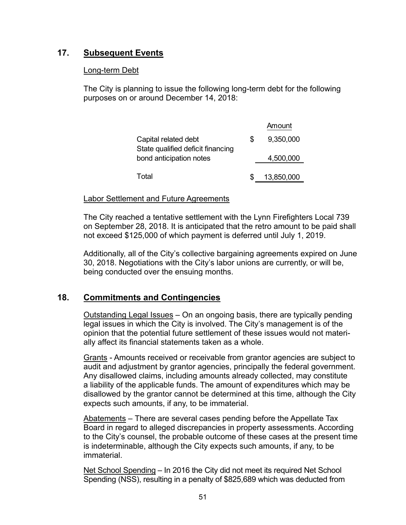# **17. Subsequent Events**

# Long-term Debt

The City is planning to issue the following long-term debt for the following purposes on or around December 14, 2018:

|                                                           | Amount          |
|-----------------------------------------------------------|-----------------|
| Capital related debt<br>State qualified deficit financing | \$<br>9,350,000 |
| bond anticipation notes                                   | 4,500,000       |
| Total                                                     | 13,850,000      |

# Labor Settlement and Future Agreements

The City reached a tentative settlement with the Lynn Firefighters Local 739 on September 28, 2018. It is anticipated that the retro amount to be paid shall not exceed \$125,000 of which payment is deferred until July 1, 2019.

Additionally, all of the City's collective bargaining agreements expired on June 30, 2018. Negotiations with the City's labor unions are currently, or will be, being conducted over the ensuing months.

# **18. Commitments and Contingencies**

Outstanding Legal Issues – On an ongoing basis, there are typically pending legal issues in which the City is involved. The City's management is of the opinion that the potential future settlement of these issues would not materially affect its financial statements taken as a whole.

Grants - Amounts received or receivable from grantor agencies are subject to audit and adjustment by grantor agencies, principally the federal government. Any disallowed claims, including amounts already collected, may constitute a liability of the applicable funds. The amount of expenditures which may be disallowed by the grantor cannot be determined at this time, although the City expects such amounts, if any, to be immaterial.

Abatements – There are several cases pending before the Appellate Tax Board in regard to alleged discrepancies in property assessments. According to the City's counsel, the probable outcome of these cases at the present time is indeterminable, although the City expects such amounts, if any, to be immaterial.

Net School Spending – In 2016 the City did not meet its required Net School Spending (NSS), resulting in a penalty of \$825,689 which was deducted from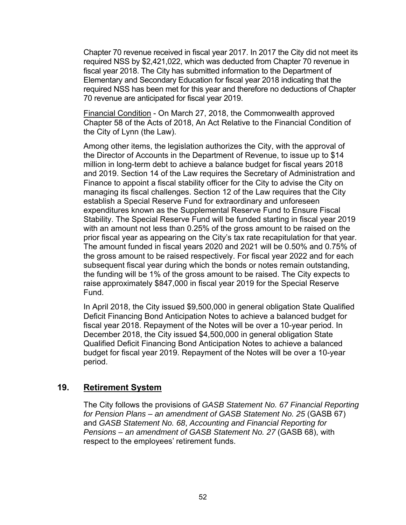Chapter 70 revenue received in fiscal year 2017. In 2017 the City did not meet its required NSS by \$2,421,022, which was deducted from Chapter 70 revenue in fiscal year 2018. The City has submitted information to the Department of Elementary and Secondary Education for fiscal year 2018 indicating that the required NSS has been met for this year and therefore no deductions of Chapter 70 revenue are anticipated for fiscal year 2019.

Financial Condition - On March 27, 2018, the Commonwealth approved Chapter 58 of the Acts of 2018, An Act Relative to the Financial Condition of the City of Lynn (the Law).

Among other items, the legislation authorizes the City, with the approval of the Director of Accounts in the Department of Revenue, to issue up to \$14 million in long-term debt to achieve a balance budget for fiscal years 2018 and 2019. Section 14 of the Law requires the Secretary of Administration and Finance to appoint a fiscal stability officer for the City to advise the City on managing its fiscal challenges. Section 12 of the Law requires that the City establish a Special Reserve Fund for extraordinary and unforeseen expenditures known as the Supplemental Reserve Fund to Ensure Fiscal Stability. The Special Reserve Fund will be funded starting in fiscal year 2019 with an amount not less than 0.25% of the gross amount to be raised on the prior fiscal year as appearing on the City's tax rate recapitulation for that year. The amount funded in fiscal years 2020 and 2021 will be 0.50% and 0.75% of the gross amount to be raised respectively. For fiscal year 2022 and for each subsequent fiscal year during which the bonds or notes remain outstanding, the funding will be 1% of the gross amount to be raised. The City expects to raise approximately \$847,000 in fiscal year 2019 for the Special Reserve Fund.

In April 2018, the City issued \$9,500,000 in general obligation State Qualified Deficit Financing Bond Anticipation Notes to achieve a balanced budget for fiscal year 2018. Repayment of the Notes will be over a 10-year period. In December 2018, the City issued \$4,500,000 in general obligation State Qualified Deficit Financing Bond Anticipation Notes to achieve a balanced budget for fiscal year 2019. Repayment of the Notes will be over a 10-year period.

# **19. Retirement System**

The City follows the provisions of *GASB Statement No. 67 Financial Reporting*  for Pension Plans – an amendment of GASB Statement No. 25 (GASB 67) and *GASB Statement No. 68*, *Accounting and Financial Reporting for Pensions – an amendment of GASB Statement No. 27* (GASB 68), with respect to the employees' retirement funds.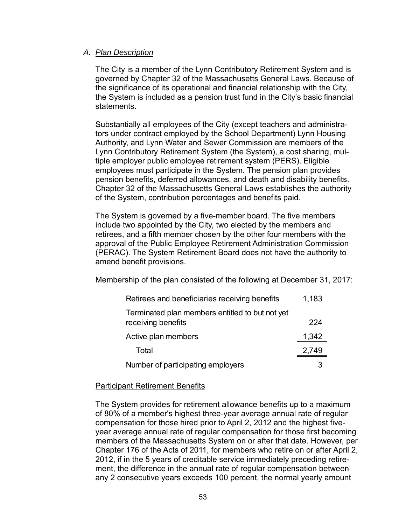## *A. Plan Description*

The City is a member of the Lynn Contributory Retirement System and is governed by Chapter 32 of the Massachusetts General Laws. Because of the significance of its operational and financial relationship with the City, the System is included as a pension trust fund in the City's basic financial statements.

Substantially all employees of the City (except teachers and administrators under contract employed by the School Department) Lynn Housing Authority, and Lynn Water and Sewer Commission are members of the Lynn Contributory Retirement System (the System), a cost sharing, multiple employer public employee retirement system (PERS). Eligible employees must participate in the System. The pension plan provides pension benefits, deferred allowances, and death and disability benefits. Chapter 32 of the Massachusetts General Laws establishes the authority of the System, contribution percentages and benefits paid.

The System is governed by a five-member board. The five members include two appointed by the City, two elected by the members and retirees, and a fifth member chosen by the other four members with the approval of the Public Employee Retirement Administration Commission (PERAC). The System Retirement Board does not have the authority to amend benefit provisions.

Membership of the plan consisted of the following at December 31, 2017:

| Retirees and beneficiaries receiving benefits                         | 1,183 |
|-----------------------------------------------------------------------|-------|
| Terminated plan members entitled to but not yet<br>receiving benefits | 224   |
| Active plan members                                                   | 1,342 |
| Total                                                                 | 2,749 |
| Number of participating employers                                     |       |

#### Participant Retirement Benefits

The System provides for retirement allowance benefits up to a maximum of 80% of a member's highest three-year average annual rate of regular compensation for those hired prior to April 2, 2012 and the highest fiveyear average annual rate of regular compensation for those first becoming members of the Massachusetts System on or after that date. However, per Chapter 176 of the Acts of 2011, for members who retire on or after April 2, 2012, if in the 5 years of creditable service immediately preceding retirement, the difference in the annual rate of regular compensation between any 2 consecutive years exceeds 100 percent, the normal yearly amount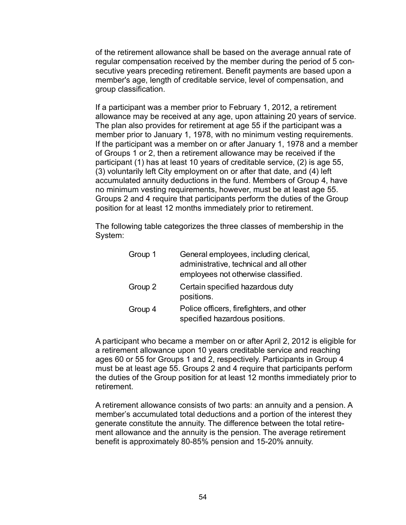of the retirement allowance shall be based on the average annual rate of regular compensation received by the member during the period of 5 consecutive years preceding retirement. Benefit payments are based upon a member's age, length of creditable service, level of compensation, and group classification.

If a participant was a member prior to February 1, 2012, a retirement allowance may be received at any age, upon attaining 20 years of service. The plan also provides for retirement at age 55 if the participant was a member prior to January 1, 1978, with no minimum vesting requirements. If the participant was a member on or after January 1, 1978 and a member of Groups 1 or 2, then a retirement allowance may be received if the participant (1) has at least 10 years of creditable service, (2) is age 55, (3) voluntarily left City employment on or after that date, and (4) left accumulated annuity deductions in the fund. Members of Group 4, have no minimum vesting requirements, however, must be at least age 55. Groups 2 and 4 require that participants perform the duties of the Group position for at least 12 months immediately prior to retirement.

The following table categorizes the three classes of membership in the System:

| Group 1 | General employees, including clerical,<br>administrative, technical and all other<br>employees not otherwise classified. |
|---------|--------------------------------------------------------------------------------------------------------------------------|
| Group 2 | Certain specified hazardous duty<br>positions.                                                                           |
| Group 4 | Police officers, firefighters, and other<br>specified hazardous positions.                                               |

A participant who became a member on or after April 2, 2012 is eligible for a retirement allowance upon 10 years creditable service and reaching ages 60 or 55 for Groups 1 and 2, respectively. Participants in Group 4 must be at least age 55. Groups 2 and 4 require that participants perform the duties of the Group position for at least 12 months immediately prior to retirement.

A retirement allowance consists of two parts: an annuity and a pension. A member's accumulated total deductions and a portion of the interest they generate constitute the annuity. The difference between the total retirement allowance and the annuity is the pension. The average retirement benefit is approximately 80-85% pension and 15-20% annuity.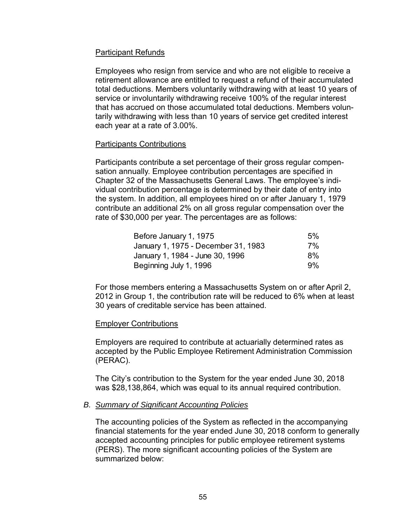# Participant Refunds

Employees who resign from service and who are not eligible to receive a retirement allowance are entitled to request a refund of their accumulated total deductions. Members voluntarily withdrawing with at least 10 years of service or involuntarily withdrawing receive 100% of the regular interest that has accrued on those accumulated total deductions. Members voluntarily withdrawing with less than 10 years of service get credited interest each year at a rate of 3.00%.

#### Participants Contributions

Participants contribute a set percentage of their gross regular compensation annually. Employee contribution percentages are specified in Chapter 32 of the Massachusetts General Laws. The employee's individual contribution percentage is determined by their date of entry into the system. In addition, all employees hired on or after January 1, 1979 contribute an additional 2% on all gross regular compensation over the rate of \$30,000 per year. The percentages are as follows:

| Before January 1, 1975              | 5% |
|-------------------------------------|----|
| January 1, 1975 - December 31, 1983 | 7% |
| January 1, 1984 - June 30, 1996     | 8% |
| Beginning July 1, 1996              | 9% |

For those members entering a Massachusetts System on or after April 2, 2012 in Group 1, the contribution rate will be reduced to 6% when at least 30 years of creditable service has been attained.

## Employer Contributions

Employers are required to contribute at actuarially determined rates as accepted by the Public Employee Retirement Administration Commission (PERAC).

The City's contribution to the System for the year ended June 30, 2018 was \$28,138,864, which was equal to its annual required contribution.

## *B. Summary of Significant Accounting Policies*

The accounting policies of the System as reflected in the accompanying financial statements for the year ended June 30, 2018 conform to generally accepted accounting principles for public employee retirement systems (PERS). The more significant accounting policies of the System are summarized below: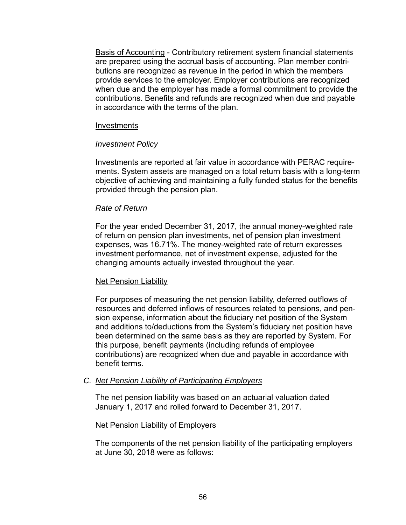Basis of Accounting - Contributory retirement system financial statements are prepared using the accrual basis of accounting. Plan member contributions are recognized as revenue in the period in which the members provide services to the employer. Employer contributions are recognized when due and the employer has made a formal commitment to provide the contributions. Benefits and refunds are recognized when due and payable in accordance with the terms of the plan.

#### Investments

#### *Investment Policy*

Investments are reported at fair value in accordance with PERAC requirements. System assets are managed on a total return basis with a long-term objective of achieving and maintaining a fully funded status for the benefits provided through the pension plan.

#### *Rate of Return*

For the year ended December 31, 2017, the annual money-weighted rate of return on pension plan investments, net of pension plan investment expenses, was 16.71%. The money-weighted rate of return expresses investment performance, net of investment expense, adjusted for the changing amounts actually invested throughout the year.

#### Net Pension Liability

For purposes of measuring the net pension liability, deferred outflows of resources and deferred inflows of resources related to pensions, and pension expense, information about the fiduciary net position of the System and additions to/deductions from the System's fiduciary net position have been determined on the same basis as they are reported by System. For this purpose, benefit payments (including refunds of employee contributions) are recognized when due and payable in accordance with benefit terms.

#### *C. Net Pension Liability of Participating Employers*

The net pension liability was based on an actuarial valuation dated January 1, 2017 and rolled forward to December 31, 2017.

#### Net Pension Liability of Employers

The components of the net pension liability of the participating employers at June 30, 2018 were as follows: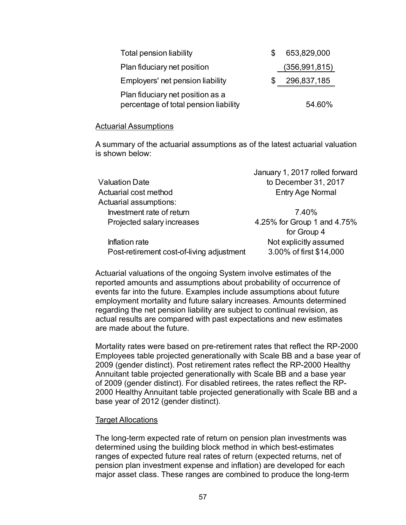| <b>Total pension liability</b>                                            | 653,829,000     |
|---------------------------------------------------------------------------|-----------------|
| Plan fiduciary net position                                               | (356, 991, 815) |
| Employers' net pension liability                                          | 296,837,185     |
| Plan fiduciary net position as a<br>percentage of total pension liability | 54.60%          |

#### Actuarial Assumptions

A summary of the actuarial assumptions as of the latest actuarial valuation is shown below:

|                                           | January 1, 2017 rolled forward |
|-------------------------------------------|--------------------------------|
| Valuation Date                            | to December 31, 2017           |
| Actuarial cost method                     | <b>Entry Age Normal</b>        |
| <b>Actuarial assumptions:</b>             |                                |
| Investment rate of return                 | 7.40%                          |
| Projected salary increases                | 4.25% for Group 1 and 4.75%    |
|                                           | for Group 4                    |
| Inflation rate                            | Not explicitly assumed         |
| Post-retirement cost-of-living adjustment | 3.00% of first \$14,000        |
|                                           |                                |

Actuarial valuations of the ongoing System involve estimates of the reported amounts and assumptions about probability of occurrence of events far into the future. Examples include assumptions about future employment mortality and future salary increases. Amounts determined regarding the net pension liability are subject to continual revision, as actual results are compared with past expectations and new estimates are made about the future.

Mortality rates were based on pre-retirement rates that reflect the RP-2000 Employees table projected generationally with Scale BB and a base year of 2009 (gender distinct). Post retirement rates reflect the RP-2000 Healthy Annuitant table projected generationally with Scale BB and a base year of 2009 (gender distinct). For disabled retirees, the rates reflect the RP-2000 Healthy Annuitant table projected generationally with Scale BB and a base year of 2012 (gender distinct).

#### Target Allocations

The long-term expected rate of return on pension plan investments was determined using the building block method in which best-estimates ranges of expected future real rates of return (expected returns, net of pension plan investment expense and inflation) are developed for each major asset class. These ranges are combined to produce the long-term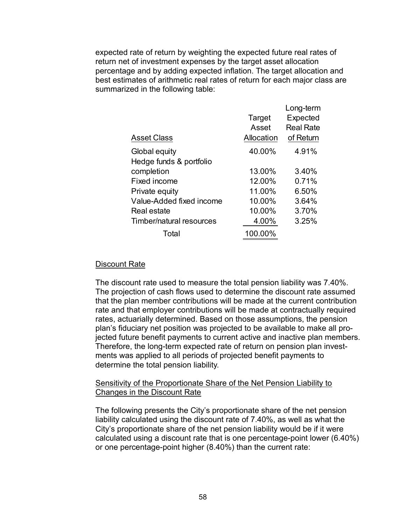expected rate of return by weighting the expected future real rates of return net of investment expenses by the target asset allocation percentage and by adding expected inflation. The target allocation and best estimates of arithmetic real rates of return for each major class are summarized in the following table:

| <b>Asset Class</b>       | Target<br>Asset<br>Allocation | Long-term<br>Expected<br><b>Real Rate</b><br>of Return |
|--------------------------|-------------------------------|--------------------------------------------------------|
| Global equity            | 40.00%                        | 4.91%                                                  |
| Hedge funds & portfolio  |                               |                                                        |
| completion               | 13.00%                        | 3.40%                                                  |
| Fixed income             | 12.00%                        | 0.71%                                                  |
| Private equity           | 11.00%                        | 6.50%                                                  |
| Value-Added fixed income | 10.00%                        | 3.64%                                                  |
| Real estate              | 10.00%                        | 3.70%                                                  |
| Timber/natural resources | 4.00%                         | 3.25%                                                  |
| Total                    | 100.00%                       |                                                        |

# Discount Rate

The discount rate used to measure the total pension liability was 7.40%. The projection of cash flows used to determine the discount rate assumed that the plan member contributions will be made at the current contribution rate and that employer contributions will be made at contractually required rates, actuarially determined. Based on those assumptions, the pension plan's fiduciary net position was projected to be available to make all projected future benefit payments to current active and inactive plan members. Therefore, the long-term expected rate of return on pension plan investments was applied to all periods of projected benefit payments to determine the total pension liability.

## Sensitivity of the Proportionate Share of the Net Pension Liability to Changes in the Discount Rate

The following presents the City's proportionate share of the net pension liability calculated using the discount rate of 7.40%, as well as what the City's proportionate share of the net pension liability would be if it were calculated using a discount rate that is one percentage-point lower (6.40%) or one percentage-point higher (8.40%) than the current rate: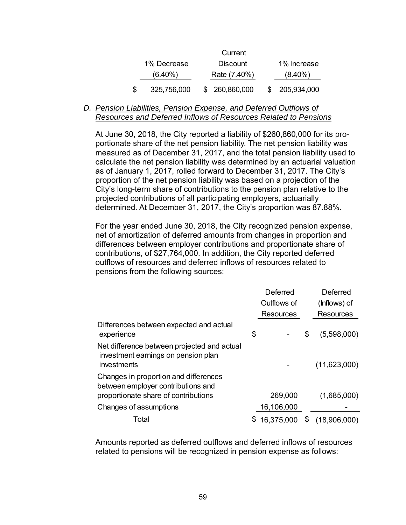|    |             | Current         |               |
|----|-------------|-----------------|---------------|
|    | 1% Decrease | <b>Discount</b> | 1% Increase   |
|    | $(6.40\%)$  | Rate (7.40%)    | $(8.40\%)$    |
| S. | 325,756,000 | \$ 260,860,000  | \$205,934,000 |

#### *D. Pension Liabilities, Pension Expense, and Deferred Outflows of Resources and Deferred Inflows of Resources Related to Pensions*

At June 30, 2018, the City reported a liability of \$260,860,000 for its proportionate share of the net pension liability. The net pension liability was measured as of December 31, 2017, and the total pension liability used to calculate the net pension liability was determined by an actuarial valuation as of January 1, 2017, rolled forward to December 31, 2017. The City's proportion of the net pension liability was based on a projection of the City's long-term share of contributions to the pension plan relative to the projected contributions of all participating employers, actuarially determined. At December 31, 2017, the City's proportion was 87.88%.

For the year ended June 30, 2018, the City recognized pension expense, net of amortization of deferred amounts from changes in proportion and differences between employer contributions and proportionate share of contributions, of \$27,764,000. In addition, the City reported deferred outflows of resources and deferred inflows of resources related to pensions from the following sources:

|                                                                                                                     | Deferred |                  | Deferred           |
|---------------------------------------------------------------------------------------------------------------------|----------|------------------|--------------------|
|                                                                                                                     |          | Outflows of      | (Inflows) of       |
|                                                                                                                     |          | <b>Resources</b> | <b>Resources</b>   |
| Differences between expected and actual<br>experience                                                               | \$       |                  | \$<br>(5,598,000)  |
| Net difference between projected and actual<br>investment earnings on pension plan<br>investments                   |          |                  | (11,623,000)       |
| Changes in proportion and differences<br>between employer contributions and<br>proportionate share of contributions |          | 269,000          | (1,685,000)        |
|                                                                                                                     |          |                  |                    |
| Changes of assumptions                                                                                              |          | 16,106,000       |                    |
| Total                                                                                                               |          | 16,375,000       | \$<br>(18,906,000) |

Amounts reported as deferred outflows and deferred inflows of resources related to pensions will be recognized in pension expense as follows: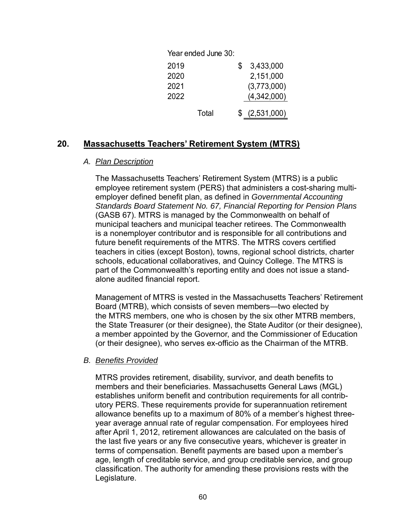| Year ended June 30: |   |             |
|---------------------|---|-------------|
| 2019                | S | 3,433,000   |
| 2020                |   | 2,151,000   |
| 2021                |   | (3,773,000) |
| 2022                |   | (4,342,000) |
| Total               |   | (2,531,000) |

# **20. Massachusetts Teachers' Retirement System (MTRS)**

#### *A. Plan Description*

The Massachusetts Teachers' Retirement System (MTRS) is a public employee retirement system (PERS) that administers a cost-sharing multiemployer defined benefit plan, as defined in *Governmental Accounting Standards Board Statement No. 67, Financial Reporting for Pension Plans*  (GASB 67). MTRS is managed by the Commonwealth on behalf of municipal teachers and municipal teacher retirees. The Commonwealth is a nonemployer contributor and is responsible for all contributions and future benefit requirements of the MTRS. The MTRS covers certified teachers in cities (except Boston), towns, regional school districts, charter schools, educational collaboratives, and Quincy College. The MTRS is part of the Commonwealth's reporting entity and does not issue a standalone audited financial report.

Management of MTRS is vested in the Massachusetts Teachers' Retirement Board (MTRB), which consists of seven members—two elected by the MTRS members, one who is chosen by the six other MTRB members, the State Treasurer (or their designee), the State Auditor (or their designee), a member appointed by the Governor, and the Commissioner of Education (or their designee), who serves ex-officio as the Chairman of the MTRB.

## *B. Benefits Provided*

MTRS provides retirement, disability, survivor, and death benefits to members and their beneficiaries. Massachusetts General Laws (MGL) establishes uniform benefit and contribution requirements for all contributory PERS. These requirements provide for superannuation retirement allowance benefits up to a maximum of 80% of a member's highest threeyear average annual rate of regular compensation. For employees hired after April 1, 2012, retirement allowances are calculated on the basis of the last five years or any five consecutive years, whichever is greater in terms of compensation. Benefit payments are based upon a member's age, length of creditable service, and group creditable service, and group classification. The authority for amending these provisions rests with the Legislature.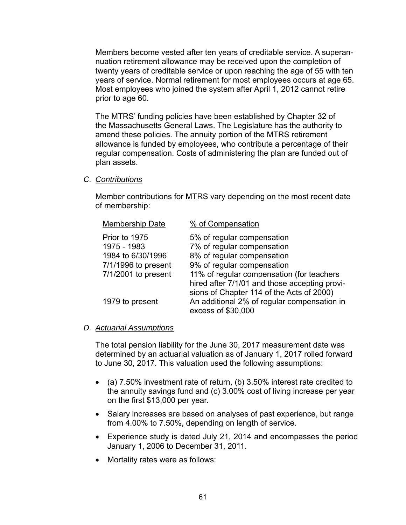Members become vested after ten years of creditable service. A superannuation retirement allowance may be received upon the completion of twenty years of creditable service or upon reaching the age of 55 with ten years of service. Normal retirement for most employees occurs at age 65. Most employees who joined the system after April 1, 2012 cannot retire prior to age 60.

The MTRS' funding policies have been established by Chapter 32 of the Massachusetts General Laws. The Legislature has the authority to amend these policies. The annuity portion of the MTRS retirement allowance is funded by employees, who contribute a percentage of their regular compensation. Costs of administering the plan are funded out of plan assets.

*C. Contributions* 

Member contributions for MTRS vary depending on the most recent date of membership:

| <b>Membership Date</b>                   | % of Compensation                                                                                                                       |
|------------------------------------------|-----------------------------------------------------------------------------------------------------------------------------------------|
| Prior to 1975<br>1975 - 1983             | 5% of regular compensation<br>7% of regular compensation                                                                                |
| 1984 to 6/30/1996<br>7/1/1996 to present | 8% of regular compensation<br>9% of regular compensation                                                                                |
| 7/1/2001 to present                      | 11% of regular compensation (for teachers<br>hired after 7/1/01 and those accepting provi-<br>sions of Chapter 114 of the Acts of 2000) |
| 1979 to present                          | An additional 2% of regular compensation in<br>excess of \$30,000                                                                       |

#### *D. Actuarial Assumptions*

The total pension liability for the June 30, 2017 measurement date was determined by an actuarial valuation as of January 1, 2017 rolled forward to June 30, 2017. This valuation used the following assumptions:

- (a) 7.50% investment rate of return, (b) 3.50% interest rate credited to the annuity savings fund and (c) 3.00% cost of living increase per year on the first \$13,000 per year.
- Salary increases are based on analyses of past experience, but range from 4.00% to 7.50%, depending on length of service.
- Experience study is dated July 21, 2014 and encompasses the period January 1, 2006 to December 31, 2011.
- Mortality rates were as follows: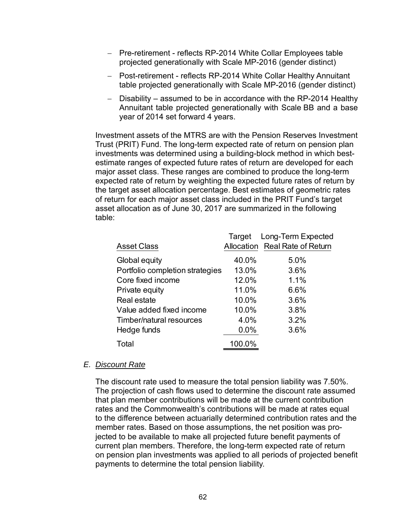- Pre-retirement reflects RP-2014 White Collar Employees table projected generationally with Scale MP-2016 (gender distinct)
- Post-retirement reflects RP-2014 White Collar Healthy Annuitant table projected generationally with Scale MP-2016 (gender distinct)
- Disability assumed to be in accordance with the RP-2014 Healthy Annuitant table projected generationally with Scale BB and a base year of 2014 set forward 4 years.

Investment assets of the MTRS are with the Pension Reserves Investment Trust (PRIT) Fund. The long-term expected rate of return on pension plan investments was determined using a building-block method in which bestestimate ranges of expected future rates of return are developed for each major asset class. These ranges are combined to produce the long-term expected rate of return by weighting the expected future rates of return by the target asset allocation percentage. Best estimates of geometric rates of return for each major asset class included in the PRIT Fund's target asset allocation as of June 30, 2017 are summarized in the following table:

|                                 | Target | Long-Term Expected             |
|---------------------------------|--------|--------------------------------|
| <b>Asset Class</b>              |        | Allocation Real Rate of Return |
| Global equity                   | 40.0%  | 5.0%                           |
| Portfolio completion strategies | 13.0%  | 3.6%                           |
| Core fixed income               | 12.0%  | 1.1%                           |
| Private equity                  | 11.0%  | 6.6%                           |
| Real estate                     | 10.0%  | 3.6%                           |
| Value added fixed income        | 10.0%  | 3.8%                           |
| Timber/natural resources        | 4.0%   | 3.2%                           |
| Hedge funds                     | 0.0%   | 3.6%                           |
| Total                           | 100.0% |                                |

#### *E. Discount Rate*

The discount rate used to measure the total pension liability was 7.50%. The projection of cash flows used to determine the discount rate assumed that plan member contributions will be made at the current contribution rates and the Commonwealth's contributions will be made at rates equal to the difference between actuarially determined contribution rates and the member rates. Based on those assumptions, the net position was projected to be available to make all projected future benefit payments of current plan members. Therefore, the long-term expected rate of return on pension plan investments was applied to all periods of projected benefit payments to determine the total pension liability.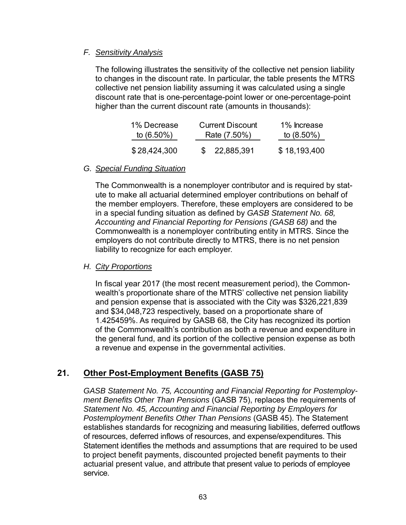# *F. Sensitivity Analysis*

The following illustrates the sensitivity of the collective net pension liability to changes in the discount rate. In particular, the table presents the MTRS collective net pension liability assuming it was calculated using a single discount rate that is one-percentage-point lower or one-percentage-point higher than the current discount rate (amounts in thousands):

| 1% Decrease   | <b>Current Discount</b> | 1% Increase  |
|---------------|-------------------------|--------------|
| to $(6.50\%)$ | Rate (7.50%)            | to (8.50%)   |
| \$28,424,300  | \$22,885,391            | \$18,193,400 |

## *G. Special Funding Situation*

The Commonwealth is a nonemployer contributor and is required by statute to make all actuarial determined employer contributions on behalf of the member employers. Therefore, these employers are considered to be in a special funding situation as defined by *GASB Statement No. 68, Accounting and Financial Reporting for Pensions (GASB 68)* and the Commonwealth is a nonemployer contributing entity in MTRS. Since the employers do not contribute directly to MTRS, there is no net pension liability to recognize for each employer.

## *H. City Proportions*

In fiscal year 2017 (the most recent measurement period), the Commonwealth's proportionate share of the MTRS' collective net pension liability and pension expense that is associated with the City was \$326,221,839 and \$34,048,723 respectively, based on a proportionate share of 1.425459%. As required by GASB 68, the City has recognized its portion of the Commonwealth's contribution as both a revenue and expenditure in the general fund, and its portion of the collective pension expense as both a revenue and expense in the governmental activities.

# **21. Other Post-Employment Benefits (GASB 75)**

*GASB Statement No. 75, Accounting and Financial Reporting for Postemployment Benefits Other Than Pensions* (GASB 75), replaces the requirements of *Statement No. 45, Accounting and Financial Reporting by Employers for Postemployment Benefits Other Than Pensions* (GASB 45). The Statement establishes standards for recognizing and measuring liabilities, deferred outflows of resources, deferred inflows of resources, and expense/expenditures. This Statement identifies the methods and assumptions that are required to be used to project benefit payments, discounted projected benefit payments to their actuarial present value, and attribute that present value to periods of employee service.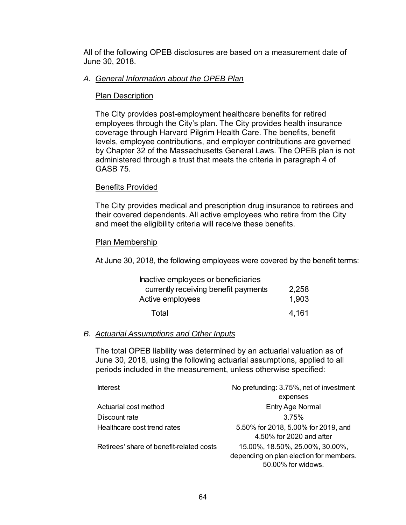All of the following OPEB disclosures are based on a measurement date of June 30, 2018.

### *A. General Information about the OPEB Plan*

## Plan Description

The City provides post-employment healthcare benefits for retired employees through the City's plan. The City provides health insurance coverage through Harvard Pilgrim Health Care. The benefits, benefit levels, employee contributions, and employer contributions are governed by Chapter 32 of the Massachusetts General Laws. The OPEB plan is not administered through a trust that meets the criteria in paragraph 4 of GASB 75.

#### Benefits Provided

The City provides medical and prescription drug insurance to retirees and their covered dependents. All active employees who retire from the City and meet the eligibility criteria will receive these benefits.

#### Plan Membership

At June 30, 2018, the following employees were covered by the benefit terms:

| Inactive employees or beneficiaries  |       |
|--------------------------------------|-------|
| currently receiving benefit payments | 2,258 |
| Active employees                     | 1,903 |
| Total                                | 4,161 |

#### *B. Actuarial Assumptions and Other Inputs*

The total OPEB liability was determined by an actuarial valuation as of June 30, 2018, using the following actuarial assumptions, applied to all periods included in the measurement, unless otherwise specified:

| <b>Interest</b>                          | No prefunding: 3.75%, net of investment                                                          |
|------------------------------------------|--------------------------------------------------------------------------------------------------|
|                                          | expenses                                                                                         |
| Actuarial cost method                    | Entry Age Normal                                                                                 |
| Discount rate                            | 3.75%                                                                                            |
| Healthcare cost trend rates              | 5.50% for 2018, 5.00% for 2019, and<br>4.50% for 2020 and after                                  |
| Retirees' share of benefit-related costs | 15.00%, 18.50%, 25.00%, 30.00%,<br>depending on plan election for members.<br>50.00% for widows. |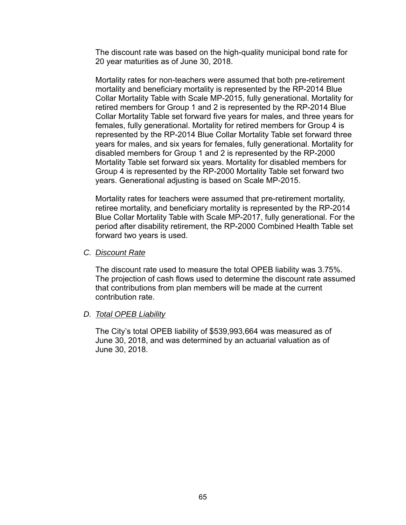The discount rate was based on the high-quality municipal bond rate for 20 year maturities as of June 30, 2018.

Mortality rates for non-teachers were assumed that both pre-retirement mortality and beneficiary mortality is represented by the RP-2014 Blue Collar Mortality Table with Scale MP-2015, fully generational. Mortality for retired members for Group 1 and 2 is represented by the RP-2014 Blue Collar Mortality Table set forward five years for males, and three years for females, fully generational. Mortality for retired members for Group 4 is represented by the RP-2014 Blue Collar Mortality Table set forward three years for males, and six years for females, fully generational. Mortality for disabled members for Group 1 and 2 is represented by the RP-2000 Mortality Table set forward six years. Mortality for disabled members for Group 4 is represented by the RP-2000 Mortality Table set forward two years. Generational adjusting is based on Scale MP-2015.

Mortality rates for teachers were assumed that pre-retirement mortality, retiree mortality, and beneficiary mortality is represented by the RP-2014 Blue Collar Mortality Table with Scale MP-2017, fully generational. For the period after disability retirement, the RP-2000 Combined Health Table set forward two years is used.

#### *C. Discount Rate*

The discount rate used to measure the total OPEB liability was 3.75%. The projection of cash flows used to determine the discount rate assumed that contributions from plan members will be made at the current contribution rate.

## *D. Total OPEB Liability*

The City's total OPEB liability of \$539,993,664 was measured as of June 30, 2018, and was determined by an actuarial valuation as of June 30, 2018.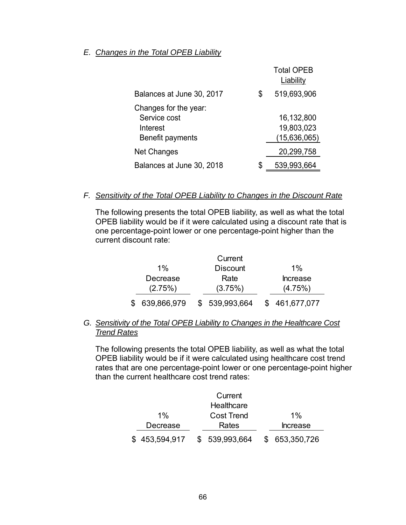### *E. Changes in the Total OPEB Liability*

|                                                                       | <b>Total OPEB</b><br>Liability           |
|-----------------------------------------------------------------------|------------------------------------------|
| Balances at June 30, 2017                                             | \$<br>519,693,906                        |
| Changes for the year:<br>Service cost<br>Interest<br>Benefit payments | 16,132,800<br>19,803,023<br>(15,636,065) |
| <b>Net Changes</b>                                                    | 20,299,758                               |
| Balances at June 30, 2018                                             | 539,993,664                              |

#### *F. Sensitivity of the Total OPEB Liability to Changes in the Discount Rate*

The following presents the total OPEB liability, as well as what the total OPEB liability would be if it were calculated using a discount rate that is one percentage-point lower or one percentage-point higher than the current discount rate:

|             | Current         |                 |
|-------------|-----------------|-----------------|
| $1\%$       | <b>Discount</b> | $1\%$           |
| Decrease    | Rate            | <b>Increase</b> |
| (2.75%)     | (3.75%)         | (4.75%)         |
| 639,866,979 | \$539,993,664   | \$461,677,077   |

# *G. Sensitivity of the Total OPEB Liability to Changes in the Healthcare Cost Trend Rates*

The following presents the total OPEB liability, as well as what the total OPEB liability would be if it were calculated using healthcare cost trend rates that are one percentage-point lower or one percentage-point higher than the current healthcare cost trend rates:

|               | Current           |                 |
|---------------|-------------------|-----------------|
|               | Healthcare        |                 |
| $1\%$         | <b>Cost Trend</b> | $1\%$           |
| Decrease      | Rates             | <b>Increase</b> |
| \$453,594,917 | \$539,993,664     | \$ 653,350,726  |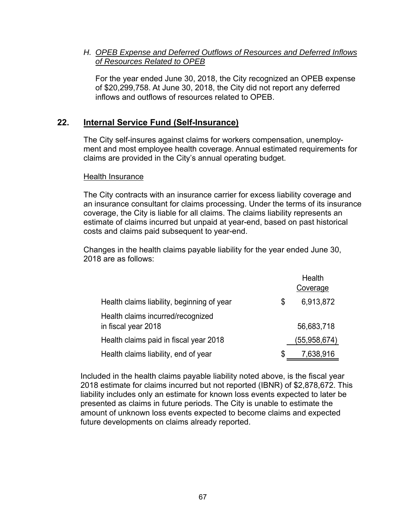# *H. OPEB Expense and Deferred Outflows of Resources and Deferred Inflows of Resources Related to OPEB*

For the year ended June 30, 2018, the City recognized an OPEB expense of \$20,299,758. At June 30, 2018, the City did not report any deferred inflows and outflows of resources related to OPEB.

# **22. Internal Service Fund (Self-Insurance)**

The City self-insures against claims for workers compensation, unemployment and most employee health coverage. Annual estimated requirements for claims are provided in the City's annual operating budget.

#### Health Insurance

The City contracts with an insurance carrier for excess liability coverage and an insurance consultant for claims processing. Under the terms of its insurance coverage, the City is liable for all claims. The claims liability represents an estimate of claims incurred but unpaid at year-end, based on past historical costs and claims paid subsequent to year-end.

Changes in the health claims payable liability for the year ended June 30, 2018 are as follows:

|                                                          |    | Health<br>Coverage |
|----------------------------------------------------------|----|--------------------|
| Health claims liability, beginning of year               | \$ | 6,913,872          |
| Health claims incurred/recognized<br>in fiscal year 2018 |    | 56,683,718         |
| Health claims paid in fiscal year 2018                   |    | (55,958,674)       |
| Health claims liability, end of year                     | S  | 7,638,916          |

Included in the health claims payable liability noted above, is the fiscal year 2018 estimate for claims incurred but not reported (IBNR) of \$2,878,672. This liability includes only an estimate for known loss events expected to later be presented as claims in future periods. The City is unable to estimate the amount of unknown loss events expected to become claims and expected future developments on claims already reported.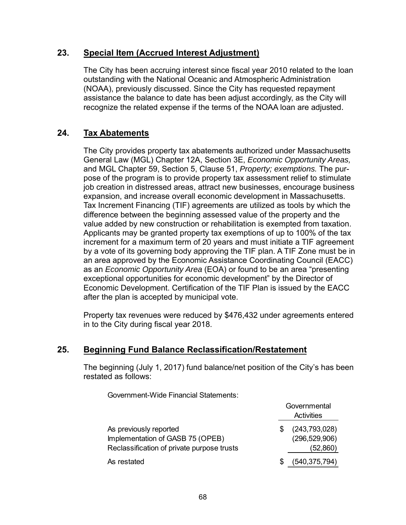# **23. Special Item (Accrued Interest Adjustment)**

The City has been accruing interest since fiscal year 2010 related to the loan outstanding with the National Oceanic and Atmospheric Administration (NOAA), previously discussed. Since the City has requested repayment assistance the balance to date has been adjust accordingly, as the City will recognize the related expense if the terms of the NOAA loan are adjusted.

# **24. Tax Abatements**

The City provides property tax abatements authorized under Massachusetts General Law (MGL) Chapter 12A, Section 3E, *Economic Opportunity Areas,*  and MGL Chapter 59, Section 5, Clause 51, *Property; exemptions.* The purpose of the program is to provide property tax assessment relief to stimulate iob creation in distressed areas, attract new businesses, encourage business expansion, and increase overall economic development in Massachusetts. Tax Increment Financing (TIF) agreements are utilized as tools by which the difference between the beginning assessed value of the property and the value added by new construction or rehabilitation is exempted from taxation. Applicants may be granted property tax exemptions of up to 100% of the tax increment for a maximum term of 20 years and must initiate a TIF agreement by a vote of its governing body approving the TIF plan. A TIF Zone must be in an area approved by the Economic Assistance Coordinating Council (EACC) as an *Economic Opportunity Area* (EOA) or found to be an area "presenting exceptional opportunities for economic development" by the Director of Economic Development. Certification of the TIF Plan is issued by the EACC after the plan is accepted by municipal vote.

Property tax revenues were reduced by \$476,432 under agreements entered in to the City during fiscal year 2018.

# **25. Beginning Fund Balance Reclassification/Restatement**

The beginning (July 1, 2017) fund balance/net position of the City's has been restated as follows:

Government-Wide Financial Statements:

|                                                                                                          | Governmental<br>Activities                   |  |  |  |
|----------------------------------------------------------------------------------------------------------|----------------------------------------------|--|--|--|
| As previously reported<br>Implementation of GASB 75 (OPEB)<br>Reclassification of private purpose trusts | (243,793,028)<br>(296, 529, 906)<br>(52,860) |  |  |  |
| As restated                                                                                              | (540, 375, 794)                              |  |  |  |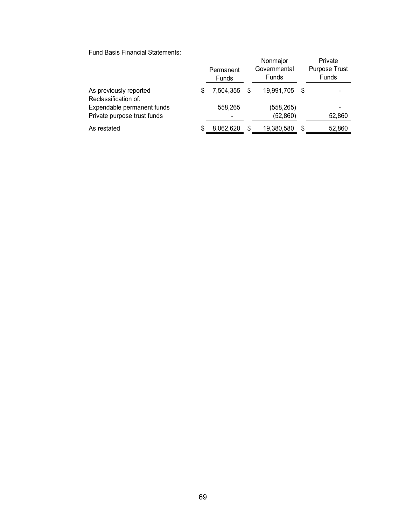Fund Basis Financial Statements:

|                                                           | Permanent<br>Funds |     | Nonmajor<br>Governmental<br>Funds |      | Private<br><b>Purpose Trust</b><br>Funds |
|-----------------------------------------------------------|--------------------|-----|-----------------------------------|------|------------------------------------------|
| As previously reported<br>Reclassification of:            | \$<br>7,504,355    | \$. | 19,991,705                        | - \$ |                                          |
| Expendable permanent funds<br>Private purpose trust funds | 558,265            |     | (558,265)<br>(52, 860)            |      | 52,860                                   |
| As restated                                               | \$<br>8,062,620    | S   | 19,380,580                        | S    | 52,860                                   |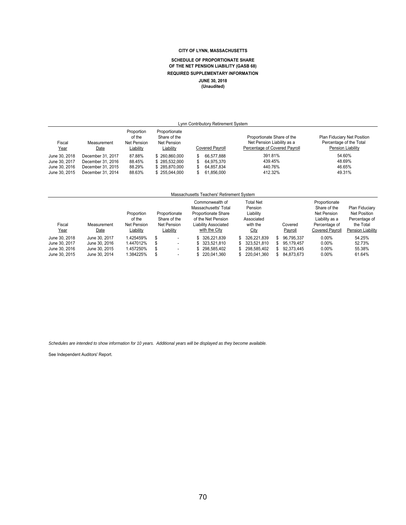#### **CITY OF LYNN, MASSACHUSETTS**

#### **SCHEDULE OF PROPORTIONATE SHARE OF THE NET PENSION LIABILITY (GASB 68) REQUIRED SUPPLEMENTARY INFORMATION JUNE 30, 2018 (Unaudited)**

| Lvnn Contributorv Retirement Svstem |                     |                                                  |                                                           |  |                        |                                                                                           |                                                                             |  |
|-------------------------------------|---------------------|--------------------------------------------------|-----------------------------------------------------------|--|------------------------|-------------------------------------------------------------------------------------------|-----------------------------------------------------------------------------|--|
| Fiscal<br>Year                      | Measurement<br>Date | Proportion<br>of the<br>Net Pension<br>Liability | Proportionate<br>Share of the<br>Net Pension<br>Liability |  | <b>Covered Pavroll</b> | Proportionate Share of the<br>Net Pension Liability as a<br>Percentage of Covered Payroll | Plan Fiduciary Net Position<br>Percentage of the Total<br>Pension Liability |  |
| June 30, 2018                       | December 31, 2017   | 87.88%                                           | \$260,860,000                                             |  | 66.577.888             | 391.81%                                                                                   | 54.60%                                                                      |  |
| June 30, 2017                       | December 31, 2016   | 88.45%                                           | \$285,532,000                                             |  | 64.975.370             | 439.45%                                                                                   | 48.69%                                                                      |  |
| June 30, 2016                       | December 31, 2015   | 88.29%                                           | \$285,870,000                                             |  | 64,857,834             | 440.76%                                                                                   | 46.65%                                                                      |  |
| June 30, 2015                       | December 31, 2014   | 88.63%                                           | \$255,044,000                                             |  | 61,856,000             | 412.32%                                                                                   | 49.31%                                                                      |  |

#### Massachusetts Teachers' Retirement System

| Fiscal<br><u>Year</u> | Measurement<br>Date | Proportion<br>of the<br>Net Pension<br>Liability | Proportionate<br>Share of the<br>Net Pension<br>Liability | Commonwealth of<br>Massachusetts' Total<br><b>Proportionate Share</b><br>of the Net Pension<br><b>Liability Associated</b><br>with the City | Total Net<br>Pension<br>Liability<br>Associated<br>with the<br>City | Covered<br>Payroll | Proportionate<br>Share of the<br>Net Pension<br>Liability as a<br>Percentage of<br>Covered Pavroll | Plan Fiduciary<br>Net Position<br>Percentage of<br>the Total<br>Pension Liability |
|-----------------------|---------------------|--------------------------------------------------|-----------------------------------------------------------|---------------------------------------------------------------------------------------------------------------------------------------------|---------------------------------------------------------------------|--------------------|----------------------------------------------------------------------------------------------------|-----------------------------------------------------------------------------------|
| June 30, 2018         | June 30, 2017       | 1.425459%                                        | S<br>$\overline{\phantom{a}}$                             | \$ 326,221,839                                                                                                                              | 326.221.839<br>\$.                                                  | 96.795.337         | $0.00\%$                                                                                           | 54.25%                                                                            |
| June 30, 2017         | June 30, 2016       | 1.447012%                                        | \$<br>$\overline{\phantom{a}}$                            | \$ 323,521,810                                                                                                                              | 323.521.810<br>\$.                                                  | \$95.179.457       | $0.00\%$                                                                                           | 52.73%                                                                            |
| June 30, 2016         | June 30, 2015       | 1.457250%                                        | S<br>$\overline{\phantom{a}}$                             | \$298.585.402                                                                                                                               | 298.585.402                                                         | 92.373.445         | $0.00\%$                                                                                           | 55.38%                                                                            |
| June 30, 2015         | June 30, 2014       | .384225%                                         | -                                                         | \$ 220,041,360                                                                                                                              | 220.041.360                                                         | 84.873.673         | $0.00\%$                                                                                           | 61.64%                                                                            |

*Schedules are intended to show information for 10 years. Additional years will be displayed as they become available.*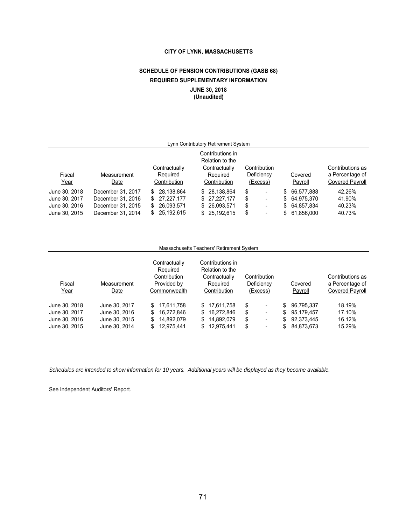# **CITY OF LYNN, MASSACHUSETTS**

# **SCHEDULE OF PENSION CONTRIBUTIONS (GASB 68) REQUIRED SUPPLEMENTARY INFORMATION JUNE 30, 2018**

**(Unaudited)**

| Lynn Contributory Retirement System |                   |                    |                                     |    |                          |    |               |                  |         |                        |
|-------------------------------------|-------------------|--------------------|-------------------------------------|----|--------------------------|----|---------------|------------------|---------|------------------------|
|                                     |                   |                    | Contributions in<br>Relation to the |    |                          |    |               |                  |         |                        |
|                                     |                   | Contractually      | Contractually                       |    | Contribution             |    |               | Contributions as |         |                        |
| Fiscal                              | Measurement       | Required           | Required                            |    | Deficiency               |    | Covered       | a Percentage of  |         |                        |
| Year                                | Date              | Contribution       | Contribution                        |    | (Excess)                 |    |               |                  | Payroll | <b>Covered Payroll</b> |
| June 30, 2018                       | December 31, 2017 | 28.138.864<br>S    | \$ 28.138.864                       | \$ | $\overline{\phantom{0}}$ | S. | 66.577.888    | 42.26%           |         |                        |
| June 30, 2017                       | December 31, 2016 | 27, 227, 177<br>\$ | \$27,227,177                        | \$ | $\overline{\phantom{0}}$ | S  | 64.975.370    | 41.90%           |         |                        |
| June 30, 2016                       | December 31, 2015 | 26,093,571<br>S    | \$ 26,093,571                       | \$ | $\overline{\phantom{0}}$ |    | \$ 64,857,834 | 40.23%           |         |                        |
| June 30, 2015                       | December 31, 2014 | 25,192,615<br>S    | \$25,192,615                        | \$ | $\overline{\phantom{0}}$ | S. | 61,856,000    | 40.73%           |         |                        |

# Massachusetts Teachers' Retirement System

|               |               | Contractually<br>Required | Contributions in<br>Relation to the |                                |     |            |                        |
|---------------|---------------|---------------------------|-------------------------------------|--------------------------------|-----|------------|------------------------|
|               |               | Contribution              | Contractually                       | Contribution                   |     |            | Contributions as       |
| Fiscal        | Measurement   | Provided by               | Required                            | Deficiency                     |     | Covered    | a Percentage of        |
| <u>Year</u>   | Date          | Commonwealth              | Contribution                        | (Excess)                       |     | Payroll    | <b>Covered Payroll</b> |
| June 30, 2018 | June 30, 2017 | 17.611.758<br>S.          | \$17.611.758                        | \$<br>$\overline{\phantom{0}}$ | S.  | 96,795,337 | 18.19%                 |
| June 30, 2017 | June 30, 2016 | 16.272.846<br>S.          | 16.272.846<br>\$                    | \$<br>$\overline{\phantom{0}}$ | \$. | 95.179.457 | 17.10%                 |
| June 30, 2016 | June 30, 2015 | 14.892.079<br>S           | 14.892.079<br>S.                    | \$<br>$\overline{\phantom{0}}$ | \$  | 92.373.445 | 16.12%                 |
| June 30, 2015 | June 30, 2014 | 12.975.441<br>S           | 12.975.441                          | \$<br>$\overline{\phantom{0}}$ | S.  | 84.873.673 | 15.29%                 |

*Schedules are intended to show information for 10 years. Additional years will be displayed as they become available.*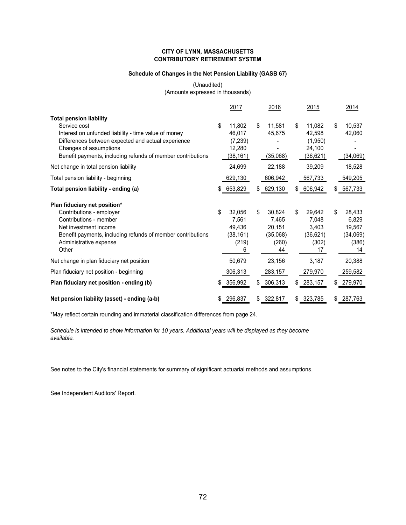## **CITY OF LYNN, MASSACHUSETTS CONTRIBUTORY RETIREMENT SYSTEM**

# **Schedule of Changes in the Net Pension Liability (GASB 67)**

(Unaudited) (Amounts expressed in thousands)

|                                                                                                                                                                                                                                                                                                                                       | 2017                                                                           | 2016                                                       | 2015                                                                          | 2014                                                       |
|---------------------------------------------------------------------------------------------------------------------------------------------------------------------------------------------------------------------------------------------------------------------------------------------------------------------------------------|--------------------------------------------------------------------------------|------------------------------------------------------------|-------------------------------------------------------------------------------|------------------------------------------------------------|
| <b>Total pension liability</b><br>Service cost<br>Interest on unfunded liability - time value of money<br>Differences between expected and actual experience<br>Changes of assumptions<br>Benefit payments, including refunds of member contributions<br>Net change in total pension liability<br>Total pension liability - beginning | \$<br>11,802<br>46,017<br>(7, 239)<br>12,280<br>(38, 161)<br>24,699<br>629,130 | \$<br>11,581<br>45,675<br>(35,068)<br>22,188<br>606,942    | \$<br>11,082<br>42,598<br>(1,950)<br>24,100<br>(36, 621)<br>39,209<br>567,733 | 10,537<br>\$<br>42,060<br>(34,069)<br>18,528<br>549,205    |
| Total pension liability - ending (a)                                                                                                                                                                                                                                                                                                  | 653,829                                                                        | 629,130<br>S                                               | 606,942<br>\$                                                                 | 567,733                                                    |
|                                                                                                                                                                                                                                                                                                                                       |                                                                                |                                                            |                                                                               |                                                            |
| Plan fiduciary net position*<br>Contributions - employer<br>Contributions - member<br>Net investment income<br>Benefit payments, including refunds of member contributions<br>Administrative expense<br>Other                                                                                                                         | \$<br>32,056<br>7,561<br>49,436<br>(38, 161)<br>(219)<br>6                     | \$<br>30,824<br>7,465<br>20,151<br>(35,068)<br>(260)<br>44 | \$<br>29,642<br>7,048<br>3,403<br>(36, 621)<br>(302)<br>17                    | 28,433<br>\$<br>6,829<br>19,567<br>(34,069)<br>(386)<br>14 |
| Net change in plan fiduciary net position                                                                                                                                                                                                                                                                                             | 50,679                                                                         | 23,156                                                     | 3,187                                                                         | 20,388                                                     |
| Plan fiduciary net position - beginning                                                                                                                                                                                                                                                                                               | 306,313                                                                        | 283,157                                                    | 279,970                                                                       | 259,582                                                    |
| Plan fiduciary net position - ending (b)                                                                                                                                                                                                                                                                                              | 356,992                                                                        | 306,313<br>S.                                              | 283,157<br>\$                                                                 | 279,970                                                    |
| Net pension liability (asset) - ending (a-b)                                                                                                                                                                                                                                                                                          | 296,837                                                                        | 322,817<br>S                                               | 323,785<br>\$                                                                 | 287,763                                                    |

\*May reflect certain rounding and immaterial classification differences from page 24.

*Schedule is intended to show information for 10 years. Additional years will be displayed as they become available.*

See notes to the City's financial statements for summary of significant actuarial methods and assumptions.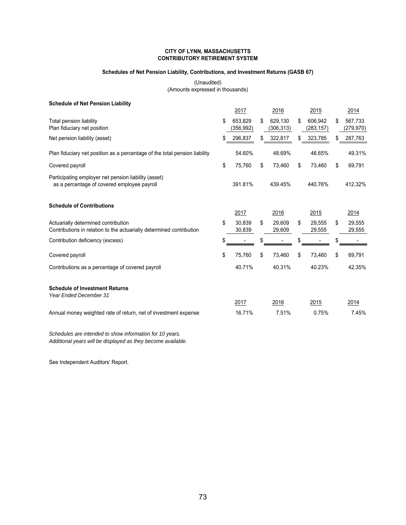## **CITY OF LYNN, MASSACHUSETTS CONTRIBUTORY RETIREMENT SYSTEM**

### **Schedules of Net Pension Liability, Contributions, and Investment Returns (GASB 67)**

(Unaudited) (Amounts expressed in thousands)

| <b>Schedule of Net Pension Liability</b>                                                                    |      |                      |                             |                             |                             |
|-------------------------------------------------------------------------------------------------------------|------|----------------------|-----------------------------|-----------------------------|-----------------------------|
|                                                                                                             | 2017 |                      | 2016                        | 2015                        | 2014                        |
| <b>Total pension liability</b><br>Plan fiduciary net position                                               | \$   | 653,829<br>(356,992) | \$<br>629,130<br>(306, 313) | \$<br>606.942<br>(283, 157) | \$<br>567,733<br>(279, 970) |
| Net pension liability (asset)                                                                               |      | 296,837              | \$<br>322,817               | 323,785                     | 287,763                     |
| Plan fiduciary net position as a percentage of the total pension liability                                  |      | 54.60%               | 48.69%                      | 46.65%                      | 49.31%                      |
| Covered payroll                                                                                             | \$   | 75,760               | \$<br>73,460                | \$<br>73,460                | \$<br>69,791                |
| Participating employer net pension liability (asset)<br>as a percentage of covered employee payroll         |      | 391.81%              | 439.45%                     | 440.76%                     | 412.32%                     |
| <b>Schedule of Contributions</b>                                                                            |      | 2017                 | 2016                        | 2015                        | 2014                        |
| Actuarially determined contribution<br>Contributions in relation to the actuarially determined contribution | \$   | 30.839<br>30,839     | \$<br>29,609<br>29,609      | \$<br>29,555<br>29,555      | \$<br>29,555<br>29,555      |
| Contribution deficiency (excess)                                                                            |      |                      | \$                          |                             |                             |
| Covered payroll                                                                                             | \$   | 75,760               | \$<br>73,460                | \$<br>73,460                | \$<br>69,791                |
| Contributions as a percentage of covered payroll                                                            |      | 40.71%               | 40.31%                      | 40.23%                      | 42.35%                      |
| <b>Schedule of Investment Returns</b><br><b>Year Ended December 31</b>                                      |      |                      |                             |                             |                             |
|                                                                                                             |      | 2017                 | 2016                        | 2015                        | 2014                        |
| Annual money weighted rate of return, net of investment expense                                             |      | 16.71%               | 7.51%                       | 0.75%                       | 7.45%                       |

*Schedules are intended to show information for 10 years. Additional years will be displayed as they become available.*